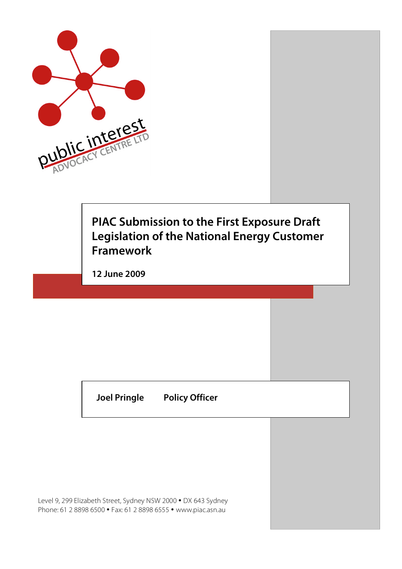

## **PIAC Submission to the First Exposure Draft Legislation of the National Energy Customer Framework**

**12 June 2009**

**Joel Pringle Policy Officer**

Level 9, 299 Elizabeth Street, Sydney NSW 2000 • DX 643 Sydney Phone: 61 2 8898 6500 • Fax: 61 2 8898 6555 • www.piac.asn.au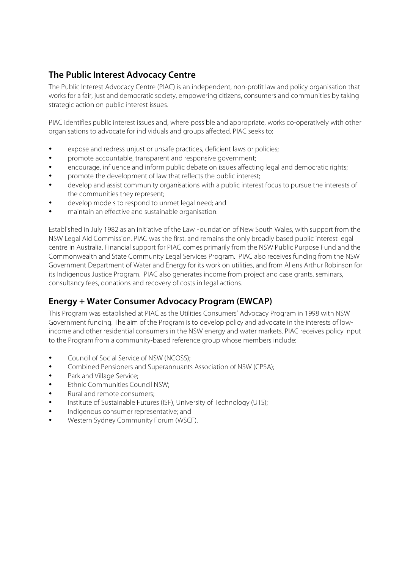### **The Public Interest Advocacy Centre**

The Public Interest Advocacy Centre (PIAC) is an independent, non-profit law and policy organisation that works for a fair, just and democratic society, empowering citizens, consumers and communities by taking strategic action on public interest issues.

PIAC identifies public interest issues and, where possible and appropriate, works co-operatively with other organisations to advocate for individuals and groups affected. PIAC seeks to:

- expose and redress unjust or unsafe practices, deficient laws or policies;
- promote accountable, transparent and responsive government;
- encourage, influence and inform public debate on issues affecting legal and democratic rights;
- promote the development of law that reflects the public interest;
- develop and assist community organisations with a public interest focus to pursue the interests of the communities they represent;
- develop models to respond to unmet legal need; and
- maintain an effective and sustainable organisation.

Established in July 1982 as an initiative of the Law Foundation of New South Wales, with support from the NSW Legal Aid Commission, PIAC was the first, and remains the only broadly based public interest legal centre in Australia. Financial support for PIAC comes primarily from the NSW Public Purpose Fund and the Commonwealth and State Community Legal Services Program. PIAC also receives funding from the NSW Government Department of Water and Energy for its work on utilities, and from Allens Arthur Robinson for its Indigenous Justice Program. PIAC also generates income from project and case grants, seminars, consultancy fees, donations and recovery of costs in legal actions.

### **Energy + Water Consumer Advocacy Program (EWCAP)**

This Program was established at PIAC as the Utilities Consumers' Advocacy Program in 1998 with NSW Government funding. The aim of the Program is to develop policy and advocate in the interests of lowincome and other residential consumers in the NSW energy and water markets. PIAC receives policy input to the Program from a community-based reference group whose members include:

- Council of Social Service of NSW (NCOSS);
- Combined Pensioners and Superannuants Association of NSW (CPSA);
- Park and Village Service;
- Ethnic Communities Council NSW;
- Rural and remote consumers;
- Institute of Sustainable Futures (ISF), University of Technology (UTS);
- Indigenous consumer representative; and
- Western Sydney Community Forum (WSCF).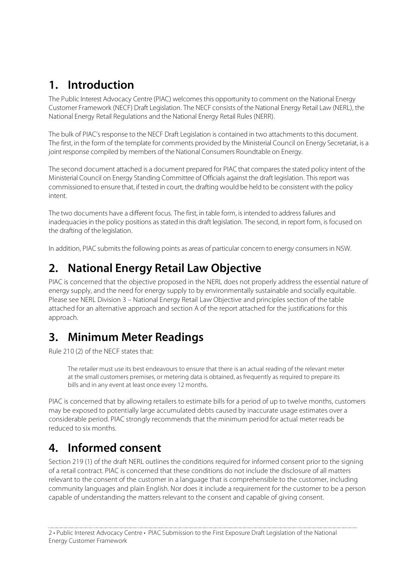## **1. Introduction**

The Public Interest Advocacy Centre (PIAC) welcomes this opportunity to comment on the National Energy Customer Framework (NECF) Draft Legislation. The NECF consists of the National Energy Retail Law (NERL), the National Energy Retail Regulations and the National Energy Retail Rules (NERR).

The bulk of PIAC's response to the NECF Draft Legislation is contained in two attachments to this document. The first, in the form of the template for comments provided by the Ministerial Council on Energy Secretariat, is a joint response compiled by members of the National Consumers Roundtable on Energy.

The second document attached is a document prepared for PIAC that comparesthe stated policy intent of the Ministerial Council on Energy Standing Committee of Officials against the draft legislation. This report was commissioned to ensure that, if tested in court, the drafting would be held to be consistent with the policy intent.

The two documents have a different focus. The first, in table form, is intended to address failures and inadequacies in the policy positions as stated in this draft legislation. The second, in report form, is focused on the drafting of the legislation.

In addition, PIAC submits the following points as areas of particular concern to energy consumers in NSW.

## **2. National Energy Retail Law Objective**

PIAC is concerned that the objective proposed in the NERL does not properly address the essential nature of energy supply, and the need for energy supply to by environmentally sustainable and socially equitable. Please see NERL Division 3 – National Energy Retail Law Objective and principles section of the table attached for an alternative approach and section A of the report attached for the justifications for this approach.

## **3. Minimum Meter Readings**

Rule 210 (2) of the NECF states that:

The retailer must use its best endeavours to ensure that there is an actual reading of the relevant meter at the small customers premises, or metering data is obtained, as frequently as required to prepare its bills and in any event at least once every 12 months.

PIAC is concerned that by allowing retailers to estimate bills for a period of up to twelve months, customers may be exposed to potentially large accumulated debts caused by inaccurate usage estimates over a considerable period. PIAC strongly recommends that the minimum period for actual meter reads be reduced to six months.

## **4. Informed consent**

Section 219 (1) of the draft NERL outlines the conditions required for informed consent prior to the signing of a retail contract. PIAC is concerned that these conditions do not include the disclosure of all matters relevant to the consent of the customer in a language that is comprehensible to the customer, including community languages and plain English. Nor does it include a requirement for the customer to be a person capable of understanding the matters relevant to the consent and capable of giving consent.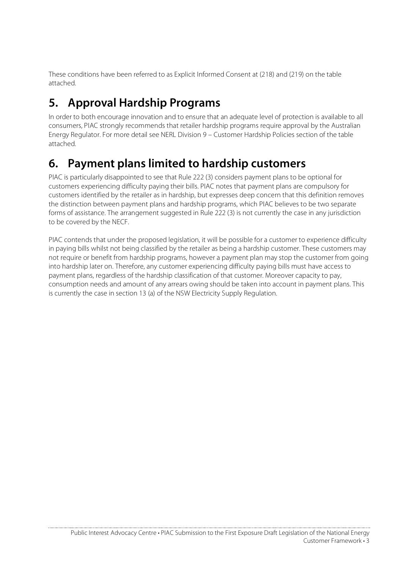These conditions have been referred to as Explicit Informed Consent at (218) and (219) on the table attached.

# **5. Approval Hardship Programs**

In order to both encourage innovation and to ensure that an adequate level of protection is available to all consumers, PIAC strongly recommends that retailer hardship programs require approval by the Australian Energy Regulator. For more detail see NERL Division 9 – Customer Hardship Policies section of the table attached.

# **6. Payment plans limited to hardship customers**

PIAC is particularly disappointed to see that Rule 222 (3) considers payment plans to be optional for customers experiencing difficulty paying their bills. PIAC notes that payment plans are compulsory for customers identified by the retailer as in hardship, but expresses deep concern that this definition removes the distinction between payment plans and hardship programs, which PIAC believes to be two separate forms of assistance. The arrangement suggested in Rule 222 (3) is not currently the case in any jurisdiction to be covered by the NECF.

PIAC contends that under the proposed legislation, it will be possible for a customer to experience difficulty in paying bills whilst not being classified by the retailer as being a hardship customer. These customers may not require or benefit from hardship programs, however a payment plan may stop the customer from going into hardship later on. Therefore, any customer experiencing difficulty paying bills must have access to payment plans, regardless of the hardship classification of that customer. Moreover capacity to pay, consumption needs and amount of any arrears owing should be taken into account in payment plans. This is currently the case in section 13 (a) of the NSW Electricity Supply Regulation.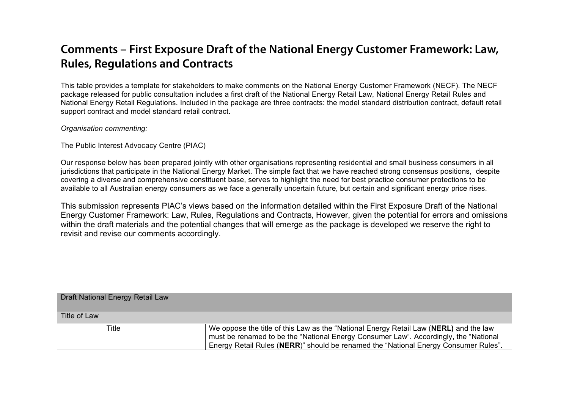### **Comments – First Exposure Draft of the National Energy Customer Framework: Law, Rules, Regulations and Contracts**

This table provides a template for stakeholders to make comments on the National Energy Customer Framework (NECF). The NECF package released for public consultation includes a first draft of the National Energy Retail Law, National Energy Retail Rules and National Energy Retail Regulations. Included in the package are three contracts: the model standard distribution contract, default retail support contract and model standard retail contract.

#### *Organisation commenting:*

The Public Interest Advocacy Centre (PIAC)

Our response below has been prepared jointly with other organisations representing residential and small business consumers in all jurisdictions that participate in the National Energy Market. The simple fact that we have reached strong consensus positions, despite covering a diverse and comprehensive constituent base, serves to highlight the need for best practice consumer protections to be available to all Australian energy consumers as we face a generally uncertain future, but certain and significant energy price rises.

This submission represents PIAC's views based on the information detailed within the First Exposure Draft of the National Energy Customer Framework: Law, Rules, Regulations and Contracts, However, given the potential for errors and omissions within the draft materials and the potential changes that will emerge as the package is developed we reserve the right to revisit and revise our comments accordingly.

| Draft National Energy Retail Law |       |                                                                                                                                                                                                                                                                      |
|----------------------------------|-------|----------------------------------------------------------------------------------------------------------------------------------------------------------------------------------------------------------------------------------------------------------------------|
| Title of Law                     |       |                                                                                                                                                                                                                                                                      |
|                                  | Title | We oppose the title of this Law as the "National Energy Retail Law (NERL) and the law<br>must be renamed to be the "National Energy Consumer Law". Accordingly, the "National<br>Energy Retail Rules (NERR)" should be renamed the "National Energy Consumer Rules". |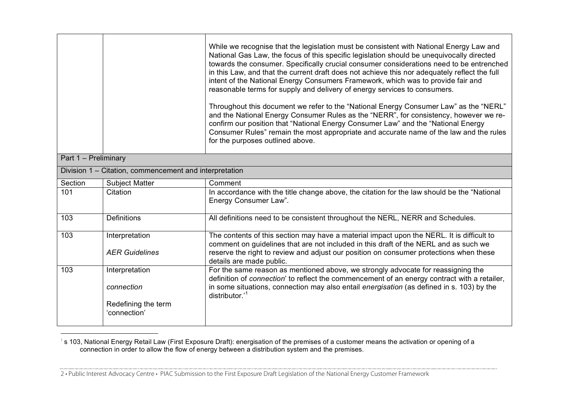|                      |                                                                     | While we recognise that the legislation must be consistent with National Energy Law and<br>National Gas Law, the focus of this specific legislation should be unequivocally directed<br>towards the consumer. Specifically crucial consumer considerations need to be entrenched<br>in this Law, and that the current draft does not achieve this nor adequately reflect the full<br>intent of the National Energy Consumers Framework, which was to provide fair and<br>reasonable terms for supply and delivery of energy services to consumers.<br>Throughout this document we refer to the "National Energy Consumer Law" as the "NERL"<br>and the National Energy Consumer Rules as the "NERR", for consistency, however we re-<br>confirm our position that "National Energy Consumer Law" and the "National Energy<br>Consumer Rules" remain the most appropriate and accurate name of the law and the rules<br>for the purposes outlined above. |
|----------------------|---------------------------------------------------------------------|---------------------------------------------------------------------------------------------------------------------------------------------------------------------------------------------------------------------------------------------------------------------------------------------------------------------------------------------------------------------------------------------------------------------------------------------------------------------------------------------------------------------------------------------------------------------------------------------------------------------------------------------------------------------------------------------------------------------------------------------------------------------------------------------------------------------------------------------------------------------------------------------------------------------------------------------------------|
| Part 1 - Preliminary |                                                                     |                                                                                                                                                                                                                                                                                                                                                                                                                                                                                                                                                                                                                                                                                                                                                                                                                                                                                                                                                         |
|                      | Division 1 - Citation, commencement and interpretation              |                                                                                                                                                                                                                                                                                                                                                                                                                                                                                                                                                                                                                                                                                                                                                                                                                                                                                                                                                         |
| Section              | <b>Subject Matter</b>                                               | Comment                                                                                                                                                                                                                                                                                                                                                                                                                                                                                                                                                                                                                                                                                                                                                                                                                                                                                                                                                 |
| 101                  | Citation                                                            | In accordance with the title change above, the citation for the law should be the "National"<br>Energy Consumer Law".                                                                                                                                                                                                                                                                                                                                                                                                                                                                                                                                                                                                                                                                                                                                                                                                                                   |
| 103                  | <b>Definitions</b>                                                  | All definitions need to be consistent throughout the NERL, NERR and Schedules.                                                                                                                                                                                                                                                                                                                                                                                                                                                                                                                                                                                                                                                                                                                                                                                                                                                                          |
| 103                  | Interpretation<br><b>AER Guidelines</b>                             | The contents of this section may have a material impact upon the NERL. It is difficult to<br>comment on guidelines that are not included in this draft of the NERL and as such we<br>reserve the right to review and adjust our position on consumer protections when these<br>details are made public.                                                                                                                                                                                                                                                                                                                                                                                                                                                                                                                                                                                                                                                 |
| 103                  | Interpretation<br>connection<br>Redefining the term<br>'connection' | For the same reason as mentioned above, we strongly advocate for reassigning the<br>definition of connection' to reflect the commencement of an energy contract with a retailer,<br>in some situations, connection may also entail energisation (as defined in s. 103) by the<br>distributor.' <sup>1</sup>                                                                                                                                                                                                                                                                                                                                                                                                                                                                                                                                                                                                                                             |

 1 s 103, National Energy Retail Law (First Exposure Draft): energisation of the premises of a customer means the activation or opening of a connection in order to allow the flow of energy between a distribution system and the premises.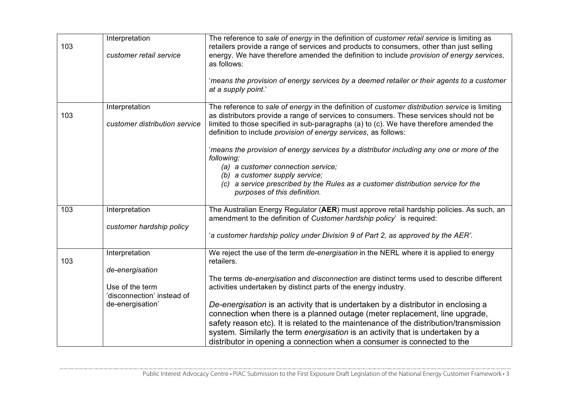| 103 | Interpretation<br>customer retail service                                                              | The reference to sale of energy in the definition of customer retail service is limiting as<br>retailers provide a range of services and products to consumers, other than just selling<br>energy. We have therefore amended the definition to include provision of energy services,<br>as follows:<br>'means the provision of energy services by a deemed retailer or their agents to a customer<br>at a supply point.'                                                                                                                                                                                                                                                                        |
|-----|--------------------------------------------------------------------------------------------------------|-------------------------------------------------------------------------------------------------------------------------------------------------------------------------------------------------------------------------------------------------------------------------------------------------------------------------------------------------------------------------------------------------------------------------------------------------------------------------------------------------------------------------------------------------------------------------------------------------------------------------------------------------------------------------------------------------|
| 103 | Interpretation<br>customer distribution service                                                        | The reference to sale of energy in the definition of customer distribution service is limiting<br>as distributors provide a range of services to consumers. These services should not be<br>limited to those specified in sub-paragraphs (a) to (c). We have therefore amended the<br>definition to include provision of energy services, as follows:                                                                                                                                                                                                                                                                                                                                           |
|     |                                                                                                        | 'means the provision of energy services by a distributor including any one or more of the<br>following:<br>(a) a customer connection service;<br>(b) a customer supply service;<br>(c) a service prescribed by the Rules as a customer distribution service for the<br>purposes of this definition.                                                                                                                                                                                                                                                                                                                                                                                             |
| 103 | Interpretation<br>customer hardship policy                                                             | The Australian Energy Regulator (AER) must approve retail hardship policies. As such, an<br>amendment to the definition of Customer hardship policy' is required:<br>'a customer hardship policy under Division 9 of Part 2, as approved by the AER'.                                                                                                                                                                                                                                                                                                                                                                                                                                           |
| 103 | Interpretation<br>de-energisation<br>Use of the term<br>'disconnection' instead of<br>de-energisation' | We reject the use of the term de-energisation in the NERL where it is applied to energy<br>retailers.<br>The terms de-energisation and disconnection are distinct terms used to describe different<br>activities undertaken by distinct parts of the energy industry.<br>De-energisation is an activity that is undertaken by a distributor in enclosing a<br>connection when there is a planned outage (meter replacement, line upgrade,<br>safety reason etc). It is related to the maintenance of the distribution/transmission<br>system. Similarly the term energisation is an activity that is undertaken by a<br>distributor in opening a connection when a consumer is connected to the |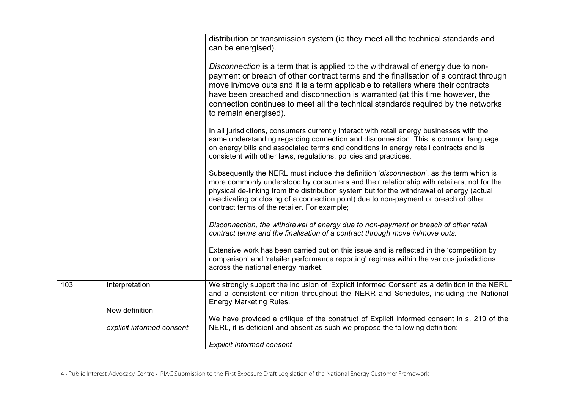|     |                           | distribution or transmission system (ie they meet all the technical standards and<br>can be energised).                                                                                                                                                                                                                                                                                                                                                   |
|-----|---------------------------|-----------------------------------------------------------------------------------------------------------------------------------------------------------------------------------------------------------------------------------------------------------------------------------------------------------------------------------------------------------------------------------------------------------------------------------------------------------|
|     |                           | Disconnection is a term that is applied to the withdrawal of energy due to non-<br>payment or breach of other contract terms and the finalisation of a contract through<br>move in/move outs and it is a term applicable to retailers where their contracts<br>have been breached and disconnection is warranted (at this time however, the<br>connection continues to meet all the technical standards required by the networks<br>to remain energised). |
|     |                           | In all jurisdictions, consumers currently interact with retail energy businesses with the<br>same understanding regarding connection and disconnection. This is common language<br>on energy bills and associated terms and conditions in energy retail contracts and is<br>consistent with other laws, regulations, policies and practices.                                                                                                              |
|     |                           | Subsequently the NERL must include the definition 'disconnection', as the term which is<br>more commonly understood by consumers and their relationship with retailers, not for the<br>physical de-linking from the distribution system but for the withdrawal of energy (actual<br>deactivating or closing of a connection point) due to non-payment or breach of other<br>contract terms of the retailer. For example;                                  |
|     |                           | Disconnection, the withdrawal of energy due to non-payment or breach of other retail<br>contract terms and the finalisation of a contract through move in/move outs.                                                                                                                                                                                                                                                                                      |
|     |                           | Extensive work has been carried out on this issue and is reflected in the 'competition by<br>comparison' and 'retailer performance reporting' regimes within the various jurisdictions<br>across the national energy market.                                                                                                                                                                                                                              |
| 103 | Interpretation            | We strongly support the inclusion of 'Explicit Informed Consent' as a definition in the NERL<br>and a consistent definition throughout the NERR and Schedules, including the National<br><b>Energy Marketing Rules.</b>                                                                                                                                                                                                                                   |
|     | New definition            |                                                                                                                                                                                                                                                                                                                                                                                                                                                           |
|     | explicit informed consent | We have provided a critique of the construct of Explicit informed consent in s. 219 of the<br>NERL, it is deficient and absent as such we propose the following definition:                                                                                                                                                                                                                                                                               |
|     |                           | <b>Explicit Informed consent</b>                                                                                                                                                                                                                                                                                                                                                                                                                          |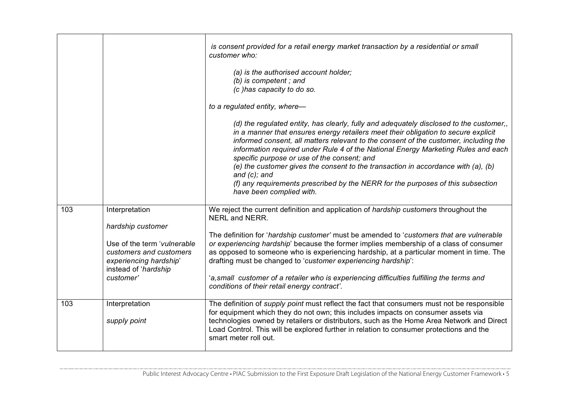|     |                                                                                                                                                              | is consent provided for a retail energy market transaction by a residential or small<br>customer who:<br>(a) is the authorised account holder;<br>(b) is competent; and<br>(c) has capacity to do so.<br>to a regulated entity, where-<br>(d) the regulated entity, has clearly, fully and adequately disclosed to the customer,<br>in a manner that ensures energy retailers meet their obligation to secure explicit<br>informed consent, all matters relevant to the consent of the customer, including the<br>information required under Rule 4 of the National Energy Marketing Rules and each<br>specific purpose or use of the consent; and<br>(e) the customer gives the consent to the transaction in accordance with (a), (b)<br>and $(c)$ ; and<br>(f) any requirements prescribed by the NERR for the purposes of this subsection<br>have been complied with. |
|-----|--------------------------------------------------------------------------------------------------------------------------------------------------------------|---------------------------------------------------------------------------------------------------------------------------------------------------------------------------------------------------------------------------------------------------------------------------------------------------------------------------------------------------------------------------------------------------------------------------------------------------------------------------------------------------------------------------------------------------------------------------------------------------------------------------------------------------------------------------------------------------------------------------------------------------------------------------------------------------------------------------------------------------------------------------|
| 103 | Interpretation<br>hardship customer<br>Use of the term 'vulnerable<br>customers and customers<br>experiencing hardship'<br>instead of 'hardship<br>customer' | We reject the current definition and application of hardship customers throughout the<br>NERL and NERR.<br>The definition for 'hardship customer' must be amended to 'customers that are vulnerable<br>or experiencing hardship' because the former implies membership of a class of consumer<br>as opposed to someone who is experiencing hardship, at a particular moment in time. The<br>drafting must be changed to 'customer experiencing hardship':<br>'a, small customer of a retailer who is experiencing difficulties fulfilling the terms and<br>conditions of their retail energy contract'.                                                                                                                                                                                                                                                                   |
| 103 | Interpretation<br>supply point                                                                                                                               | The definition of <i>supply point</i> must reflect the fact that consumers must not be responsible<br>for equipment which they do not own; this includes impacts on consumer assets via<br>technologies owned by retailers or distributors, such as the Home Area Network and Direct<br>Load Control. This will be explored further in relation to consumer protections and the<br>smart meter roll out.                                                                                                                                                                                                                                                                                                                                                                                                                                                                  |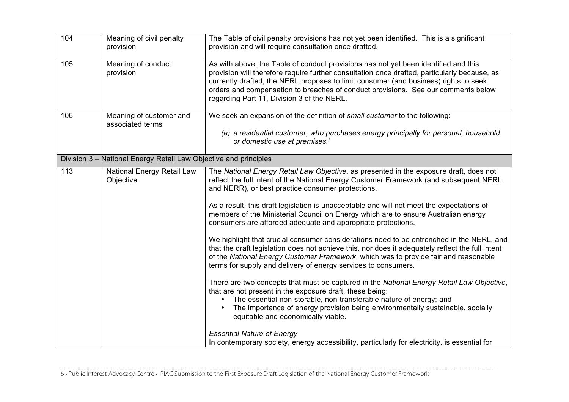| 104 | Meaning of civil penalty<br>provision                            | The Table of civil penalty provisions has not yet been identified. This is a significant<br>provision and will require consultation once drafted.                                                                                                                                                                                                                                                                                                                                                                                                                                                                                                                                                                                                                                                                                                                                                                                                                                                                                                                                                                                                                                                                                                          |
|-----|------------------------------------------------------------------|------------------------------------------------------------------------------------------------------------------------------------------------------------------------------------------------------------------------------------------------------------------------------------------------------------------------------------------------------------------------------------------------------------------------------------------------------------------------------------------------------------------------------------------------------------------------------------------------------------------------------------------------------------------------------------------------------------------------------------------------------------------------------------------------------------------------------------------------------------------------------------------------------------------------------------------------------------------------------------------------------------------------------------------------------------------------------------------------------------------------------------------------------------------------------------------------------------------------------------------------------------|
| 105 | Meaning of conduct<br>provision                                  | As with above, the Table of conduct provisions has not yet been identified and this<br>provision will therefore require further consultation once drafted, particularly because, as<br>currently drafted, the NERL proposes to limit consumer (and business) rights to seek<br>orders and compensation to breaches of conduct provisions. See our comments below<br>regarding Part 11, Division 3 of the NERL.                                                                                                                                                                                                                                                                                                                                                                                                                                                                                                                                                                                                                                                                                                                                                                                                                                             |
| 106 | Meaning of customer and<br>associated terms                      | We seek an expansion of the definition of small customer to the following:<br>(a) a residential customer, who purchases energy principally for personal, household<br>or domestic use at premises.'                                                                                                                                                                                                                                                                                                                                                                                                                                                                                                                                                                                                                                                                                                                                                                                                                                                                                                                                                                                                                                                        |
|     | Division 3 - National Energy Retail Law Objective and principles |                                                                                                                                                                                                                                                                                                                                                                                                                                                                                                                                                                                                                                                                                                                                                                                                                                                                                                                                                                                                                                                                                                                                                                                                                                                            |
| 113 | <b>National Energy Retail Law</b><br>Objective                   | The National Energy Retail Law Objective, as presented in the exposure draft, does not<br>reflect the full intent of the National Energy Customer Framework (and subsequent NERL<br>and NERR), or best practice consumer protections.<br>As a result, this draft legislation is unacceptable and will not meet the expectations of<br>members of the Ministerial Council on Energy which are to ensure Australian energy<br>consumers are afforded adequate and appropriate protections.<br>We highlight that crucial consumer considerations need to be entrenched in the NERL, and<br>that the draft legislation does not achieve this, nor does it adequately reflect the full intent<br>of the National Energy Customer Framework, which was to provide fair and reasonable<br>terms for supply and delivery of energy services to consumers.<br>There are two concepts that must be captured in the National Energy Retail Law Objective,<br>that are not present in the exposure draft, these being:<br>The essential non-storable, non-transferable nature of energy; and<br>The importance of energy provision being environmentally sustainable, socially<br>$\bullet$<br>equitable and economically viable.<br><b>Essential Nature of Energy</b> |
|     |                                                                  | In contemporary society, energy accessibility, particularly for electricity, is essential for                                                                                                                                                                                                                                                                                                                                                                                                                                                                                                                                                                                                                                                                                                                                                                                                                                                                                                                                                                                                                                                                                                                                                              |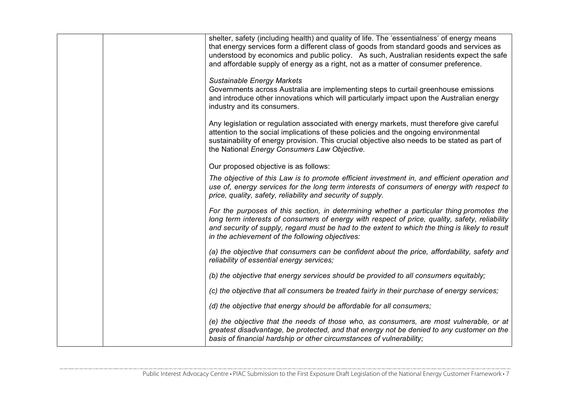|  | shelter, safety (including health) and quality of life. The 'essentialness' of energy means                                                                                                       |
|--|---------------------------------------------------------------------------------------------------------------------------------------------------------------------------------------------------|
|  | that energy services form a different class of goods from standard goods and services as                                                                                                          |
|  | understood by economics and public policy. As such, Australian residents expect the safe<br>and affordable supply of energy as a right, not as a matter of consumer preference.                   |
|  |                                                                                                                                                                                                   |
|  | <b>Sustainable Energy Markets</b>                                                                                                                                                                 |
|  | Governments across Australia are implementing steps to curtail greenhouse emissions<br>and introduce other innovations which will particularly impact upon the Australian energy                  |
|  | industry and its consumers.                                                                                                                                                                       |
|  | Any legislation or regulation associated with energy markets, must therefore give careful                                                                                                         |
|  | attention to the social implications of these policies and the ongoing environmental<br>sustainability of energy provision. This crucial objective also needs to be stated as part of             |
|  | the National Energy Consumers Law Objective.                                                                                                                                                      |
|  |                                                                                                                                                                                                   |
|  | Our proposed objective is as follows:                                                                                                                                                             |
|  | The objective of this Law is to promote efficient investment in, and efficient operation and<br>use of, energy services for the long term interests of consumers of energy with respect to        |
|  | price, quality, safety, reliability and security of supply.                                                                                                                                       |
|  | For the purposes of this section, in determining whether a particular thing promotes the                                                                                                          |
|  | long term interests of consumers of energy with respect of price, quality, safety, reliability<br>and security of supply, regard must be had to the extent to which the thing is likely to result |
|  | in the achievement of the following objectives:                                                                                                                                                   |
|  | (a) the objective that consumers can be confident about the price, affordability, safety and                                                                                                      |
|  | reliability of essential energy services;                                                                                                                                                         |
|  | (b) the objective that energy services should be provided to all consumers equitably;                                                                                                             |
|  | (c) the objective that all consumers be treated fairly in their purchase of energy services;                                                                                                      |
|  | (d) the objective that energy should be affordable for all consumers;                                                                                                                             |
|  | (e) the objective that the needs of those who, as consumers, are most vulnerable, or at                                                                                                           |
|  | greatest disadvantage, be protected, and that energy not be denied to any customer on the<br>basis of financial hardship or other circumstances of vulnerability;                                 |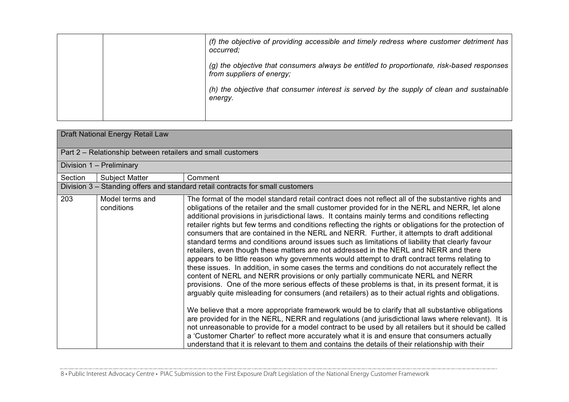|  | (f) the objective of providing accessible and timely redress where customer detriment has<br>occurred:                  |
|--|-------------------------------------------------------------------------------------------------------------------------|
|  | (g) the objective that consumers always be entitled to proportionate, risk-based responses<br>from suppliers of energy; |
|  | (h) the objective that consumer interest is served by the supply of clean and sustainable<br>energy.                    |
|  |                                                                                                                         |

| Draft National Energy Retail Law |                                                             |                                                                                                                                                                                                                                                                                                                                                                                                                                                                                                                                                                                                                                                                                                                                                                                                                                                                                                                                                                                                                                                                                                                                                                                                                                                                                                                                                                                                                                                                                                                                                                                                                                                                                                                                               |  |
|----------------------------------|-------------------------------------------------------------|-----------------------------------------------------------------------------------------------------------------------------------------------------------------------------------------------------------------------------------------------------------------------------------------------------------------------------------------------------------------------------------------------------------------------------------------------------------------------------------------------------------------------------------------------------------------------------------------------------------------------------------------------------------------------------------------------------------------------------------------------------------------------------------------------------------------------------------------------------------------------------------------------------------------------------------------------------------------------------------------------------------------------------------------------------------------------------------------------------------------------------------------------------------------------------------------------------------------------------------------------------------------------------------------------------------------------------------------------------------------------------------------------------------------------------------------------------------------------------------------------------------------------------------------------------------------------------------------------------------------------------------------------------------------------------------------------------------------------------------------------|--|
|                                  | Part 2 – Relationship between retailers and small customers |                                                                                                                                                                                                                                                                                                                                                                                                                                                                                                                                                                                                                                                                                                                                                                                                                                                                                                                                                                                                                                                                                                                                                                                                                                                                                                                                                                                                                                                                                                                                                                                                                                                                                                                                               |  |
|                                  | Division 1 - Preliminary                                    |                                                                                                                                                                                                                                                                                                                                                                                                                                                                                                                                                                                                                                                                                                                                                                                                                                                                                                                                                                                                                                                                                                                                                                                                                                                                                                                                                                                                                                                                                                                                                                                                                                                                                                                                               |  |
| Section                          | <b>Subject Matter</b>                                       | Comment                                                                                                                                                                                                                                                                                                                                                                                                                                                                                                                                                                                                                                                                                                                                                                                                                                                                                                                                                                                                                                                                                                                                                                                                                                                                                                                                                                                                                                                                                                                                                                                                                                                                                                                                       |  |
|                                  |                                                             | Division 3 - Standing offers and standard retail contracts for small customers                                                                                                                                                                                                                                                                                                                                                                                                                                                                                                                                                                                                                                                                                                                                                                                                                                                                                                                                                                                                                                                                                                                                                                                                                                                                                                                                                                                                                                                                                                                                                                                                                                                                |  |
| 203                              | Model terms and<br>conditions                               | The format of the model standard retail contract does not reflect all of the substantive rights and<br>obligations of the retailer and the small customer provided for in the NERL and NERR, let alone<br>additional provisions in jurisdictional laws. It contains mainly terms and conditions reflecting<br>retailer rights but few terms and conditions reflecting the rights or obligations for the protection of<br>consumers that are contained in the NERL and NERR. Further, it attempts to draft additional<br>standard terms and conditions around issues such as limitations of liability that clearly favour<br>retailers, even though these matters are not addressed in the NERL and NERR and there<br>appears to be little reason why governments would attempt to draft contract terms relating to<br>these issues. In addition, in some cases the terms and conditions do not accurately reflect the<br>content of NERL and NERR provisions or only partially communicate NERL and NERR<br>provisions. One of the more serious effects of these problems is that, in its present format, it is<br>arguably quite misleading for consumers (and retailers) as to their actual rights and obligations.<br>We believe that a more appropriate framework would be to clarify that all substantive obligations<br>are provided for in the NERL, NERR and regulations (and jurisdictional laws where relevant). It is<br>not unreasonable to provide for a model contract to be used by all retailers but it should be called<br>a 'Customer Charter' to reflect more accurately what it is and ensure that consumers actually<br>understand that it is relevant to them and contains the details of their relationship with their |  |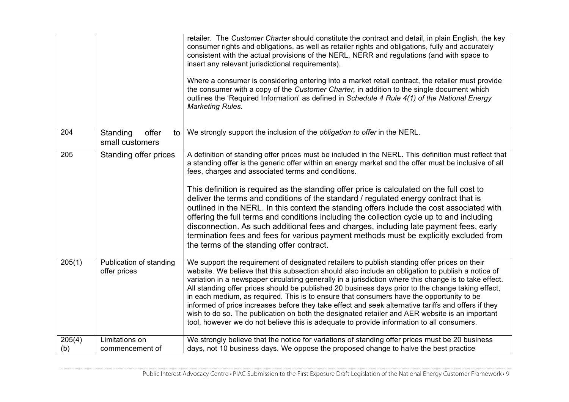|               |                                              | retailer. The Customer Charter should constitute the contract and detail, in plain English, the key<br>consumer rights and obligations, as well as retailer rights and obligations, fully and accurately<br>consistent with the actual provisions of the NERL, NERR and regulations (and with space to<br>insert any relevant jurisdictional requirements).<br>Where a consumer is considering entering into a market retail contract, the retailer must provide<br>the consumer with a copy of the Customer Charter, in addition to the single document which<br>outlines the 'Required Information' as defined in Schedule 4 Rule 4(1) of the National Energy<br><b>Marketing Rules.</b>                                                                                                                                                                                           |
|---------------|----------------------------------------------|--------------------------------------------------------------------------------------------------------------------------------------------------------------------------------------------------------------------------------------------------------------------------------------------------------------------------------------------------------------------------------------------------------------------------------------------------------------------------------------------------------------------------------------------------------------------------------------------------------------------------------------------------------------------------------------------------------------------------------------------------------------------------------------------------------------------------------------------------------------------------------------|
| 204           | Standing<br>offer<br>to l<br>small customers | We strongly support the inclusion of the obligation to offer in the NERL.                                                                                                                                                                                                                                                                                                                                                                                                                                                                                                                                                                                                                                                                                                                                                                                                            |
| 205           | Standing offer prices                        | A definition of standing offer prices must be included in the NERL. This definition must reflect that<br>a standing offer is the generic offer within an energy market and the offer must be inclusive of all<br>fees, charges and associated terms and conditions.<br>This definition is required as the standing offer price is calculated on the full cost to<br>deliver the terms and conditions of the standard / regulated energy contract that is<br>outlined in the NERL. In this context the standing offers include the cost associated with<br>offering the full terms and conditions including the collection cycle up to and including<br>disconnection. As such additional fees and charges, including late payment fees, early<br>termination fees and fees for various payment methods must be explicitly excluded from<br>the terms of the standing offer contract. |
| 205(1)        | Publication of standing<br>offer prices      | We support the requirement of designated retailers to publish standing offer prices on their<br>website. We believe that this subsection should also include an obligation to publish a notice of<br>variation in a newspaper circulating generally in a jurisdiction where this change is to take effect.<br>All standing offer prices should be published 20 business days prior to the change taking effect,<br>in each medium, as required. This is to ensure that consumers have the opportunity to be<br>informed of price increases before they take effect and seek alternative tariffs and offers if they<br>wish to do so. The publication on both the designated retailer and AER website is an important<br>tool, however we do not believe this is adequate to provide information to all consumers.                                                                    |
| 205(4)<br>(b) | Limitations on<br>commencement of            | We strongly believe that the notice for variations of standing offer prices must be 20 business<br>days, not 10 business days. We oppose the proposed change to halve the best practice                                                                                                                                                                                                                                                                                                                                                                                                                                                                                                                                                                                                                                                                                              |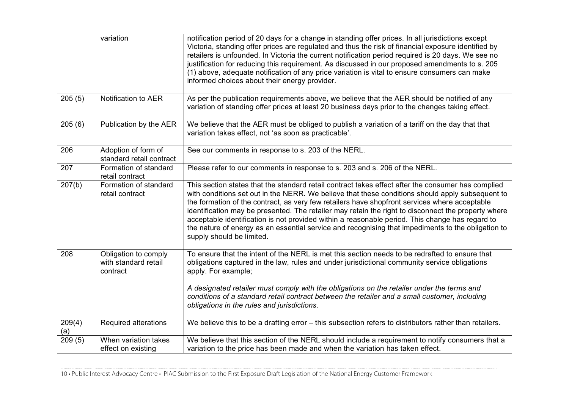|               | variation                                                | notification period of 20 days for a change in standing offer prices. In all jurisdictions except<br>Victoria, standing offer prices are regulated and thus the risk of financial exposure identified by<br>retailers is unfounded. In Victoria the current notification period required is 20 days. We see no<br>justification for reducing this requirement. As discussed in our proposed amendments to s. 205<br>(1) above, adequate notification of any price variation is vital to ensure consumers can make<br>informed choices about their energy provider.                                                                                   |
|---------------|----------------------------------------------------------|------------------------------------------------------------------------------------------------------------------------------------------------------------------------------------------------------------------------------------------------------------------------------------------------------------------------------------------------------------------------------------------------------------------------------------------------------------------------------------------------------------------------------------------------------------------------------------------------------------------------------------------------------|
| 205(5)        | Notification to AER                                      | As per the publication requirements above, we believe that the AER should be notified of any<br>variation of standing offer prices at least 20 business days prior to the changes taking effect.                                                                                                                                                                                                                                                                                                                                                                                                                                                     |
| 205(6)        | Publication by the AER                                   | We believe that the AER must be obliged to publish a variation of a tariff on the day that that<br>variation takes effect, not 'as soon as practicable'.                                                                                                                                                                                                                                                                                                                                                                                                                                                                                             |
| 206           | Adoption of form of<br>standard retail contract          | See our comments in response to s. 203 of the NERL.                                                                                                                                                                                                                                                                                                                                                                                                                                                                                                                                                                                                  |
| 207           | Formation of standard<br>retail contract                 | Please refer to our comments in response to s. 203 and s. 206 of the NERL.                                                                                                                                                                                                                                                                                                                                                                                                                                                                                                                                                                           |
| 207(b)        | Formation of standard<br>retail contract                 | This section states that the standard retail contract takes effect after the consumer has complied<br>with conditions set out in the NERR. We believe that these conditions should apply subsequent to<br>the formation of the contract, as very few retailers have shopfront services where acceptable<br>identification may be presented. The retailer may retain the right to disconnect the property where<br>acceptable identification is not provided within a reasonable period. This change has regard to<br>the nature of energy as an essential service and recognising that impediments to the obligation to<br>supply should be limited. |
| 208           | Obligation to comply<br>with standard retail<br>contract | To ensure that the intent of the NERL is met this section needs to be redrafted to ensure that<br>obligations captured in the law, rules and under jurisdictional community service obligations<br>apply. For example;                                                                                                                                                                                                                                                                                                                                                                                                                               |
|               |                                                          | A designated retailer must comply with the obligations on the retailer under the terms and<br>conditions of a standard retail contract between the retailer and a small customer, including<br>obligations in the rules and jurisdictions.                                                                                                                                                                                                                                                                                                                                                                                                           |
| 209(4)<br>(a) | <b>Required alterations</b>                              | We believe this to be a drafting error - this subsection refers to distributors rather than retailers.                                                                                                                                                                                                                                                                                                                                                                                                                                                                                                                                               |
| 209(5)        | When variation takes<br>effect on existing               | We believe that this section of the NERL should include a requirement to notify consumers that a<br>variation to the price has been made and when the variation has taken effect.                                                                                                                                                                                                                                                                                                                                                                                                                                                                    |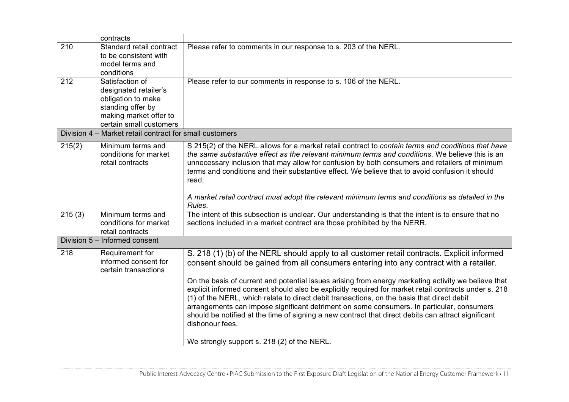|        | contracts                                                                                                                                |                                                                                                                                                                                                                                                                                                                                                                                                                                                                                                                                                                                                                                                                                                          |
|--------|------------------------------------------------------------------------------------------------------------------------------------------|----------------------------------------------------------------------------------------------------------------------------------------------------------------------------------------------------------------------------------------------------------------------------------------------------------------------------------------------------------------------------------------------------------------------------------------------------------------------------------------------------------------------------------------------------------------------------------------------------------------------------------------------------------------------------------------------------------|
| 210    | Standard retail contract<br>to be consistent with<br>model terms and<br>conditions                                                       | Please refer to comments in our response to s. 203 of the NERL.                                                                                                                                                                                                                                                                                                                                                                                                                                                                                                                                                                                                                                          |
| 212    | Satisfaction of<br>designated retailer's<br>obligation to make<br>standing offer by<br>making market offer to<br>certain small customers | Please refer to our comments in response to s. 106 of the NERL.                                                                                                                                                                                                                                                                                                                                                                                                                                                                                                                                                                                                                                          |
|        | Division 4 - Market retail contract for small customers                                                                                  |                                                                                                                                                                                                                                                                                                                                                                                                                                                                                                                                                                                                                                                                                                          |
| 215(2) | Minimum terms and<br>conditions for market<br>retail contracts                                                                           | S.215(2) of the NERL allows for a market retail contract to contain terms and conditions that have<br>the same substantive effect as the relevant minimum terms and conditions. We believe this is an<br>unnecessary inclusion that may allow for confusion by both consumers and retailers of minimum<br>terms and conditions and their substantive effect. We believe that to avoid confusion it should<br>read;<br>A market retail contract must adopt the relevant minimum terms and conditions as detailed in the                                                                                                                                                                                   |
|        |                                                                                                                                          | Rules.                                                                                                                                                                                                                                                                                                                                                                                                                                                                                                                                                                                                                                                                                                   |
| 215(3) | Minimum terms and<br>conditions for market<br>retail contracts                                                                           | The intent of this subsection is unclear. Our understanding is that the intent is to ensure that no<br>sections included in a market contract are those prohibited by the NERR.                                                                                                                                                                                                                                                                                                                                                                                                                                                                                                                          |
|        | Division 5 - Informed consent                                                                                                            |                                                                                                                                                                                                                                                                                                                                                                                                                                                                                                                                                                                                                                                                                                          |
| 218    | Requirement for<br>informed consent for<br>certain transactions                                                                          | S. 218 (1) (b) of the NERL should apply to all customer retail contracts. Explicit informed<br>consent should be gained from all consumers entering into any contract with a retailer.<br>On the basis of current and potential issues arising from energy marketing activity we believe that<br>explicit informed consent should also be explicitly required for market retail contracts under s. 218<br>(1) of the NERL, which relate to direct debit transactions, on the basis that direct debit<br>arrangements can impose significant detriment on some consumers. In particular, consumers<br>should be notified at the time of signing a new contract that direct debits can attract significant |
|        |                                                                                                                                          | dishonour fees.<br>We strongly support s. 218 (2) of the NERL.                                                                                                                                                                                                                                                                                                                                                                                                                                                                                                                                                                                                                                           |
|        |                                                                                                                                          |                                                                                                                                                                                                                                                                                                                                                                                                                                                                                                                                                                                                                                                                                                          |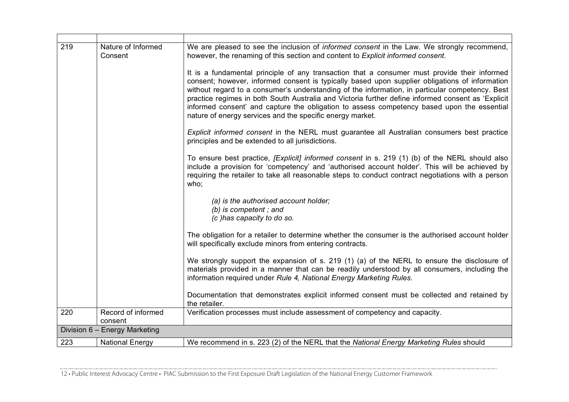| 219 | Nature of Informed<br>Consent | We are pleased to see the inclusion of <i>informed consent</i> in the Law. We strongly recommend,<br>however, the renaming of this section and content to Explicit informed consent.                                                                                                                                                                                                                                                                                                                                                                               |
|-----|-------------------------------|--------------------------------------------------------------------------------------------------------------------------------------------------------------------------------------------------------------------------------------------------------------------------------------------------------------------------------------------------------------------------------------------------------------------------------------------------------------------------------------------------------------------------------------------------------------------|
|     |                               | It is a fundamental principle of any transaction that a consumer must provide their informed<br>consent; however, informed consent is typically based upon supplier obligations of information<br>without regard to a consumer's understanding of the information, in particular competency. Best<br>practice regimes in both South Australia and Victoria further define informed consent as 'Explicit<br>informed consent' and capture the obligation to assess competency based upon the essential<br>nature of energy services and the specific energy market. |
|     |                               | <i>Explicit informed consent</i> in the NERL must guarantee all Australian consumers best practice<br>principles and be extended to all jurisdictions.                                                                                                                                                                                                                                                                                                                                                                                                             |
|     |                               | To ensure best practice, <i>[Explicit] informed consent</i> in s. 219 (1) (b) of the NERL should also<br>include a provision for 'competency' and 'authorised account holder'. This will be achieved by<br>requiring the retailer to take all reasonable steps to conduct contract negotiations with a person<br>who;                                                                                                                                                                                                                                              |
|     |                               | (a) is the authorised account holder;<br>(b) is competent; and<br>(c) has capacity to do so.                                                                                                                                                                                                                                                                                                                                                                                                                                                                       |
|     |                               | The obligation for a retailer to determine whether the consumer is the authorised account holder<br>will specifically exclude minors from entering contracts.                                                                                                                                                                                                                                                                                                                                                                                                      |
|     |                               | We strongly support the expansion of s. 219 (1) (a) of the NERL to ensure the disclosure of<br>materials provided in a manner that can be readily understood by all consumers, including the<br>information required under Rule 4, National Energy Marketing Rules.                                                                                                                                                                                                                                                                                                |
|     |                               | Documentation that demonstrates explicit informed consent must be collected and retained by<br>the retailer.                                                                                                                                                                                                                                                                                                                                                                                                                                                       |
| 220 | Record of informed<br>consent | Verification processes must include assessment of competency and capacity.                                                                                                                                                                                                                                                                                                                                                                                                                                                                                         |
|     | Division 6 - Energy Marketing |                                                                                                                                                                                                                                                                                                                                                                                                                                                                                                                                                                    |
| 223 | <b>National Energy</b>        | We recommend in s. 223 (2) of the NERL that the National Energy Marketing Rules should                                                                                                                                                                                                                                                                                                                                                                                                                                                                             |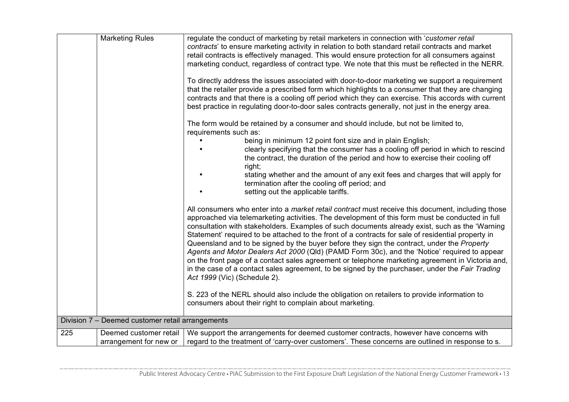| <b>Marketing Rules</b>                                  | regulate the conduct of marketing by retail marketers in connection with 'customer retail<br>contracts' to ensure marketing activity in relation to both standard retail contracts and market<br>retail contracts is effectively managed. This would ensure protection for all consumers against                                                                                                                                                                                                                                                                                                                                                                                                                                                                                                                                                                                                                                                                    |
|---------------------------------------------------------|---------------------------------------------------------------------------------------------------------------------------------------------------------------------------------------------------------------------------------------------------------------------------------------------------------------------------------------------------------------------------------------------------------------------------------------------------------------------------------------------------------------------------------------------------------------------------------------------------------------------------------------------------------------------------------------------------------------------------------------------------------------------------------------------------------------------------------------------------------------------------------------------------------------------------------------------------------------------|
|                                                         | marketing conduct, regardless of contract type. We note that this must be reflected in the NERR.<br>To directly address the issues associated with door-to-door marketing we support a requirement<br>that the retailer provide a prescribed form which highlights to a consumer that they are changing<br>contracts and that there is a cooling off period which they can exercise. This accords with current<br>best practice in regulating door-to-door sales contracts generally, not just in the energy area.<br>The form would be retained by a consumer and should include, but not be limited to,<br>requirements such as:<br>being in minimum 12 point font size and in plain English;<br>clearly specifying that the consumer has a cooling off period in which to rescind<br>the contract, the duration of the period and how to exercise their cooling off<br>right;<br>stating whether and the amount of any exit fees and charges that will apply for |
|                                                         | termination after the cooling off period; and<br>setting out the applicable tariffs.                                                                                                                                                                                                                                                                                                                                                                                                                                                                                                                                                                                                                                                                                                                                                                                                                                                                                |
|                                                         | All consumers who enter into a <i>market retail contract</i> must receive this document, including those<br>approached via telemarketing activities. The development of this form must be conducted in full<br>consultation with stakeholders. Examples of such documents already exist, such as the 'Warning'<br>Statement' required to be attached to the front of a contracts for sale of residential property in<br>Queensland and to be signed by the buyer before they sign the contract, under the Property<br>Agents and Motor Dealers Act 2000 (Qld) (PAMD Form 30c), and the 'Notice' required to appear<br>on the front page of a contact sales agreement or telephone marketing agreement in Victoria and,<br>in the case of a contact sales agreement, to be signed by the purchaser, under the Fair Trading<br>Act 1999 (Vic) (Schedule 2).                                                                                                           |
|                                                         | S. 223 of the NERL should also include the obligation on retailers to provide information to<br>consumers about their right to complain about marketing.                                                                                                                                                                                                                                                                                                                                                                                                                                                                                                                                                                                                                                                                                                                                                                                                            |
| Division 7 - Deemed customer retail arrangements        |                                                                                                                                                                                                                                                                                                                                                                                                                                                                                                                                                                                                                                                                                                                                                                                                                                                                                                                                                                     |
| 225<br>Deemed customer retail<br>arrangement for new or | We support the arrangements for deemed customer contracts, however have concerns with<br>regard to the treatment of 'carry-over customers'. These concerns are outlined in response to s.                                                                                                                                                                                                                                                                                                                                                                                                                                                                                                                                                                                                                                                                                                                                                                           |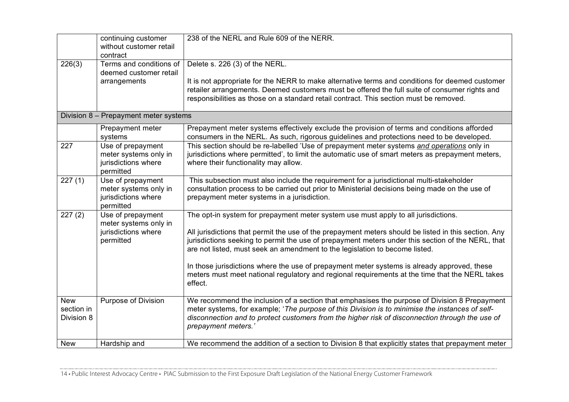|                                        | continuing customer<br>without customer retail<br>contract                     | 238 of the NERL and Rule 609 of the NERR.                                                                                                                                                                                                                                                                                                                                                                                                                                                                                                                                                  |
|----------------------------------------|--------------------------------------------------------------------------------|--------------------------------------------------------------------------------------------------------------------------------------------------------------------------------------------------------------------------------------------------------------------------------------------------------------------------------------------------------------------------------------------------------------------------------------------------------------------------------------------------------------------------------------------------------------------------------------------|
| 226(3)                                 | Terms and conditions of<br>deemed customer retail<br>arrangements              | Delete s. 226 (3) of the NERL.<br>It is not appropriate for the NERR to make alternative terms and conditions for deemed customer<br>retailer arrangements. Deemed customers must be offered the full suite of consumer rights and<br>responsibilities as those on a standard retail contract. This section must be removed.                                                                                                                                                                                                                                                               |
|                                        | Division 8 - Prepayment meter systems                                          |                                                                                                                                                                                                                                                                                                                                                                                                                                                                                                                                                                                            |
|                                        | Prepayment meter<br>systems                                                    | Prepayment meter systems effectively exclude the provision of terms and conditions afforded<br>consumers in the NERL. As such, rigorous guidelines and protections need to be developed.                                                                                                                                                                                                                                                                                                                                                                                                   |
| 227                                    | Use of prepayment<br>meter systems only in<br>jurisdictions where<br>permitted | This section should be re-labelled 'Use of prepayment meter systems and operations only in<br>jurisdictions where permitted', to limit the automatic use of smart meters as prepayment meters,<br>where their functionality may allow.                                                                                                                                                                                                                                                                                                                                                     |
| 227(1)                                 | Use of prepayment<br>meter systems only in<br>jurisdictions where<br>permitted | This subsection must also include the requirement for a jurisdictional multi-stakeholder<br>consultation process to be carried out prior to Ministerial decisions being made on the use of<br>prepayment meter systems in a jurisdiction.                                                                                                                                                                                                                                                                                                                                                  |
| 227(2)                                 | Use of prepayment<br>meter systems only in<br>jurisdictions where<br>permitted | The opt-in system for prepayment meter system use must apply to all jurisdictions.<br>All jurisdictions that permit the use of the prepayment meters should be listed in this section. Any<br>jurisdictions seeking to permit the use of prepayment meters under this section of the NERL, that<br>are not listed, must seek an amendment to the legislation to become listed.<br>In those jurisdictions where the use of prepayment meter systems is already approved, these<br>meters must meet national regulatory and regional requirements at the time that the NERL takes<br>effect. |
| <b>New</b><br>section in<br>Division 8 | Purpose of Division                                                            | We recommend the inclusion of a section that emphasises the purpose of Division 8 Prepayment<br>meter systems, for example; 'The purpose of this Division is to minimise the instances of self-<br>disconnection and to protect customers from the higher risk of disconnection through the use of<br>prepayment meters.'                                                                                                                                                                                                                                                                  |
| <b>New</b>                             | Hardship and                                                                   | We recommend the addition of a section to Division 8 that explicitly states that prepayment meter                                                                                                                                                                                                                                                                                                                                                                                                                                                                                          |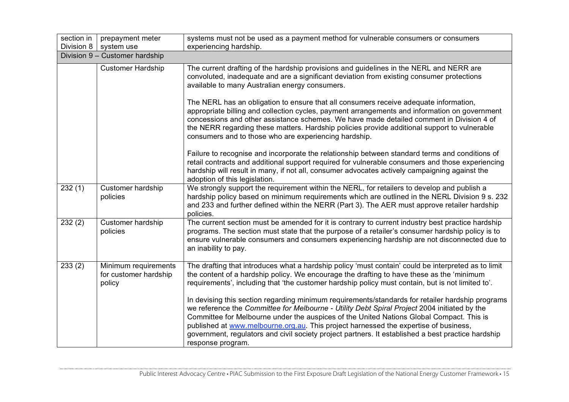| section in | prepayment meter                                        | systems must not be used as a payment method for vulnerable consumers or consumers                                                                                                                                                                                                                                                                                                                                                                                                                                                                                                                                                                                                            |  |
|------------|---------------------------------------------------------|-----------------------------------------------------------------------------------------------------------------------------------------------------------------------------------------------------------------------------------------------------------------------------------------------------------------------------------------------------------------------------------------------------------------------------------------------------------------------------------------------------------------------------------------------------------------------------------------------------------------------------------------------------------------------------------------------|--|
| Division 8 | system use                                              | experiencing hardship.                                                                                                                                                                                                                                                                                                                                                                                                                                                                                                                                                                                                                                                                        |  |
|            | Division 9 - Customer hardship                          |                                                                                                                                                                                                                                                                                                                                                                                                                                                                                                                                                                                                                                                                                               |  |
|            | <b>Customer Hardship</b>                                | The current drafting of the hardship provisions and guidelines in the NERL and NERR are<br>convoluted, inadequate and are a significant deviation from existing consumer protections<br>available to many Australian energy consumers.                                                                                                                                                                                                                                                                                                                                                                                                                                                        |  |
|            |                                                         | The NERL has an obligation to ensure that all consumers receive adequate information,<br>appropriate billing and collection cycles, payment arrangements and information on government<br>concessions and other assistance schemes. We have made detailed comment in Division 4 of<br>the NERR regarding these matters. Hardship policies provide additional support to vulnerable<br>consumers and to those who are experiencing hardship.                                                                                                                                                                                                                                                   |  |
|            |                                                         | Failure to recognise and incorporate the relationship between standard terms and conditions of<br>retail contracts and additional support required for vulnerable consumers and those experiencing<br>hardship will result in many, if not all, consumer advocates actively campaigning against the<br>adoption of this legislation.                                                                                                                                                                                                                                                                                                                                                          |  |
| 232(1)     | <b>Customer hardship</b><br>policies                    | We strongly support the requirement within the NERL, for retailers to develop and publish a<br>hardship policy based on minimum requirements which are outlined in the NERL Division 9 s. 232<br>and 233 and further defined within the NERR (Part 3). The AER must approve retailer hardship<br>policies.                                                                                                                                                                                                                                                                                                                                                                                    |  |
| 232(2)     | <b>Customer hardship</b><br>policies                    | The current section must be amended for it is contrary to current industry best practice hardship<br>programs. The section must state that the purpose of a retailer's consumer hardship policy is to<br>ensure vulnerable consumers and consumers experiencing hardship are not disconnected due to<br>an inability to pay.                                                                                                                                                                                                                                                                                                                                                                  |  |
| 233(2)     | Minimum requirements<br>for customer hardship<br>policy | The drafting that introduces what a hardship policy 'must contain' could be interpreted as to limit<br>the content of a hardship policy. We encourage the drafting to have these as the 'minimum<br>requirements', including that 'the customer hardship policy must contain, but is not limited to'.<br>In devising this section regarding minimum requirements/standards for retailer hardship programs<br>we reference the Committee for Melbourne - Utility Debt Spiral Project 2004 initiated by the<br>Committee for Melbourne under the auspices of the United Nations Global Compact. This is<br>published at www.melbourne.org.au. This project harnessed the expertise of business, |  |
|            |                                                         | government, regulators and civil society project partners. It established a best practice hardship<br>response program.                                                                                                                                                                                                                                                                                                                                                                                                                                                                                                                                                                       |  |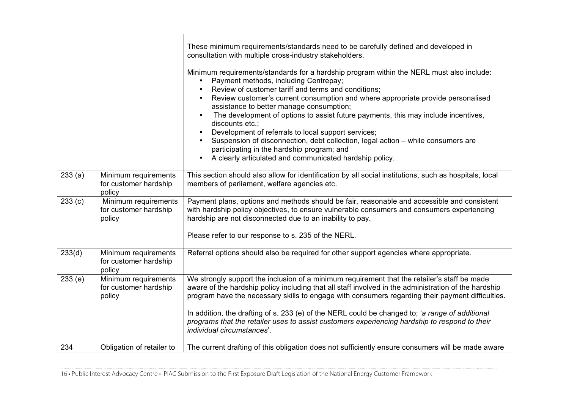|        |                                                         | These minimum requirements/standards need to be carefully defined and developed in<br>consultation with multiple cross-industry stakeholders.<br>Minimum requirements/standards for a hardship program within the NERL must also include:<br>Payment methods, including Centrepay;<br>Review of customer tariff and terms and conditions;<br>Review customer's current consumption and where appropriate provide personalised<br>assistance to better manage consumption;<br>The development of options to assist future payments, this may include incentives,<br>discounts etc.;<br>Development of referrals to local support services;<br>Suspension of disconnection, debt collection, legal action - while consumers are<br>participating in the hardship program; and<br>A clearly articulated and communicated hardship policy. |
|--------|---------------------------------------------------------|----------------------------------------------------------------------------------------------------------------------------------------------------------------------------------------------------------------------------------------------------------------------------------------------------------------------------------------------------------------------------------------------------------------------------------------------------------------------------------------------------------------------------------------------------------------------------------------------------------------------------------------------------------------------------------------------------------------------------------------------------------------------------------------------------------------------------------------|
| 233(a) | Minimum requirements<br>for customer hardship<br>policy | This section should also allow for identification by all social institutions, such as hospitals, local<br>members of parliament, welfare agencies etc.                                                                                                                                                                                                                                                                                                                                                                                                                                                                                                                                                                                                                                                                                 |
| 233(c) | Minimum requirements<br>for customer hardship<br>policy | Payment plans, options and methods should be fair, reasonable and accessible and consistent<br>with hardship policy objectives, to ensure vulnerable consumers and consumers experiencing<br>hardship are not disconnected due to an inability to pay.<br>Please refer to our response to s. 235 of the NERL.                                                                                                                                                                                                                                                                                                                                                                                                                                                                                                                          |
| 233(d) | Minimum requirements<br>for customer hardship<br>policy | Referral options should also be required for other support agencies where appropriate.                                                                                                                                                                                                                                                                                                                                                                                                                                                                                                                                                                                                                                                                                                                                                 |
| 233(e) | Minimum requirements<br>for customer hardship<br>policy | We strongly support the inclusion of a minimum requirement that the retailer's staff be made<br>aware of the hardship policy including that all staff involved in the administration of the hardship<br>program have the necessary skills to engage with consumers regarding their payment difficulties.<br>In addition, the drafting of s. 233 (e) of the NERL could be changed to; 'a range of additional<br>programs that the retailer uses to assist customers experiencing hardship to respond to their<br><i>individual circumstances'.</i>                                                                                                                                                                                                                                                                                      |
| 234    | Obligation of retailer to                               | The current drafting of this obligation does not sufficiently ensure consumers will be made aware                                                                                                                                                                                                                                                                                                                                                                                                                                                                                                                                                                                                                                                                                                                                      |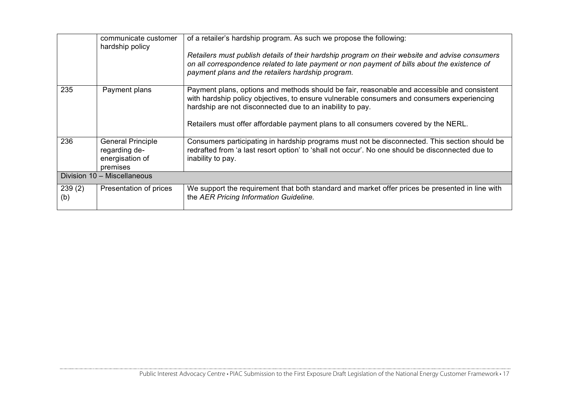|               | communicate customer<br>hardship policy                                  | of a retailer's hardship program. As such we propose the following:<br>Retailers must publish details of their hardship program on their website and advise consumers<br>on all correspondence related to late payment or non payment of bills about the existence of<br>payment plans and the retailers hardship program. |
|---------------|--------------------------------------------------------------------------|----------------------------------------------------------------------------------------------------------------------------------------------------------------------------------------------------------------------------------------------------------------------------------------------------------------------------|
|               |                                                                          |                                                                                                                                                                                                                                                                                                                            |
| 235           | Payment plans                                                            | Payment plans, options and methods should be fair, reasonable and accessible and consistent<br>with hardship policy objectives, to ensure vulnerable consumers and consumers experiencing<br>hardship are not disconnected due to an inability to pay.                                                                     |
|               |                                                                          | Retailers must offer affordable payment plans to all consumers covered by the NERL.                                                                                                                                                                                                                                        |
| 236           | <b>General Principle</b><br>regarding de-<br>energisation of<br>premises | Consumers participating in hardship programs must not be disconnected. This section should be<br>redrafted from 'a last resort option' to 'shall not occur'. No one should be disconnected due to<br>inability to pay.                                                                                                     |
|               | Division 10 - Miscellaneous                                              |                                                                                                                                                                                                                                                                                                                            |
| 239(2)<br>(b) | Presentation of prices                                                   | We support the requirement that both standard and market offer prices be presented in line with<br>the AER Pricing Information Guideline.                                                                                                                                                                                  |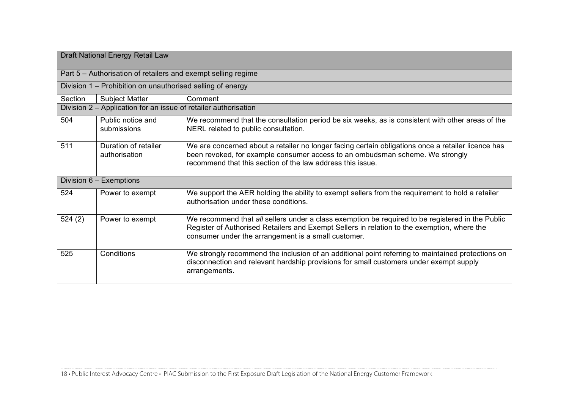| Draft National Energy Retail Law |                                                                 |                                                                                                                                                                                                                                                        |  |  |
|----------------------------------|-----------------------------------------------------------------|--------------------------------------------------------------------------------------------------------------------------------------------------------------------------------------------------------------------------------------------------------|--|--|
|                                  | Part 5 – Authorisation of retailers and exempt selling regime   |                                                                                                                                                                                                                                                        |  |  |
|                                  | Division 1 – Prohibition on unauthorised selling of energy      |                                                                                                                                                                                                                                                        |  |  |
| Section                          | <b>Subject Matter</b>                                           | Comment                                                                                                                                                                                                                                                |  |  |
|                                  | Division 2 – Application for an issue of retailer authorisation |                                                                                                                                                                                                                                                        |  |  |
| 504                              | Public notice and<br>submissions                                | We recommend that the consultation period be six weeks, as is consistent with other areas of the<br>NERL related to public consultation.                                                                                                               |  |  |
| 511                              | Duration of retailer<br>authorisation                           | We are concerned about a retailer no longer facing certain obligations once a retailer licence has<br>been revoked, for example consumer access to an ombudsman scheme. We strongly<br>recommend that this section of the law address this issue.      |  |  |
|                                  | Division 6 - Exemptions                                         |                                                                                                                                                                                                                                                        |  |  |
| 524                              | Power to exempt                                                 | We support the AER holding the ability to exempt sellers from the requirement to hold a retailer<br>authorisation under these conditions.                                                                                                              |  |  |
| 524(2)                           | Power to exempt                                                 | We recommend that all sellers under a class exemption be required to be registered in the Public<br>Register of Authorised Retailers and Exempt Sellers in relation to the exemption, where the<br>consumer under the arrangement is a small customer. |  |  |
| 525                              | Conditions                                                      | We strongly recommend the inclusion of an additional point referring to maintained protections on<br>disconnection and relevant hardship provisions for small customers under exempt supply<br>arrangements.                                           |  |  |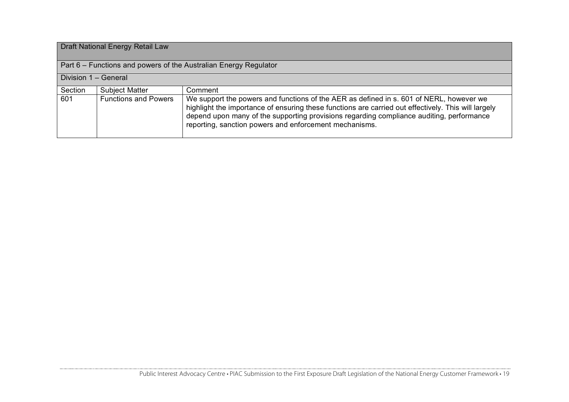### Draft National Energy Retail Law

Part 6 – Functions and powers of the Australian Energy Regulator

#### Division 1 – General

| Section | <b>Subject Matter</b>       | Comment                                                                                                                                                                                                                                                                                                                                              |
|---------|-----------------------------|------------------------------------------------------------------------------------------------------------------------------------------------------------------------------------------------------------------------------------------------------------------------------------------------------------------------------------------------------|
| 601     | <b>Functions and Powers</b> | We support the powers and functions of the AER as defined in s. 601 of NERL, however we<br>highlight the importance of ensuring these functions are carried out effectively. This will largely<br>depend upon many of the supporting provisions regarding compliance auditing, performance<br>reporting, sanction powers and enforcement mechanisms. |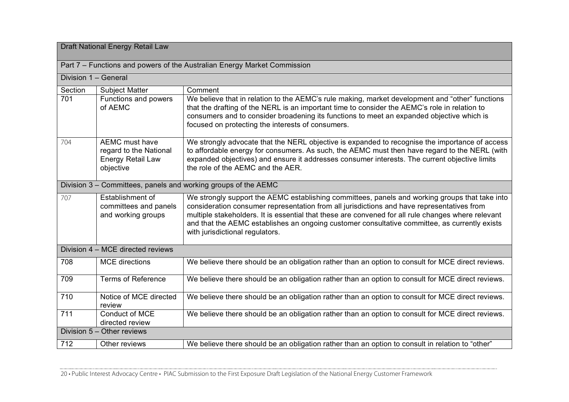### Draft National Energy Retail Law

Division 1 – General

Part 7 – Functions and powers of the Australian Energy Market Commission

| DIVISION T – GENETAL |                                                                                          |                                                                                                                                                                                                                                                                                                                                                                                                                                        |  |
|----------------------|------------------------------------------------------------------------------------------|----------------------------------------------------------------------------------------------------------------------------------------------------------------------------------------------------------------------------------------------------------------------------------------------------------------------------------------------------------------------------------------------------------------------------------------|--|
| Section              | <b>Subject Matter</b>                                                                    | Comment                                                                                                                                                                                                                                                                                                                                                                                                                                |  |
| 701                  | Functions and powers<br>of AEMC                                                          | We believe that in relation to the AEMC's rule making, market development and "other" functions<br>that the drafting of the NERL is an important time to consider the AEMC's role in relation to<br>consumers and to consider broadening its functions to meet an expanded objective which is<br>focused on protecting the interests of consumers.                                                                                     |  |
| 704                  | <b>AEMC</b> must have<br>regard to the National<br><b>Energy Retail Law</b><br>objective | We strongly advocate that the NERL objective is expanded to recognise the importance of access<br>to affordable energy for consumers. As such, the AEMC must then have regard to the NERL (with<br>expanded objectives) and ensure it addresses consumer interests. The current objective limits<br>the role of the AEMC and the AER.                                                                                                  |  |
|                      |                                                                                          | Division 3 - Committees, panels and working groups of the AEMC                                                                                                                                                                                                                                                                                                                                                                         |  |
| 707                  | Establishment of<br>committees and panels<br>and working groups                          | We strongly support the AEMC establishing committees, panels and working groups that take into<br>consideration consumer representation from all jurisdictions and have representatives from<br>multiple stakeholders. It is essential that these are convened for all rule changes where relevant<br>and that the AEMC establishes an ongoing customer consultative committee, as currently exists<br>with jurisdictional regulators. |  |
|                      | Division 4 – MCE directed reviews                                                        |                                                                                                                                                                                                                                                                                                                                                                                                                                        |  |
| 708                  | <b>MCE</b> directions                                                                    | We believe there should be an obligation rather than an option to consult for MCE direct reviews.                                                                                                                                                                                                                                                                                                                                      |  |
| 709                  | <b>Terms of Reference</b>                                                                | We believe there should be an obligation rather than an option to consult for MCE direct reviews.                                                                                                                                                                                                                                                                                                                                      |  |
| 710                  | Notice of MCE directed<br>review                                                         | We believe there should be an obligation rather than an option to consult for MCE direct reviews.                                                                                                                                                                                                                                                                                                                                      |  |
| 711                  | Conduct of MCE<br>directed review                                                        | We believe there should be an obligation rather than an option to consult for MCE direct reviews.                                                                                                                                                                                                                                                                                                                                      |  |
|                      | Division 5 - Other reviews                                                               |                                                                                                                                                                                                                                                                                                                                                                                                                                        |  |
| 712                  | Other reviews                                                                            | We believe there should be an obligation rather than an option to consult in relation to "other"                                                                                                                                                                                                                                                                                                                                       |  |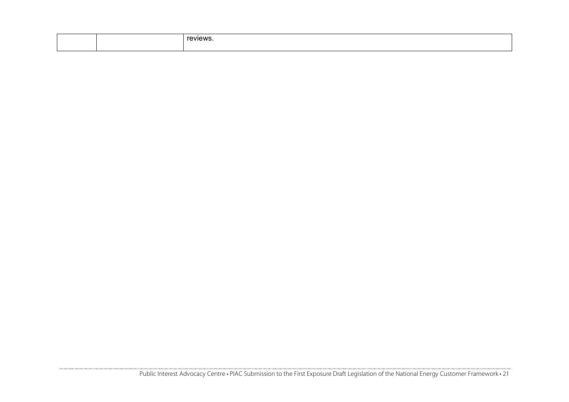|  | - - - |
|--|-------|
|  |       |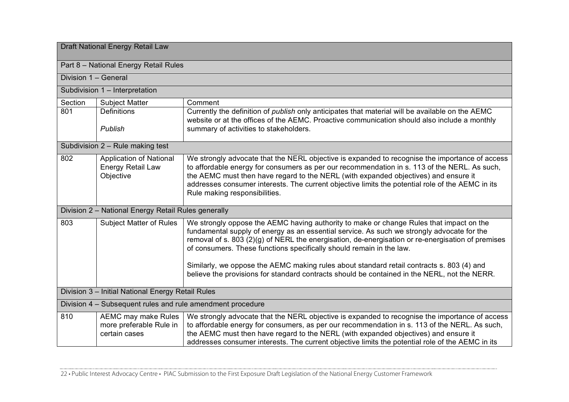| Draft National Energy Retail Law                           |                                                                         |                                                                                                                                                                                                                                                                                                                                                                                                                            |  |
|------------------------------------------------------------|-------------------------------------------------------------------------|----------------------------------------------------------------------------------------------------------------------------------------------------------------------------------------------------------------------------------------------------------------------------------------------------------------------------------------------------------------------------------------------------------------------------|--|
| Part 8 - National Energy Retail Rules                      |                                                                         |                                                                                                                                                                                                                                                                                                                                                                                                                            |  |
|                                                            | Division 1 - General                                                    |                                                                                                                                                                                                                                                                                                                                                                                                                            |  |
|                                                            | Subdivision 1 - Interpretation                                          |                                                                                                                                                                                                                                                                                                                                                                                                                            |  |
| Section                                                    | <b>Subject Matter</b>                                                   | Comment                                                                                                                                                                                                                                                                                                                                                                                                                    |  |
| 801                                                        | <b>Definitions</b>                                                      | Currently the definition of <i>publish</i> only anticipates that material will be available on the AEMC<br>website or at the offices of the AEMC. Proactive communication should also include a monthly                                                                                                                                                                                                                    |  |
|                                                            | Publish                                                                 | summary of activities to stakeholders.                                                                                                                                                                                                                                                                                                                                                                                     |  |
|                                                            | Subdivision 2 - Rule making test                                        |                                                                                                                                                                                                                                                                                                                                                                                                                            |  |
| 802                                                        | <b>Application of National</b><br><b>Energy Retail Law</b><br>Objective | We strongly advocate that the NERL objective is expanded to recognise the importance of access<br>to affordable energy for consumers as per our recommendation in s. 113 of the NERL. As such,<br>the AEMC must then have regard to the NERL (with expanded objectives) and ensure it<br>addresses consumer interests. The current objective limits the potential role of the AEMC in its<br>Rule making responsibilities. |  |
|                                                            | Division 2 - National Energy Retail Rules generally                     |                                                                                                                                                                                                                                                                                                                                                                                                                            |  |
| 803                                                        | <b>Subject Matter of Rules</b>                                          | We strongly oppose the AEMC having authority to make or change Rules that impact on the<br>fundamental supply of energy as an essential service. As such we strongly advocate for the<br>removal of s. 803 (2)(g) of NERL the energisation, de-energisation or re-energisation of premises<br>of consumers. These functions specifically should remain in the law.                                                         |  |
|                                                            |                                                                         | Similarly, we oppose the AEMC making rules about standard retail contracts s. 803 (4) and<br>believe the provisions for standard contracts should be contained in the NERL, not the NERR.                                                                                                                                                                                                                                  |  |
|                                                            | Division 3 - Initial National Energy Retail Rules                       |                                                                                                                                                                                                                                                                                                                                                                                                                            |  |
| Division 4 – Subsequent rules and rule amendment procedure |                                                                         |                                                                                                                                                                                                                                                                                                                                                                                                                            |  |
| 810                                                        | <b>AEMC may make Rules</b><br>more preferable Rule in<br>certain cases  | We strongly advocate that the NERL objective is expanded to recognise the importance of access<br>to affordable energy for consumers, as per our recommendation in s. 113 of the NERL. As such,<br>the AEMC must then have regard to the NERL (with expanded objectives) and ensure it<br>addresses consumer interests. The current objective limits the potential role of the AEMC in its                                 |  |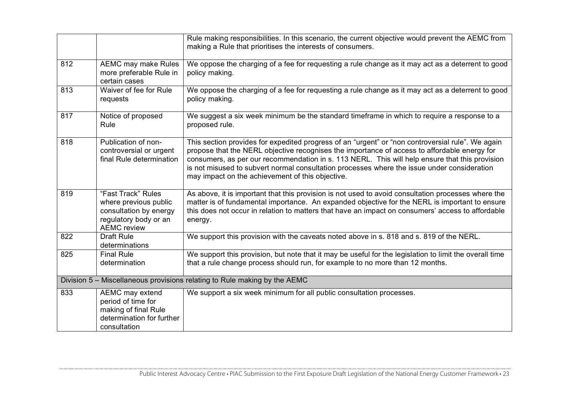|     |                                                                                                                      | Rule making responsibilities. In this scenario, the current objective would prevent the AEMC from<br>making a Rule that prioritises the interests of consumers.                                                                                                                                                                                                                                                                                        |
|-----|----------------------------------------------------------------------------------------------------------------------|--------------------------------------------------------------------------------------------------------------------------------------------------------------------------------------------------------------------------------------------------------------------------------------------------------------------------------------------------------------------------------------------------------------------------------------------------------|
| 812 | AEMC may make Rules<br>more preferable Rule in<br>certain cases                                                      | We oppose the charging of a fee for requesting a rule change as it may act as a deterrent to good<br>policy making.                                                                                                                                                                                                                                                                                                                                    |
| 813 | Waiver of fee for Rule<br>requests                                                                                   | We oppose the charging of a fee for requesting a rule change as it may act as a deterrent to good<br>policy making.                                                                                                                                                                                                                                                                                                                                    |
| 817 | Notice of proposed<br>Rule                                                                                           | We suggest a six week minimum be the standard timeframe in which to require a response to a<br>proposed rule.                                                                                                                                                                                                                                                                                                                                          |
| 818 | Publication of non-<br>controversial or urgent<br>final Rule determination                                           | This section provides for expedited progress of an "urgent" or "non controversial rule". We again<br>propose that the NERL objective recognises the importance of access to affordable energy for<br>consumers, as per our recommendation in s. 113 NERL. This will help ensure that this provision<br>is not misused to subvert normal consultation processes where the issue under consideration<br>may impact on the achievement of this objective. |
| 819 | "Fast Track" Rules<br>where previous public<br>consultation by energy<br>regulatory body or an<br><b>AEMC</b> review | As above, it is important that this provision is not used to avoid consultation processes where the<br>matter is of fundamental importance. An expanded objective for the NERL is important to ensure<br>this does not occur in relation to matters that have an impact on consumers' access to affordable<br>energy.                                                                                                                                  |
| 822 | <b>Draft Rule</b><br>determinations                                                                                  | We support this provision with the caveats noted above in s. 818 and s. 819 of the NERL.                                                                                                                                                                                                                                                                                                                                                               |
| 825 | <b>Final Rule</b><br>determination                                                                                   | We support this provision, but note that it may be useful for the legislation to limit the overall time<br>that a rule change process should run, for example to no more than 12 months.                                                                                                                                                                                                                                                               |
|     |                                                                                                                      | Division 5 - Miscellaneous provisions relating to Rule making by the AEMC                                                                                                                                                                                                                                                                                                                                                                              |
| 833 | AEMC may extend<br>period of time for<br>making of final Rule<br>determination for further<br>consultation           | We support a six week minimum for all public consultation processes.                                                                                                                                                                                                                                                                                                                                                                                   |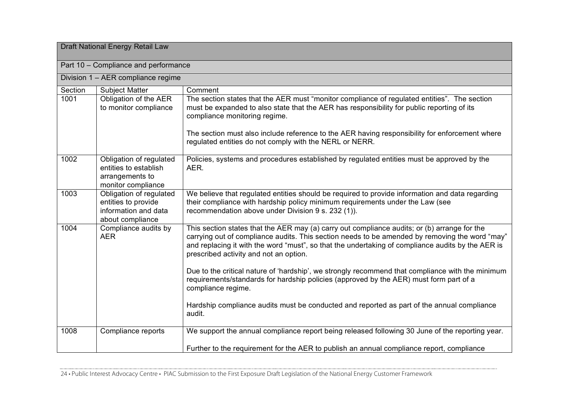| Draft National Energy Retail Law |                                                                                            |                                                                                                                                                                                                                                                                                                                                               |  |
|----------------------------------|--------------------------------------------------------------------------------------------|-----------------------------------------------------------------------------------------------------------------------------------------------------------------------------------------------------------------------------------------------------------------------------------------------------------------------------------------------|--|
|                                  | Part 10 - Compliance and performance                                                       |                                                                                                                                                                                                                                                                                                                                               |  |
|                                  | Division 1 – AER compliance regime                                                         |                                                                                                                                                                                                                                                                                                                                               |  |
| Section                          | <b>Subject Matter</b>                                                                      | Comment                                                                                                                                                                                                                                                                                                                                       |  |
| 1001                             | Obligation of the AER<br>to monitor compliance                                             | The section states that the AER must "monitor compliance of regulated entities". The section<br>must be expanded to also state that the AER has responsibility for public reporting of its<br>compliance monitoring regime.                                                                                                                   |  |
|                                  |                                                                                            | The section must also include reference to the AER having responsibility for enforcement where<br>regulated entities do not comply with the NERL or NERR.                                                                                                                                                                                     |  |
| 1002                             | Obligation of regulated<br>entities to establish<br>arrangements to<br>monitor compliance  | Policies, systems and procedures established by regulated entities must be approved by the<br>AER.                                                                                                                                                                                                                                            |  |
| 1003                             | Obligation of regulated<br>entities to provide<br>information and data<br>about compliance | We believe that regulated entities should be required to provide information and data regarding<br>their compliance with hardship policy minimum requirements under the Law (see<br>recommendation above under Division 9 s. 232 (1)).                                                                                                        |  |
| 1004                             | Compliance audits by<br><b>AER</b>                                                         | This section states that the AER may (a) carry out compliance audits; or (b) arrange for the<br>carrying out of compliance audits. This section needs to be amended by removing the word "may"<br>and replacing it with the word "must", so that the undertaking of compliance audits by the AER is<br>prescribed activity and not an option. |  |
|                                  |                                                                                            | Due to the critical nature of 'hardship', we strongly recommend that compliance with the minimum<br>requirements/standards for hardship policies (approved by the AER) must form part of a<br>compliance regime.                                                                                                                              |  |
|                                  |                                                                                            | Hardship compliance audits must be conducted and reported as part of the annual compliance<br>audit.                                                                                                                                                                                                                                          |  |
| 1008                             | Compliance reports                                                                         | We support the annual compliance report being released following 30 June of the reporting year.                                                                                                                                                                                                                                               |  |
|                                  |                                                                                            | Further to the requirement for the AER to publish an annual compliance report, compliance                                                                                                                                                                                                                                                     |  |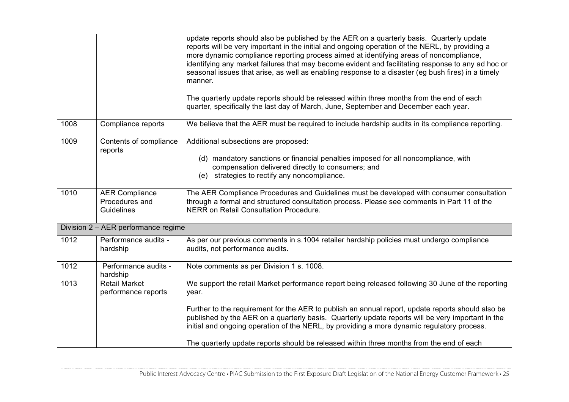|      |                                                       | update reports should also be published by the AER on a quarterly basis. Quarterly update<br>reports will be very important in the initial and ongoing operation of the NERL, by providing a<br>more dynamic compliance reporting process aimed at identifying areas of noncompliance,<br>identifying any market failures that may become evident and facilitating response to any ad hoc or<br>seasonal issues that arise, as well as enabling response to a disaster (eg bush fires) in a timely<br>manner. |
|------|-------------------------------------------------------|---------------------------------------------------------------------------------------------------------------------------------------------------------------------------------------------------------------------------------------------------------------------------------------------------------------------------------------------------------------------------------------------------------------------------------------------------------------------------------------------------------------|
|      |                                                       | The quarterly update reports should be released within three months from the end of each<br>quarter, specifically the last day of March, June, September and December each year.                                                                                                                                                                                                                                                                                                                              |
| 1008 | Compliance reports                                    | We believe that the AER must be required to include hardship audits in its compliance reporting.                                                                                                                                                                                                                                                                                                                                                                                                              |
| 1009 | Contents of compliance<br>reports                     | Additional subsections are proposed:<br>(d) mandatory sanctions or financial penalties imposed for all noncompliance, with<br>compensation delivered directly to consumers; and<br>(e) strategies to rectify any noncompliance.                                                                                                                                                                                                                                                                               |
| 1010 | <b>AER Compliance</b><br>Procedures and<br>Guidelines | The AER Compliance Procedures and Guidelines must be developed with consumer consultation<br>through a formal and structured consultation process. Please see comments in Part 11 of the<br>NERR on Retail Consultation Procedure.                                                                                                                                                                                                                                                                            |
|      | Division 2 - AER performance regime                   |                                                                                                                                                                                                                                                                                                                                                                                                                                                                                                               |
| 1012 | Performance audits -<br>hardship                      | As per our previous comments in s.1004 retailer hardship policies must undergo compliance<br>audits, not performance audits.                                                                                                                                                                                                                                                                                                                                                                                  |
| 1012 | Performance audits -<br>hardship                      | Note comments as per Division 1 s. 1008.                                                                                                                                                                                                                                                                                                                                                                                                                                                                      |
| 1013 | <b>Retail Market</b><br>performance reports           | We support the retail Market performance report being released following 30 June of the reporting<br>year.                                                                                                                                                                                                                                                                                                                                                                                                    |
|      |                                                       | Further to the requirement for the AER to publish an annual report, update reports should also be<br>published by the AER on a quarterly basis. Quarterly update reports will be very important in the<br>initial and ongoing operation of the NERL, by providing a more dynamic regulatory process.<br>The quarterly update reports should be released within three months from the end of each                                                                                                              |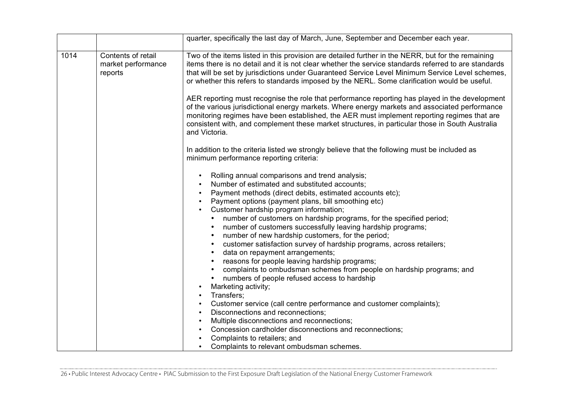|      |                                                     | quarter, specifically the last day of March, June, September and December each year.                                                                                                                                                                                                                                                                                                                                                                                                                                                                                                                                                                                                                                                                                                                                                                                                                                                                                                                                                                                                                                                                                                                                         |
|------|-----------------------------------------------------|------------------------------------------------------------------------------------------------------------------------------------------------------------------------------------------------------------------------------------------------------------------------------------------------------------------------------------------------------------------------------------------------------------------------------------------------------------------------------------------------------------------------------------------------------------------------------------------------------------------------------------------------------------------------------------------------------------------------------------------------------------------------------------------------------------------------------------------------------------------------------------------------------------------------------------------------------------------------------------------------------------------------------------------------------------------------------------------------------------------------------------------------------------------------------------------------------------------------------|
| 1014 | Contents of retail<br>market performance<br>reports | Two of the items listed in this provision are detailed further in the NERR, but for the remaining<br>items there is no detail and it is not clear whether the service standards referred to are standards<br>that will be set by jurisdictions under Guaranteed Service Level Minimum Service Level schemes,<br>or whether this refers to standards imposed by the NERL. Some clarification would be useful.                                                                                                                                                                                                                                                                                                                                                                                                                                                                                                                                                                                                                                                                                                                                                                                                                 |
|      |                                                     | AER reporting must recognise the role that performance reporting has played in the development<br>of the various jurisdictional energy markets. Where energy markets and associated performance<br>monitoring regimes have been established, the AER must implement reporting regimes that are<br>consistent with, and complement these market structures, in particular those in South Australia<br>and Victoria.                                                                                                                                                                                                                                                                                                                                                                                                                                                                                                                                                                                                                                                                                                                                                                                                           |
|      |                                                     | In addition to the criteria listed we strongly believe that the following must be included as<br>minimum performance reporting criteria:                                                                                                                                                                                                                                                                                                                                                                                                                                                                                                                                                                                                                                                                                                                                                                                                                                                                                                                                                                                                                                                                                     |
|      |                                                     | Rolling annual comparisons and trend analysis;<br>$\bullet$<br>Number of estimated and substituted accounts;<br>$\bullet$<br>Payment methods (direct debits, estimated accounts etc);<br>$\bullet$<br>Payment options (payment plans, bill smoothing etc)<br>$\bullet$<br>Customer hardship program information;<br>number of customers on hardship programs, for the specified period;<br>number of customers successfully leaving hardship programs;<br>$\bullet$<br>number of new hardship customers, for the period;<br>$\bullet$<br>customer satisfaction survey of hardship programs, across retailers;<br>$\bullet$<br>data on repayment arrangements;<br>$\bullet$<br>reasons for people leaving hardship programs;<br>complaints to ombudsman schemes from people on hardship programs; and<br>numbers of people refused access to hardship<br>Marketing activity;<br>$\bullet$<br>Transfers;<br>$\bullet$<br>Customer service (call centre performance and customer complaints);<br>$\bullet$<br>Disconnections and reconnections:<br>$\bullet$<br>Multiple disconnections and reconnections;<br>$\bullet$<br>Concession cardholder disconnections and reconnections;<br>$\bullet$<br>Complaints to retailers; and |
|      |                                                     | Complaints to relevant ombudsman schemes.                                                                                                                                                                                                                                                                                                                                                                                                                                                                                                                                                                                                                                                                                                                                                                                                                                                                                                                                                                                                                                                                                                                                                                                    |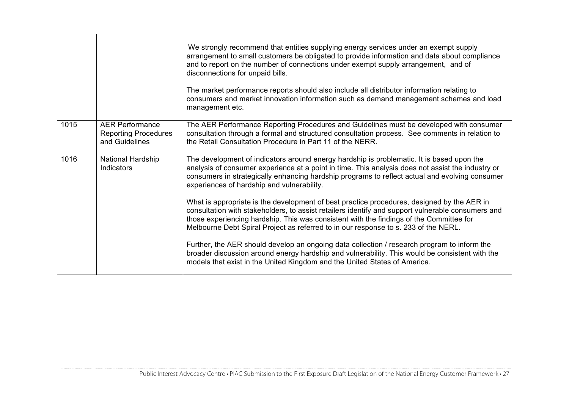|      |                                                                         | We strongly recommend that entities supplying energy services under an exempt supply<br>arrangement to small customers be obligated to provide information and data about compliance<br>and to report on the number of connections under exempt supply arrangement, and of<br>disconnections for unpaid bills.<br>The market performance reports should also include all distributor information relating to<br>consumers and market innovation information such as demand management schemes and load<br>management etc.                                                                                                                    |
|------|-------------------------------------------------------------------------|----------------------------------------------------------------------------------------------------------------------------------------------------------------------------------------------------------------------------------------------------------------------------------------------------------------------------------------------------------------------------------------------------------------------------------------------------------------------------------------------------------------------------------------------------------------------------------------------------------------------------------------------|
| 1015 | <b>AER Performance</b><br><b>Reporting Procedures</b><br>and Guidelines | The AER Performance Reporting Procedures and Guidelines must be developed with consumer<br>consultation through a formal and structured consultation process. See comments in relation to<br>the Retail Consultation Procedure in Part 11 of the NERR.                                                                                                                                                                                                                                                                                                                                                                                       |
| 1016 | National Hardship<br>Indicators                                         | The development of indicators around energy hardship is problematic. It is based upon the<br>analysis of consumer experience at a point in time. This analysis does not assist the industry or<br>consumers in strategically enhancing hardship programs to reflect actual and evolving consumer<br>experiences of hardship and vulnerability.<br>What is appropriate is the development of best practice procedures, designed by the AER in<br>consultation with stakeholders, to assist retailers identify and support vulnerable consumers and<br>those experiencing hardship. This was consistent with the findings of the Committee for |
|      |                                                                         | Melbourne Debt Spiral Project as referred to in our response to s. 233 of the NERL.<br>Further, the AER should develop an ongoing data collection / research program to inform the<br>broader discussion around energy hardship and vulnerability. This would be consistent with the<br>models that exist in the United Kingdom and the United States of America.                                                                                                                                                                                                                                                                            |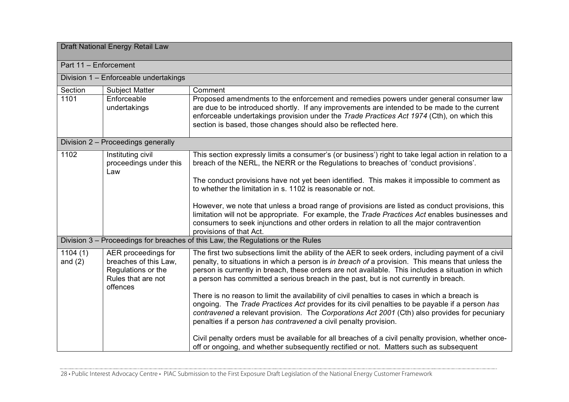| Draft National Energy Retail Law |                                                                                                      |                                                                                                                                                                                                                                                                                                                                                                                                      |
|----------------------------------|------------------------------------------------------------------------------------------------------|------------------------------------------------------------------------------------------------------------------------------------------------------------------------------------------------------------------------------------------------------------------------------------------------------------------------------------------------------------------------------------------------------|
| Part 11 - Enforcement            |                                                                                                      |                                                                                                                                                                                                                                                                                                                                                                                                      |
|                                  | Division 1 - Enforceable undertakings                                                                |                                                                                                                                                                                                                                                                                                                                                                                                      |
| Section                          | <b>Subject Matter</b>                                                                                | Comment                                                                                                                                                                                                                                                                                                                                                                                              |
| 1101                             | Enforceable<br>undertakings                                                                          | Proposed amendments to the enforcement and remedies powers under general consumer law<br>are due to be introduced shortly. If any improvements are intended to be made to the current<br>enforceable undertakings provision under the Trade Practices Act 1974 (Cth), on which this<br>section is based, those changes should also be reflected here.                                                |
|                                  | Division 2 - Proceedings generally                                                                   |                                                                                                                                                                                                                                                                                                                                                                                                      |
| $\frac{1102}{ }$                 | Instituting civil<br>proceedings under this<br>Law                                                   | This section expressly limits a consumer's (or business') right to take legal action in relation to a<br>breach of the NERL, the NERR or the Regulations to breaches of 'conduct provisions'.                                                                                                                                                                                                        |
|                                  |                                                                                                      | The conduct provisions have not yet been identified. This makes it impossible to comment as<br>to whether the limitation in s. 1102 is reasonable or not.                                                                                                                                                                                                                                            |
|                                  |                                                                                                      | However, we note that unless a broad range of provisions are listed as conduct provisions, this<br>limitation will not be appropriate. For example, the Trade Practices Act enables businesses and<br>consumers to seek injunctions and other orders in relation to all the major contravention<br>provisions of that Act.                                                                           |
|                                  |                                                                                                      | Division 3 – Proceedings for breaches of this Law, the Regulations or the Rules                                                                                                                                                                                                                                                                                                                      |
| 1104(1)<br>and $(2)$             | AER proceedings for<br>breaches of this Law,<br>Regulations or the<br>Rules that are not<br>offences | The first two subsections limit the ability of the AER to seek orders, including payment of a civil<br>penalty, to situations in which a person is in breach of a provision. This means that unless the<br>person is currently in breach, these orders are not available. This includes a situation in which<br>a person has committed a serious breach in the past, but is not currently in breach. |
|                                  |                                                                                                      | There is no reason to limit the availability of civil penalties to cases in which a breach is<br>ongoing. The Trade Practices Act provides for its civil penalties to be payable if a person has<br>contravened a relevant provision. The Corporations Act 2001 (Cth) also provides for pecuniary<br>penalties if a person has contravened a civil penalty provision.                                |
|                                  |                                                                                                      | Civil penalty orders must be available for all breaches of a civil penalty provision, whether once-<br>off or ongoing, and whether subsequently rectified or not. Matters such as subsequent                                                                                                                                                                                                         |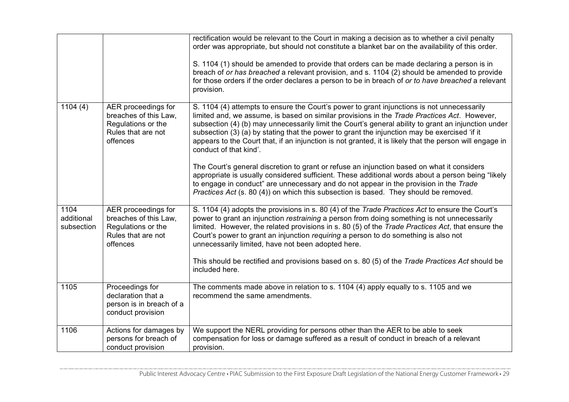|                                  |                                                                                                      | rectification would be relevant to the Court in making a decision as to whether a civil penalty<br>order was appropriate, but should not constitute a blanket bar on the availability of this order.<br>S. 1104 (1) should be amended to provide that orders can be made declaring a person is in<br>breach of or has breached a relevant provision, and s. 1104 (2) should be amended to provide<br>for those orders if the order declares a person to be in breach of or to have breached a relevant<br>provision.                                                                                                                                                                                                                     |
|----------------------------------|------------------------------------------------------------------------------------------------------|------------------------------------------------------------------------------------------------------------------------------------------------------------------------------------------------------------------------------------------------------------------------------------------------------------------------------------------------------------------------------------------------------------------------------------------------------------------------------------------------------------------------------------------------------------------------------------------------------------------------------------------------------------------------------------------------------------------------------------------|
| 1104(4)                          | AER proceedings for<br>breaches of this Law,<br>Regulations or the<br>Rules that are not<br>offences | S. 1104 (4) attempts to ensure the Court's power to grant injunctions is not unnecessarily<br>limited and, we assume, is based on similar provisions in the Trade Practices Act. However,<br>subsection (4) (b) may unnecessarily limit the Court's general ability to grant an injunction under<br>subsection (3) (a) by stating that the power to grant the injunction may be exercised 'if it<br>appears to the Court that, if an injunction is not granted, it is likely that the person will engage in<br>conduct of that kind'.<br>The Court's general discretion to grant or refuse an injunction based on what it considers<br>appropriate is usually considered sufficient. These additional words about a person being "likely |
|                                  |                                                                                                      | to engage in conduct" are unnecessary and do not appear in the provision in the Trade<br>Practices Act (s. 80 (4)) on which this subsection is based. They should be removed.                                                                                                                                                                                                                                                                                                                                                                                                                                                                                                                                                            |
| 1104<br>additional<br>subsection | AER proceedings for<br>breaches of this Law,<br>Regulations or the<br>Rules that are not<br>offences | S. 1104 (4) adopts the provisions in s. 80 (4) of the Trade Practices Act to ensure the Court's<br>power to grant an injunction restraining a person from doing something is not unnecessarily<br>limited. However, the related provisions in s. 80 (5) of the Trade Practices Act, that ensure the<br>Court's power to grant an injunction requiring a person to do something is also not<br>unnecessarily limited, have not been adopted here.                                                                                                                                                                                                                                                                                         |
|                                  |                                                                                                      | This should be rectified and provisions based on s. 80 (5) of the Trade Practices Act should be<br>included here.                                                                                                                                                                                                                                                                                                                                                                                                                                                                                                                                                                                                                        |
| 1105                             | Proceedings for<br>declaration that a<br>person is in breach of a<br>conduct provision               | The comments made above in relation to s. 1104 (4) apply equally to s. 1105 and we<br>recommend the same amendments.                                                                                                                                                                                                                                                                                                                                                                                                                                                                                                                                                                                                                     |
| 1106                             | Actions for damages by<br>persons for breach of<br>conduct provision                                 | We support the NERL providing for persons other than the AER to be able to seek<br>compensation for loss or damage suffered as a result of conduct in breach of a relevant<br>provision.                                                                                                                                                                                                                                                                                                                                                                                                                                                                                                                                                 |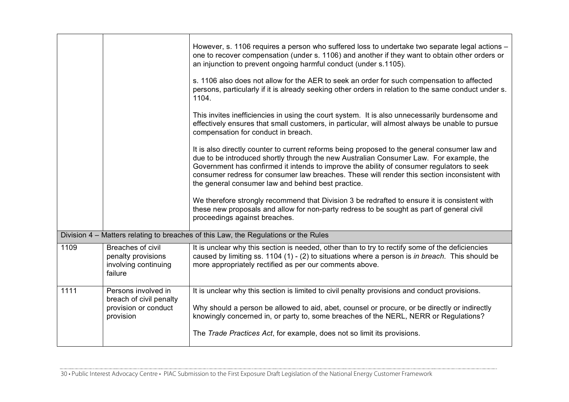|      |                                                                                     | However, s. 1106 requires a person who suffered loss to undertake two separate legal actions –<br>one to recover compensation (under s. 1106) and another if they want to obtain other orders or<br>an injunction to prevent ongoing harmful conduct (under s.1105).<br>s. 1106 also does not allow for the AER to seek an order for such compensation to affected<br>persons, particularly if it is already seeking other orders in relation to the same conduct under s.<br>1104.<br>This invites inefficiencies in using the court system. It is also unnecessarily burdensome and<br>effectively ensures that small customers, in particular, will almost always be unable to pursue<br>compensation for conduct in breach. |
|------|-------------------------------------------------------------------------------------|---------------------------------------------------------------------------------------------------------------------------------------------------------------------------------------------------------------------------------------------------------------------------------------------------------------------------------------------------------------------------------------------------------------------------------------------------------------------------------------------------------------------------------------------------------------------------------------------------------------------------------------------------------------------------------------------------------------------------------|
|      |                                                                                     | It is also directly counter to current reforms being proposed to the general consumer law and<br>due to be introduced shortly through the new Australian Consumer Law. For example, the<br>Government has confirmed it intends to improve the ability of consumer regulators to seek<br>consumer redress for consumer law breaches. These will render this section inconsistent with<br>the general consumer law and behind best practice.<br>We therefore strongly recommend that Division 3 be redrafted to ensure it is consistent with                                                                                                                                                                                      |
|      |                                                                                     | these new proposals and allow for non-party redress to be sought as part of general civil<br>proceedings against breaches.                                                                                                                                                                                                                                                                                                                                                                                                                                                                                                                                                                                                      |
|      |                                                                                     | Division 4 - Matters relating to breaches of this Law, the Regulations or the Rules                                                                                                                                                                                                                                                                                                                                                                                                                                                                                                                                                                                                                                             |
| 1109 | Breaches of civil<br>penalty provisions<br>involving continuing<br>failure          | It is unclear why this section is needed, other than to try to rectify some of the deficiencies<br>caused by limiting ss. 1104 (1) - (2) to situations where a person is in breach. This should be<br>more appropriately rectified as per our comments above.                                                                                                                                                                                                                                                                                                                                                                                                                                                                   |
| 1111 | Persons involved in<br>breach of civil penalty<br>provision or conduct<br>provision | It is unclear why this section is limited to civil penalty provisions and conduct provisions.<br>Why should a person be allowed to aid, abet, counsel or procure, or be directly or indirectly<br>knowingly concerned in, or party to, some breaches of the NERL, NERR or Regulations?                                                                                                                                                                                                                                                                                                                                                                                                                                          |
|      |                                                                                     | The Trade Practices Act, for example, does not so limit its provisions.                                                                                                                                                                                                                                                                                                                                                                                                                                                                                                                                                                                                                                                         |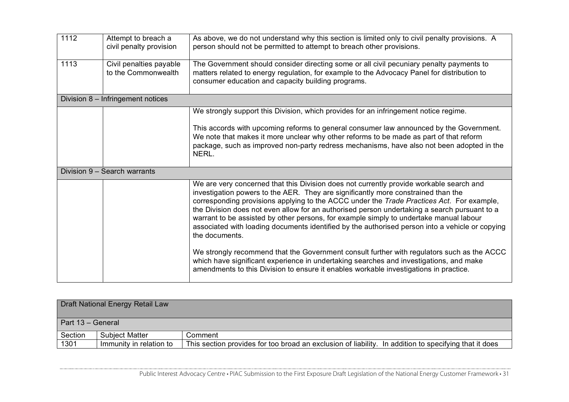| 1112 | Attempt to breach a<br>civil penalty provision | As above, we do not understand why this section is limited only to civil penalty provisions. A<br>person should not be permitted to attempt to breach other provisions.                                                                                                                                                                                                                                                                                                                                                                                                                  |
|------|------------------------------------------------|------------------------------------------------------------------------------------------------------------------------------------------------------------------------------------------------------------------------------------------------------------------------------------------------------------------------------------------------------------------------------------------------------------------------------------------------------------------------------------------------------------------------------------------------------------------------------------------|
| 1113 | Civil penalties payable<br>to the Commonwealth | The Government should consider directing some or all civil pecuniary penalty payments to<br>matters related to energy regulation, for example to the Advocacy Panel for distribution to<br>consumer education and capacity building programs.                                                                                                                                                                                                                                                                                                                                            |
|      | Division 8 - Infringement notices              |                                                                                                                                                                                                                                                                                                                                                                                                                                                                                                                                                                                          |
|      |                                                | We strongly support this Division, which provides for an infringement notice regime.                                                                                                                                                                                                                                                                                                                                                                                                                                                                                                     |
|      |                                                | This accords with upcoming reforms to general consumer law announced by the Government.<br>We note that makes it more unclear why other reforms to be made as part of that reform<br>package, such as improved non-party redress mechanisms, have also not been adopted in the<br>NERL.                                                                                                                                                                                                                                                                                                  |
|      | Division 9 - Search warrants                   |                                                                                                                                                                                                                                                                                                                                                                                                                                                                                                                                                                                          |
|      |                                                | We are very concerned that this Division does not currently provide workable search and<br>investigation powers to the AER. They are significantly more constrained than the<br>corresponding provisions applying to the ACCC under the Trade Practices Act. For example,<br>the Division does not even allow for an authorised person undertaking a search pursuant to a<br>warrant to be assisted by other persons, for example simply to undertake manual labour<br>associated with loading documents identified by the authorised person into a vehicle or copying<br>the documents. |
|      |                                                | We strongly recommend that the Government consult further with regulators such as the ACCC<br>which have significant experience in undertaking searches and investigations, and make<br>amendments to this Division to ensure it enables workable investigations in practice.                                                                                                                                                                                                                                                                                                            |

|                   | Draft National Energy Retail Law |                                                                                                       |
|-------------------|----------------------------------|-------------------------------------------------------------------------------------------------------|
| Part 13 - General |                                  |                                                                                                       |
| Section           | <b>Subject Matter</b>            | Comment                                                                                               |
| 1301              | Immunity in relation to          | This section provides for too broad an exclusion of liability. In addition to specifying that it does |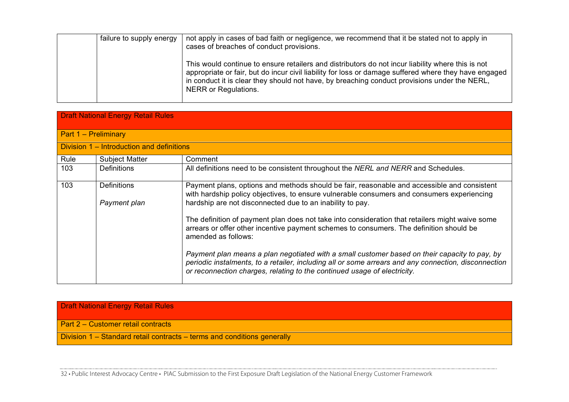| failure to supply energy | not apply in cases of bad faith or negligence, we recommend that it be stated not to apply in<br>cases of breaches of conduct provisions.                                                                                                                                                                                          |
|--------------------------|------------------------------------------------------------------------------------------------------------------------------------------------------------------------------------------------------------------------------------------------------------------------------------------------------------------------------------|
|                          | This would continue to ensure retailers and distributors do not incur liability where this is not<br>appropriate or fair, but do incur civil liability for loss or damage suffered where they have engaged<br>in conduct it is clear they should not have, by breaching conduct provisions under the NERL,<br>NERR or Regulations. |

|      | <b>Draft National Energy Retail Rules</b> |                                                                                                                                                                                                                                                                                   |  |
|------|-------------------------------------------|-----------------------------------------------------------------------------------------------------------------------------------------------------------------------------------------------------------------------------------------------------------------------------------|--|
|      | Part 1 - Preliminary                      |                                                                                                                                                                                                                                                                                   |  |
|      | Division 1 – Introduction and definitions |                                                                                                                                                                                                                                                                                   |  |
| Rule | <b>Subject Matter</b>                     | Comment                                                                                                                                                                                                                                                                           |  |
| 103  | <b>Definitions</b>                        | All definitions need to be consistent throughout the NERL and NERR and Schedules.                                                                                                                                                                                                 |  |
| 103  | <b>Definitions</b><br>Payment plan        | Payment plans, options and methods should be fair, reasonable and accessible and consistent<br>with hardship policy objectives, to ensure vulnerable consumers and consumers experiencing<br>hardship are not disconnected due to an inability to pay.                            |  |
|      |                                           | The definition of payment plan does not take into consideration that retailers might waive some<br>arrears or offer other incentive payment schemes to consumers. The definition should be<br>amended as follows:                                                                 |  |
|      |                                           | Payment plan means a plan negotiated with a small customer based on their capacity to pay, by<br>periodic instalments, to a retailer, including all or some arrears and any connection, disconnection<br>or reconnection charges, relating to the continued usage of electricity. |  |

Draft National Energy Retail Rules

Part 2 – Customer retail contracts

Division 1 – Standard retail contracts – terms and conditions generally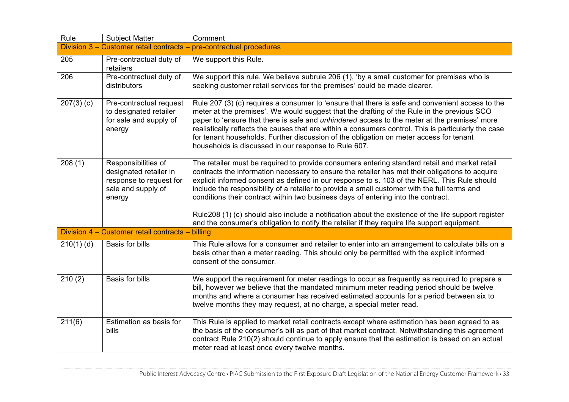| Rule         | <b>Subject Matter</b>                                                                                    | Comment                                                                                                                                                                                                                                                                                                                                                                                                                                                                                                                                                        |
|--------------|----------------------------------------------------------------------------------------------------------|----------------------------------------------------------------------------------------------------------------------------------------------------------------------------------------------------------------------------------------------------------------------------------------------------------------------------------------------------------------------------------------------------------------------------------------------------------------------------------------------------------------------------------------------------------------|
|              |                                                                                                          | Division 3 - Customer retail contracts - pre-contractual procedures                                                                                                                                                                                                                                                                                                                                                                                                                                                                                            |
| 205          | Pre-contractual duty of<br>retailers                                                                     | We support this Rule.                                                                                                                                                                                                                                                                                                                                                                                                                                                                                                                                          |
| 206          | Pre-contractual duty of<br>distributors                                                                  | We support this rule. We believe subrule 206 (1), 'by a small customer for premises who is<br>seeking customer retail services for the premises' could be made clearer.                                                                                                                                                                                                                                                                                                                                                                                        |
| $207(3)$ (c) | Pre-contractual request<br>to designated retailer<br>for sale and supply of<br>energy                    | Rule 207 (3) (c) requires a consumer to 'ensure that there is safe and convenient access to the<br>meter at the premises'. We would suggest that the drafting of the Rule in the previous SCO<br>paper to 'ensure that there is safe and <i>unhindered</i> access to the meter at the premises' more<br>realistically reflects the causes that are within a consumers control. This is particularly the case<br>for tenant households. Further discussion of the obligation on meter access for tenant<br>households is discussed in our response to Rule 607. |
| 208(1)       | Responsibilities of<br>designated retailer in<br>response to request for<br>sale and supply of<br>energy | The retailer must be required to provide consumers entering standard retail and market retail<br>contracts the information necessary to ensure the retailer has met their obligations to acquire<br>explicit informed consent as defined in our response to s. 103 of the NERL. This Rule should<br>include the responsibility of a retailer to provide a small customer with the full terms and<br>conditions their contract within two business days of entering into the contract.                                                                          |
|              |                                                                                                          | Rule208 (1) (c) should also include a notification about the existence of the life support register<br>and the consumer's obligation to notify the retailer if they require life support equipment.                                                                                                                                                                                                                                                                                                                                                            |
|              | Division 4 - Customer retail contracts - billing                                                         |                                                                                                                                                                                                                                                                                                                                                                                                                                                                                                                                                                |
| $210(1)$ (d) | Basis for bills                                                                                          | This Rule allows for a consumer and retailer to enter into an arrangement to calculate bills on a<br>basis other than a meter reading. This should only be permitted with the explicit informed<br>consent of the consumer.                                                                                                                                                                                                                                                                                                                                    |
| 210(2)       | Basis for bills                                                                                          | We support the requirement for meter readings to occur as frequently as required to prepare a<br>bill, however we believe that the mandated minimum meter reading period should be twelve<br>months and where a consumer has received estimated accounts for a period between six to<br>twelve months they may request, at no charge, a special meter read.                                                                                                                                                                                                    |
| 211(6)       | Estimation as basis for<br>bills                                                                         | This Rule is applied to market retail contracts except where estimation has been agreed to as<br>the basis of the consumer's bill as part of that market contract. Notwithstanding this agreement<br>contract Rule 210(2) should continue to apply ensure that the estimation is based on an actual<br>meter read at least once every twelve months.                                                                                                                                                                                                           |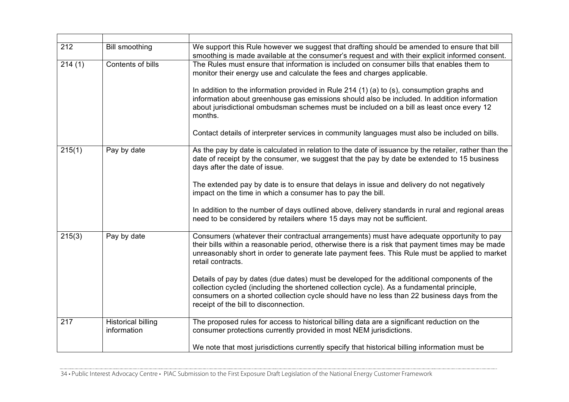| 212    | <b>Bill smoothing</b>                    | We support this Rule however we suggest that drafting should be amended to ensure that bill<br>smoothing is made available at the consumer's request and with their explicit informed consent.                                                                                                                                                                                                                                                                                                                                                                             |
|--------|------------------------------------------|----------------------------------------------------------------------------------------------------------------------------------------------------------------------------------------------------------------------------------------------------------------------------------------------------------------------------------------------------------------------------------------------------------------------------------------------------------------------------------------------------------------------------------------------------------------------------|
| 214(1) | Contents of bills                        | The Rules must ensure that information is included on consumer bills that enables them to<br>monitor their energy use and calculate the fees and charges applicable.<br>In addition to the information provided in Rule 214 (1) (a) to (s), consumption graphs and<br>information about greenhouse gas emissions should also be included. In addition information<br>about jurisdictional ombudsman schemes must be included on a bill as least once every 12<br>months.<br>Contact details of interpreter services in community languages must also be included on bills. |
| 215(1) | Pay by date                              | As the pay by date is calculated in relation to the date of issuance by the retailer, rather than the<br>date of receipt by the consumer, we suggest that the pay by date be extended to 15 business<br>days after the date of issue.                                                                                                                                                                                                                                                                                                                                      |
|        |                                          | The extended pay by date is to ensure that delays in issue and delivery do not negatively<br>impact on the time in which a consumer has to pay the bill.<br>In addition to the number of days outlined above, delivery standards in rural and regional areas                                                                                                                                                                                                                                                                                                               |
|        |                                          | need to be considered by retailers where 15 days may not be sufficient.                                                                                                                                                                                                                                                                                                                                                                                                                                                                                                    |
| 215(3) | Pay by date                              | Consumers (whatever their contractual arrangements) must have adequate opportunity to pay<br>their bills within a reasonable period, otherwise there is a risk that payment times may be made<br>unreasonably short in order to generate late payment fees. This Rule must be applied to market<br>retail contracts.                                                                                                                                                                                                                                                       |
|        |                                          | Details of pay by dates (due dates) must be developed for the additional components of the<br>collection cycled (including the shortened collection cycle). As a fundamental principle,<br>consumers on a shorted collection cycle should have no less than 22 business days from the<br>receipt of the bill to disconnection.                                                                                                                                                                                                                                             |
| 217    | <b>Historical billing</b><br>information | The proposed rules for access to historical billing data are a significant reduction on the<br>consumer protections currently provided in most NEM jurisdictions.                                                                                                                                                                                                                                                                                                                                                                                                          |
|        |                                          | We note that most jurisdictions currently specify that historical billing information must be                                                                                                                                                                                                                                                                                                                                                                                                                                                                              |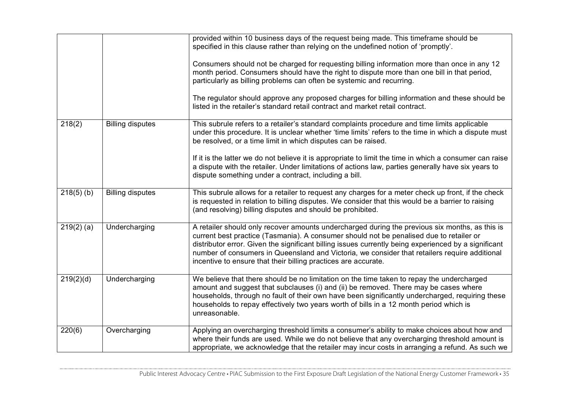|              |                         | provided within 10 business days of the request being made. This timeframe should be<br>specified in this clause rather than relying on the undefined notion of 'promptly'.<br>Consumers should not be charged for requesting billing information more than once in any 12<br>month period. Consumers should have the right to dispute more than one bill in that period,                                                                                            |
|--------------|-------------------------|----------------------------------------------------------------------------------------------------------------------------------------------------------------------------------------------------------------------------------------------------------------------------------------------------------------------------------------------------------------------------------------------------------------------------------------------------------------------|
|              |                         | particularly as billing problems can often be systemic and recurring.<br>The regulator should approve any proposed charges for billing information and these should be<br>listed in the retailer's standard retail contract and market retail contract.                                                                                                                                                                                                              |
| 218(2)       | <b>Billing disputes</b> | This subrule refers to a retailer's standard complaints procedure and time limits applicable<br>under this procedure. It is unclear whether 'time limits' refers to the time in which a dispute must<br>be resolved, or a time limit in which disputes can be raised.                                                                                                                                                                                                |
|              |                         | If it is the latter we do not believe it is appropriate to limit the time in which a consumer can raise<br>a dispute with the retailer. Under limitations of actions law, parties generally have six years to<br>dispute something under a contract, including a bill.                                                                                                                                                                                               |
| $218(5)$ (b) | <b>Billing disputes</b> | This subrule allows for a retailer to request any charges for a meter check up front, if the check<br>is requested in relation to billing disputes. We consider that this would be a barrier to raising<br>(and resolving) billing disputes and should be prohibited.                                                                                                                                                                                                |
| $219(2)$ (a) | Undercharging           | A retailer should only recover amounts undercharged during the previous six months, as this is<br>current best practice (Tasmania). A consumer should not be penalised due to retailer or<br>distributor error. Given the significant billing issues currently being experienced by a significant<br>number of consumers in Queensland and Victoria, we consider that retailers require additional<br>incentive to ensure that their billing practices are accurate. |
| 219(2)(d)    | Undercharging           | We believe that there should be no limitation on the time taken to repay the undercharged<br>amount and suggest that subclauses (i) and (ii) be removed. There may be cases where<br>households, through no fault of their own have been significantly undercharged, requiring these<br>households to repay effectively two years worth of bills in a 12 month period which is<br>unreasonable.                                                                      |
| 220(6)       | Overcharging            | Applying an overcharging threshold limits a consumer's ability to make choices about how and<br>where their funds are used. While we do not believe that any overcharging threshold amount is<br>appropriate, we acknowledge that the retailer may incur costs in arranging a refund. As such we                                                                                                                                                                     |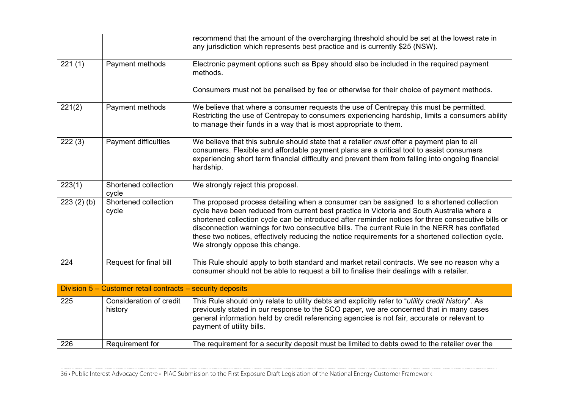|           |                                                            | recommend that the amount of the overcharging threshold should be set at the lowest rate in<br>any jurisdiction which represents best practice and is currently \$25 (NSW).                                                                                                                                                                                                                                                                                                                                                          |
|-----------|------------------------------------------------------------|--------------------------------------------------------------------------------------------------------------------------------------------------------------------------------------------------------------------------------------------------------------------------------------------------------------------------------------------------------------------------------------------------------------------------------------------------------------------------------------------------------------------------------------|
| 221(1)    | Payment methods                                            | Electronic payment options such as Bpay should also be included in the required payment<br>methods.                                                                                                                                                                                                                                                                                                                                                                                                                                  |
|           |                                                            | Consumers must not be penalised by fee or otherwise for their choice of payment methods.                                                                                                                                                                                                                                                                                                                                                                                                                                             |
| 221(2)    | Payment methods                                            | We believe that where a consumer requests the use of Centrepay this must be permitted.<br>Restricting the use of Centrepay to consumers experiencing hardship, limits a consumers ability<br>to manage their funds in a way that is most appropriate to them.                                                                                                                                                                                                                                                                        |
| 222(3)    | Payment difficulties                                       | We believe that this subrule should state that a retailer must offer a payment plan to all<br>consumers. Flexible and affordable payment plans are a critical tool to assist consumers<br>experiencing short term financial difficulty and prevent them from falling into ongoing financial<br>hardship.                                                                                                                                                                                                                             |
| 223(1)    | Shortened collection<br>cycle                              | We strongly reject this proposal.                                                                                                                                                                                                                                                                                                                                                                                                                                                                                                    |
| 223(2)(b) | Shortened collection<br>cycle                              | The proposed process detailing when a consumer can be assigned to a shortened collection<br>cycle have been reduced from current best practice in Victoria and South Australia where a<br>shortened collection cycle can be introduced after reminder notices for three consecutive bills or<br>disconnection warnings for two consecutive bills. The current Rule in the NERR has conflated<br>these two notices, effectively reducing the notice requirements for a shortened collection cycle.<br>We strongly oppose this change. |
| 224       | Request for final bill                                     | This Rule should apply to both standard and market retail contracts. We see no reason why a<br>consumer should not be able to request a bill to finalise their dealings with a retailer.                                                                                                                                                                                                                                                                                                                                             |
|           | Division 5 - Customer retail contracts - security deposits |                                                                                                                                                                                                                                                                                                                                                                                                                                                                                                                                      |
| 225       | Consideration of credit<br>history                         | This Rule should only relate to utility debts and explicitly refer to "utility credit history". As<br>previously stated in our response to the SCO paper, we are concerned that in many cases<br>general information held by credit referencing agencies is not fair, accurate or relevant to<br>payment of utility bills.                                                                                                                                                                                                           |
| 226       | Requirement for                                            | The requirement for a security deposit must be limited to debts owed to the retailer over the                                                                                                                                                                                                                                                                                                                                                                                                                                        |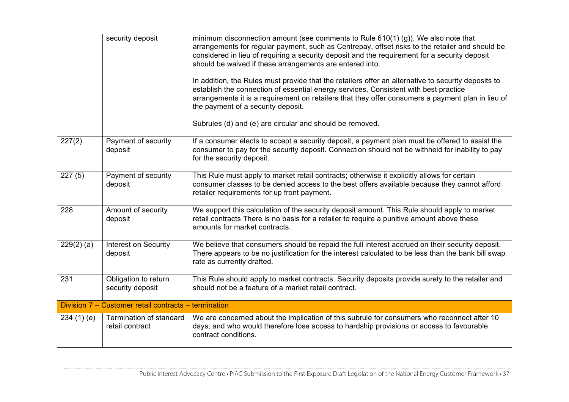|                     | security deposit                                     | minimum disconnection amount (see comments to Rule $610(1)$ (g)). We also note that<br>arrangements for regular payment, such as Centrepay, offset risks to the retailer and should be<br>considered in lieu of requiring a security deposit and the requirement for a security deposit<br>should be waived if these arrangements are entered into.<br>In addition, the Rules must provide that the retailers offer an alternative to security deposits to<br>establish the connection of essential energy services. Consistent with best practice<br>arrangements it is a requirement on retailers that they offer consumers a payment plan in lieu of<br>the payment of a security deposit. |
|---------------------|------------------------------------------------------|-----------------------------------------------------------------------------------------------------------------------------------------------------------------------------------------------------------------------------------------------------------------------------------------------------------------------------------------------------------------------------------------------------------------------------------------------------------------------------------------------------------------------------------------------------------------------------------------------------------------------------------------------------------------------------------------------|
|                     |                                                      | Subrules (d) and (e) are circular and should be removed.                                                                                                                                                                                                                                                                                                                                                                                                                                                                                                                                                                                                                                      |
| 227(2)              | Payment of security<br>deposit                       | If a consumer elects to accept a security deposit, a payment plan must be offered to assist the<br>consumer to pay for the security deposit. Connection should not be withheld for inability to pay<br>for the security deposit.                                                                                                                                                                                                                                                                                                                                                                                                                                                              |
| $\overline{2}27(5)$ | Payment of security<br>deposit                       | This Rule must apply to market retail contracts; otherwise it explicitly allows for certain<br>consumer classes to be denied access to the best offers available because they cannot afford<br>retailer requirements for up front payment.                                                                                                                                                                                                                                                                                                                                                                                                                                                    |
| 228                 | Amount of security<br>deposit                        | We support this calculation of the security deposit amount. This Rule should apply to market<br>retail contracts There is no basis for a retailer to require a punitive amount above these<br>amounts for market contracts.                                                                                                                                                                                                                                                                                                                                                                                                                                                                   |
| $229(2)$ (a)        | Interest on Security<br>deposit                      | We believe that consumers should be repaid the full interest accrued on their security deposit.<br>There appears to be no justification for the interest calculated to be less than the bank bill swap<br>rate as currently drafted.                                                                                                                                                                                                                                                                                                                                                                                                                                                          |
| 231                 | Obligation to return<br>security deposit             | This Rule should apply to market contracts. Security deposits provide surety to the retailer and<br>should not be a feature of a market retail contract.                                                                                                                                                                                                                                                                                                                                                                                                                                                                                                                                      |
|                     | Division 7 - Customer retail contracts - termination |                                                                                                                                                                                                                                                                                                                                                                                                                                                                                                                                                                                                                                                                                               |
| 234(1)(e)           | Termination of standard<br>retail contract           | We are concerned about the implication of this subrule for consumers who reconnect after 10<br>days, and who would therefore lose access to hardship provisions or access to favourable<br>contract conditions.                                                                                                                                                                                                                                                                                                                                                                                                                                                                               |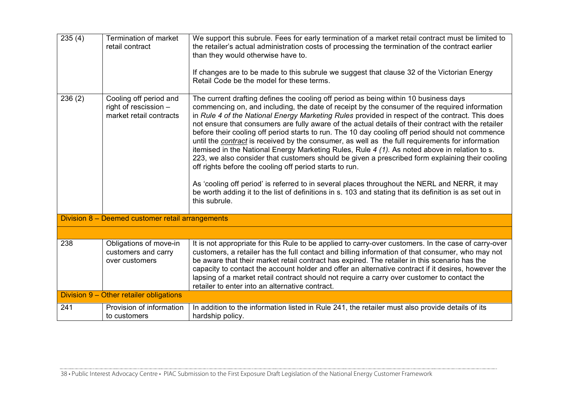| 235(4) | Termination of market<br>retail contract                                   | We support this subrule. Fees for early termination of a market retail contract must be limited to<br>the retailer's actual administration costs of processing the termination of the contract earlier<br>than they would otherwise have to.<br>If changes are to be made to this subrule we suggest that clause 32 of the Victorian Energy<br>Retail Code be the model for these terms.                                                                                                                                                                                                                                                                                                                                                                                                                                                                                                                                                                                                                                                                                                             |
|--------|----------------------------------------------------------------------------|------------------------------------------------------------------------------------------------------------------------------------------------------------------------------------------------------------------------------------------------------------------------------------------------------------------------------------------------------------------------------------------------------------------------------------------------------------------------------------------------------------------------------------------------------------------------------------------------------------------------------------------------------------------------------------------------------------------------------------------------------------------------------------------------------------------------------------------------------------------------------------------------------------------------------------------------------------------------------------------------------------------------------------------------------------------------------------------------------|
| 236(2) | Cooling off period and<br>right of rescission -<br>market retail contracts | The current drafting defines the cooling off period as being within 10 business days<br>commencing on, and including, the date of receipt by the consumer of the required information<br>in Rule 4 of the National Energy Marketing Rules provided in respect of the contract. This does<br>not ensure that consumers are fully aware of the actual details of their contract with the retailer<br>before their cooling off period starts to run. The 10 day cooling off period should not commence<br>until the contract is received by the consumer, as well as the full requirements for information<br>itemised in the National Energy Marketing Rules, Rule 4 (1). As noted above in relation to s.<br>223, we also consider that customers should be given a prescribed form explaining their cooling<br>off rights before the cooling off period starts to run.<br>As 'cooling off period' is referred to in several places throughout the NERL and NERR, it may<br>be worth adding it to the list of definitions in s. 103 and stating that its definition is as set out in<br>this subrule. |
|        | Division 8 - Deemed customer retail arrangements                           |                                                                                                                                                                                                                                                                                                                                                                                                                                                                                                                                                                                                                                                                                                                                                                                                                                                                                                                                                                                                                                                                                                      |
|        |                                                                            |                                                                                                                                                                                                                                                                                                                                                                                                                                                                                                                                                                                                                                                                                                                                                                                                                                                                                                                                                                                                                                                                                                      |
| 238    | Obligations of move-in<br>customers and carry<br>over customers            | It is not appropriate for this Rule to be applied to carry-over customers. In the case of carry-over<br>customers, a retailer has the full contact and billing information of that consumer, who may not<br>be aware that their market retail contract has expired. The retailer in this scenario has the<br>capacity to contact the account holder and offer an alternative contract if it desires, however the<br>lapsing of a market retail contract should not require a carry over customer to contact the<br>retailer to enter into an alternative contract.                                                                                                                                                                                                                                                                                                                                                                                                                                                                                                                                   |
|        | Division 9 - Other retailer obligations                                    |                                                                                                                                                                                                                                                                                                                                                                                                                                                                                                                                                                                                                                                                                                                                                                                                                                                                                                                                                                                                                                                                                                      |
| 241    | Provision of information<br>to customers                                   | In addition to the information listed in Rule 241, the retailer must also provide details of its<br>hardship policy.                                                                                                                                                                                                                                                                                                                                                                                                                                                                                                                                                                                                                                                                                                                                                                                                                                                                                                                                                                                 |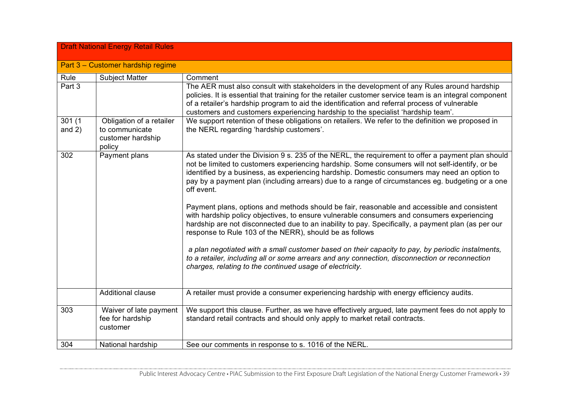|                    | <b>Draft National Energy Retail Rules</b>                                 |                                                                                                                                                                                                                                                                                                                                                                                                                                                                                                                                                                                                                                                                                                                                                                                                                                                                                                                                                                                                                                                        |
|--------------------|---------------------------------------------------------------------------|--------------------------------------------------------------------------------------------------------------------------------------------------------------------------------------------------------------------------------------------------------------------------------------------------------------------------------------------------------------------------------------------------------------------------------------------------------------------------------------------------------------------------------------------------------------------------------------------------------------------------------------------------------------------------------------------------------------------------------------------------------------------------------------------------------------------------------------------------------------------------------------------------------------------------------------------------------------------------------------------------------------------------------------------------------|
|                    | Part 3 - Customer hardship regime                                         |                                                                                                                                                                                                                                                                                                                                                                                                                                                                                                                                                                                                                                                                                                                                                                                                                                                                                                                                                                                                                                                        |
| Rule               | <b>Subject Matter</b>                                                     | Comment                                                                                                                                                                                                                                                                                                                                                                                                                                                                                                                                                                                                                                                                                                                                                                                                                                                                                                                                                                                                                                                |
| Part 3             |                                                                           | The AER must also consult with stakeholders in the development of any Rules around hardship<br>policies. It is essential that training for the retailer customer service team is an integral component<br>of a retailer's hardship program to aid the identification and referral process of vulnerable<br>customers and customers experiencing hardship to the specialist 'hardship team'.                                                                                                                                                                                                                                                                                                                                                                                                                                                                                                                                                                                                                                                            |
| 301(1)<br>and $2)$ | Obligation of a retailer<br>to communicate<br>customer hardship<br>policy | We support retention of these obligations on retailers. We refer to the definition we proposed in<br>the NERL regarding 'hardship customers'.                                                                                                                                                                                                                                                                                                                                                                                                                                                                                                                                                                                                                                                                                                                                                                                                                                                                                                          |
| 302                | Payment plans                                                             | As stated under the Division 9 s. 235 of the NERL, the requirement to offer a payment plan should<br>not be limited to customers experiencing hardship. Some consumers will not self-identify, or be<br>identified by a business, as experiencing hardship. Domestic consumers may need an option to<br>pay by a payment plan (including arrears) due to a range of circumstances eg. budgeting or a one<br>off event.<br>Payment plans, options and methods should be fair, reasonable and accessible and consistent<br>with hardship policy objectives, to ensure vulnerable consumers and consumers experiencing<br>hardship are not disconnected due to an inability to pay. Specifically, a payment plan (as per our<br>response to Rule 103 of the NERR), should be as follows<br>a plan negotiated with a small customer based on their capacity to pay, by periodic instalments,<br>to a retailer, including all or some arrears and any connection, disconnection or reconnection<br>charges, relating to the continued usage of electricity. |
|                    | Additional clause                                                         | A retailer must provide a consumer experiencing hardship with energy efficiency audits.                                                                                                                                                                                                                                                                                                                                                                                                                                                                                                                                                                                                                                                                                                                                                                                                                                                                                                                                                                |
| 303                | Waiver of late payment<br>fee for hardship<br>customer                    | We support this clause. Further, as we have effectively argued, late payment fees do not apply to<br>standard retail contracts and should only apply to market retail contracts.                                                                                                                                                                                                                                                                                                                                                                                                                                                                                                                                                                                                                                                                                                                                                                                                                                                                       |
| 304                | National hardship                                                         | See our comments in response to s. 1016 of the NERL.                                                                                                                                                                                                                                                                                                                                                                                                                                                                                                                                                                                                                                                                                                                                                                                                                                                                                                                                                                                                   |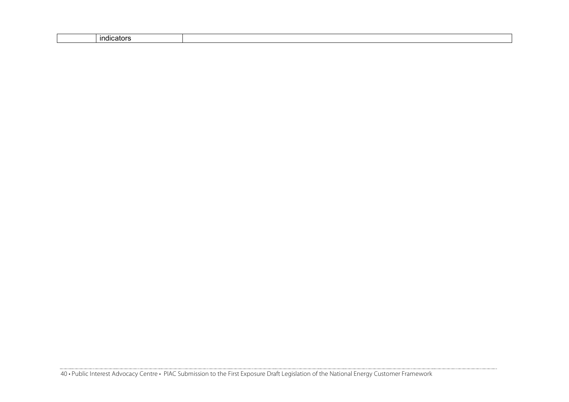| .<br><u>indicato</u> |  |
|----------------------|--|
|----------------------|--|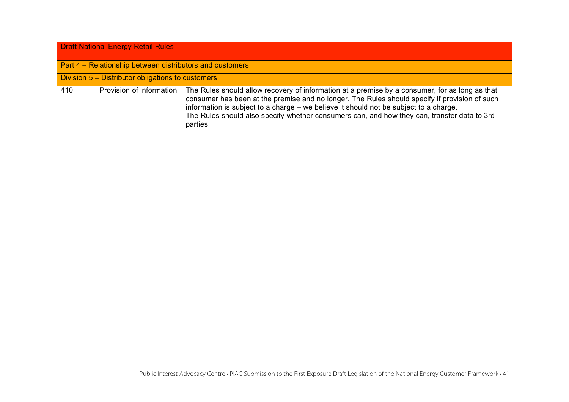| <b>Draft National Energy Retail Rules</b> |                                                          |                                                                                                                                                                                                                                                                                                                                                                                                     |  |
|-------------------------------------------|----------------------------------------------------------|-----------------------------------------------------------------------------------------------------------------------------------------------------------------------------------------------------------------------------------------------------------------------------------------------------------------------------------------------------------------------------------------------------|--|
|                                           | Part 4 – Relationship between distributors and customers |                                                                                                                                                                                                                                                                                                                                                                                                     |  |
|                                           | Division 5 – Distributor obligations to customers        |                                                                                                                                                                                                                                                                                                                                                                                                     |  |
| 410                                       | Provision of information                                 | The Rules should allow recovery of information at a premise by a consumer, for as long as that<br>consumer has been at the premise and no longer. The Rules should specify if provision of such<br>information is subject to a charge – we believe it should not be subject to a charge.<br>The Rules should also specify whether consumers can, and how they can, transfer data to 3rd<br>parties. |  |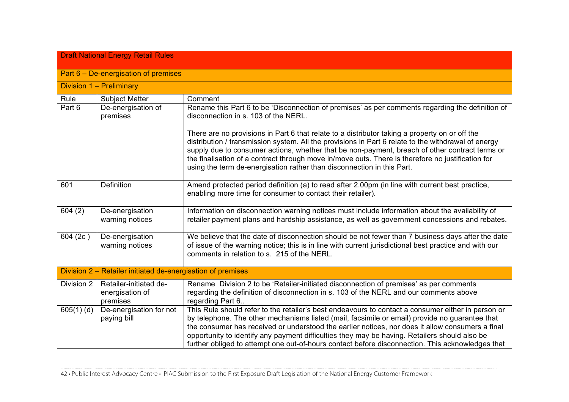| <b>Draft National Energy Retail Rules</b> |                                                             |                                                                                                                                                                                                                                                                                                                                                                                                                                                                                                               |  |
|-------------------------------------------|-------------------------------------------------------------|---------------------------------------------------------------------------------------------------------------------------------------------------------------------------------------------------------------------------------------------------------------------------------------------------------------------------------------------------------------------------------------------------------------------------------------------------------------------------------------------------------------|--|
|                                           | Part $6 - De$ -energisation of premises                     |                                                                                                                                                                                                                                                                                                                                                                                                                                                                                                               |  |
|                                           | Division 1 - Preliminary                                    |                                                                                                                                                                                                                                                                                                                                                                                                                                                                                                               |  |
| Rule                                      | <b>Subject Matter</b>                                       | Comment                                                                                                                                                                                                                                                                                                                                                                                                                                                                                                       |  |
| Part 6                                    | De-energisation of<br>premises                              | Rename this Part 6 to be 'Disconnection of premises' as per comments regarding the definition of<br>disconnection in s. 103 of the NERL.                                                                                                                                                                                                                                                                                                                                                                      |  |
|                                           |                                                             | There are no provisions in Part 6 that relate to a distributor taking a property on or off the<br>distribution / transmission system. All the provisions in Part 6 relate to the withdrawal of energy<br>supply due to consumer actions, whether that be non-payment, breach of other contract terms or<br>the finalisation of a contract through move in/move outs. There is therefore no justification for<br>using the term de-energisation rather than disconnection in this Part.                        |  |
| 601                                       | Definition                                                  | Amend protected period definition (a) to read after 2.00pm (in line with current best practice,<br>enabling more time for consumer to contact their retailer).                                                                                                                                                                                                                                                                                                                                                |  |
| 604(2)                                    | De-energisation<br>warning notices                          | Information on disconnection warning notices must include information about the availability of<br>retailer payment plans and hardship assistance, as well as government concessions and rebates.                                                                                                                                                                                                                                                                                                             |  |
| 604 (2c)                                  | De-energisation<br>warning notices                          | We believe that the date of disconnection should be not fewer than 7 business days after the date<br>of issue of the warning notice; this is in line with current jurisdictional best practice and with our<br>comments in relation to s. 215 of the NERL.                                                                                                                                                                                                                                                    |  |
|                                           | Division 2 - Retailer initiated de-energisation of premises |                                                                                                                                                                                                                                                                                                                                                                                                                                                                                                               |  |
| Division 2                                | Retailer-initiated de-<br>energisation of<br>premises       | Rename Division 2 to be 'Retailer-initiated disconnection of premises' as per comments<br>regarding the definition of disconnection in s. 103 of the NERL and our comments above<br>regarding Part 6                                                                                                                                                                                                                                                                                                          |  |
| $605(1)$ (d)                              | De-energisation for not<br>paying bill                      | This Rule should refer to the retailer's best endeavours to contact a consumer either in person or<br>by telephone. The other mechanisms listed (mail, facsimile or email) provide no guarantee that<br>the consumer has received or understood the earlier notices, nor does it allow consumers a final<br>opportunity to identify any payment difficulties they may be having. Retailers should also be<br>further obliged to attempt one out-of-hours contact before disconnection. This acknowledges that |  |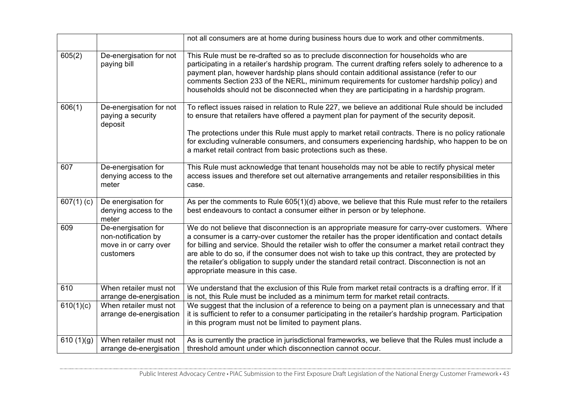|              |                                                                                  | not all consumers are at home during business hours due to work and other commitments.                                                                                                                                                                                                                                                                                                                                                                                                                                                                    |
|--------------|----------------------------------------------------------------------------------|-----------------------------------------------------------------------------------------------------------------------------------------------------------------------------------------------------------------------------------------------------------------------------------------------------------------------------------------------------------------------------------------------------------------------------------------------------------------------------------------------------------------------------------------------------------|
| 605(2)       | De-energisation for not<br>paying bill                                           | This Rule must be re-drafted so as to preclude disconnection for households who are<br>participating in a retailer's hardship program. The current drafting refers solely to adherence to a<br>payment plan, however hardship plans should contain additional assistance (refer to our<br>comments Section 233 of the NERL, minimum requirements for customer hardship policy) and<br>households should not be disconnected when they are participating in a hardship program.                                                                            |
| 606(1)       | De-energisation for not<br>paying a security<br>deposit                          | To reflect issues raised in relation to Rule 227, we believe an additional Rule should be included<br>to ensure that retailers have offered a payment plan for payment of the security deposit.<br>The protections under this Rule must apply to market retail contracts. There is no policy rationale<br>for excluding vulnerable consumers, and consumers experiencing hardship, who happen to be on<br>a market retail contract from basic protections such as these.                                                                                  |
| 607          | De-energisation for<br>denying access to the<br>meter                            | This Rule must acknowledge that tenant households may not be able to rectify physical meter<br>access issues and therefore set out alternative arrangements and retailer responsibilities in this<br>case.                                                                                                                                                                                                                                                                                                                                                |
| 607(1)(c)    | De energisation for<br>denying access to the<br>meter                            | As per the comments to Rule 605(1)(d) above, we believe that this Rule must refer to the retailers<br>best endeavours to contact a consumer either in person or by telephone.                                                                                                                                                                                                                                                                                                                                                                             |
| 609          | De-energisation for<br>non-notification by<br>move in or carry over<br>customers | We do not believe that disconnection is an appropriate measure for carry-over customers. Where<br>a consumer is a carry-over customer the retailer has the proper identification and contact details<br>for billing and service. Should the retailer wish to offer the consumer a market retail contract they<br>are able to do so, if the consumer does not wish to take up this contract, they are protected by<br>the retailer's obligation to supply under the standard retail contract. Disconnection is not an<br>appropriate measure in this case. |
| 610          | When retailer must not<br>arrange de-energisation                                | We understand that the exclusion of this Rule from market retail contracts is a drafting error. If it<br>is not, this Rule must be included as a minimum term for market retail contracts.                                                                                                                                                                                                                                                                                                                                                                |
| 610(1)(c)    | When retailer must not<br>arrange de-energisation                                | We suggest that the inclusion of a reference to being on a payment plan is unnecessary and that<br>it is sufficient to refer to a consumer participating in the retailer's hardship program. Participation<br>in this program must not be limited to payment plans.                                                                                                                                                                                                                                                                                       |
| 610 $(1)(g)$ | When retailer must not<br>arrange de-energisation                                | As is currently the practice in jurisdictional frameworks, we believe that the Rules must include a<br>threshold amount under which disconnection cannot occur.                                                                                                                                                                                                                                                                                                                                                                                           |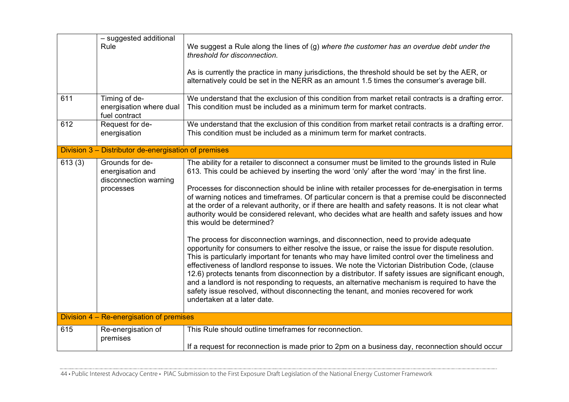| 611    | - suggested additional<br>Rule<br>Timing of de-                           | We suggest a Rule along the lines of (g) where the customer has an overdue debt under the<br>threshold for disconnection.<br>As is currently the practice in many jurisdictions, the threshold should be set by the AER, or<br>alternatively could be set in the NERR as an amount 1.5 times the consumer's average bill.<br>We understand that the exclusion of this condition from market retail contracts is a drafting error.                                                                                                                                                                                                                                                                                                                                                                                                                                                                                                                                                                                                                                                                                                                                                                                                                                                                                                                                                         |
|--------|---------------------------------------------------------------------------|-------------------------------------------------------------------------------------------------------------------------------------------------------------------------------------------------------------------------------------------------------------------------------------------------------------------------------------------------------------------------------------------------------------------------------------------------------------------------------------------------------------------------------------------------------------------------------------------------------------------------------------------------------------------------------------------------------------------------------------------------------------------------------------------------------------------------------------------------------------------------------------------------------------------------------------------------------------------------------------------------------------------------------------------------------------------------------------------------------------------------------------------------------------------------------------------------------------------------------------------------------------------------------------------------------------------------------------------------------------------------------------------|
|        | energisation where dual<br>fuel contract                                  | This condition must be included as a minimum term for market contracts.                                                                                                                                                                                                                                                                                                                                                                                                                                                                                                                                                                                                                                                                                                                                                                                                                                                                                                                                                                                                                                                                                                                                                                                                                                                                                                                   |
| 612    | Request for de-<br>energisation                                           | We understand that the exclusion of this condition from market retail contracts is a drafting error.<br>This condition must be included as a minimum term for market contracts.                                                                                                                                                                                                                                                                                                                                                                                                                                                                                                                                                                                                                                                                                                                                                                                                                                                                                                                                                                                                                                                                                                                                                                                                           |
|        | Division 3 – Distributor de-energisation of premises                      |                                                                                                                                                                                                                                                                                                                                                                                                                                                                                                                                                                                                                                                                                                                                                                                                                                                                                                                                                                                                                                                                                                                                                                                                                                                                                                                                                                                           |
| 613(3) | Grounds for de-<br>energisation and<br>disconnection warning<br>processes | The ability for a retailer to disconnect a consumer must be limited to the grounds listed in Rule<br>613. This could be achieved by inserting the word 'only' after the word 'may' in the first line.<br>Processes for disconnection should be inline with retailer processes for de-energisation in terms<br>of warning notices and timeframes. Of particular concern is that a premise could be disconnected<br>at the order of a relevant authority, or if there are health and safety reasons. It is not clear what<br>authority would be considered relevant, who decides what are health and safety issues and how<br>this would be determined?<br>The process for disconnection warnings, and disconnection, need to provide adequate<br>opportunity for consumers to either resolve the issue, or raise the issue for dispute resolution.<br>This is particularly important for tenants who may have limited control over the timeliness and<br>effectiveness of landlord response to issues. We note the Victorian Distribution Code, (clause<br>12.6) protects tenants from disconnection by a distributor. If safety issues are significant enough,<br>and a landlord is not responding to requests, an alternative mechanism is required to have the<br>safety issue resolved, without disconnecting the tenant, and monies recovered for work<br>undertaken at a later date. |
|        | Division 4 – Re-energisation of premises                                  |                                                                                                                                                                                                                                                                                                                                                                                                                                                                                                                                                                                                                                                                                                                                                                                                                                                                                                                                                                                                                                                                                                                                                                                                                                                                                                                                                                                           |
| 615    | Re-energisation of<br>premises                                            | This Rule should outline timeframes for reconnection.<br>If a request for reconnection is made prior to 2pm on a business day, reconnection should occur                                                                                                                                                                                                                                                                                                                                                                                                                                                                                                                                                                                                                                                                                                                                                                                                                                                                                                                                                                                                                                                                                                                                                                                                                                  |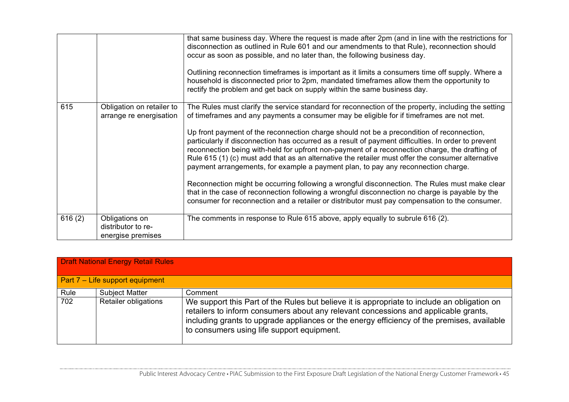|        |                                                           | that same business day. Where the request is made after 2pm (and in line with the restrictions for<br>disconnection as outlined in Rule 601 and our amendments to that Rule), reconnection should<br>occur as soon as possible, and no later than, the following business day.<br>Outlining reconnection timeframes is important as it limits a consumers time off supply. Where a<br>household is disconnected prior to 2pm, mandated timeframes allow them the opportunity to<br>rectify the problem and get back on supply within the same business day.                                                                                                                                                                                                                                                                                                                                                                                                                                           |
|--------|-----------------------------------------------------------|-------------------------------------------------------------------------------------------------------------------------------------------------------------------------------------------------------------------------------------------------------------------------------------------------------------------------------------------------------------------------------------------------------------------------------------------------------------------------------------------------------------------------------------------------------------------------------------------------------------------------------------------------------------------------------------------------------------------------------------------------------------------------------------------------------------------------------------------------------------------------------------------------------------------------------------------------------------------------------------------------------|
| 615    | Obligation on retailer to<br>arrange re energisation      | The Rules must clarify the service standard for reconnection of the property, including the setting<br>of timeframes and any payments a consumer may be eligible for if timeframes are not met.<br>Up front payment of the reconnection charge should not be a precondition of reconnection,<br>particularly if disconnection has occurred as a result of payment difficulties. In order to prevent<br>reconnection being with-held for upfront non-payment of a reconnection charge, the drafting of<br>Rule 615 (1) (c) must add that as an alternative the retailer must offer the consumer alternative<br>payment arrangements, for example a payment plan, to pay any reconnection charge.<br>Reconnection might be occurring following a wrongful disconnection. The Rules must make clear<br>that in the case of reconnection following a wrongful disconnection no charge is payable by the<br>consumer for reconnection and a retailer or distributor must pay compensation to the consumer. |
| 616(2) | Obligations on<br>distributor to re-<br>energise premises | The comments in response to Rule 615 above, apply equally to subrule 616 (2).                                                                                                                                                                                                                                                                                                                                                                                                                                                                                                                                                                                                                                                                                                                                                                                                                                                                                                                         |

| <b>Draft National Energy Retail Rules</b> |                                 |                                                                                                                                                                                                                                                                                                                                |  |
|-------------------------------------------|---------------------------------|--------------------------------------------------------------------------------------------------------------------------------------------------------------------------------------------------------------------------------------------------------------------------------------------------------------------------------|--|
|                                           | Part 7 – Life support equipment |                                                                                                                                                                                                                                                                                                                                |  |
| Rule                                      | <b>Subject Matter</b>           | Comment                                                                                                                                                                                                                                                                                                                        |  |
| 702                                       | <b>Retailer obligations</b>     | We support this Part of the Rules but believe it is appropriate to include an obligation on<br>retailers to inform consumers about any relevant concessions and applicable grants,<br>including grants to upgrade appliances or the energy efficiency of the premises, available<br>to consumers using life support equipment. |  |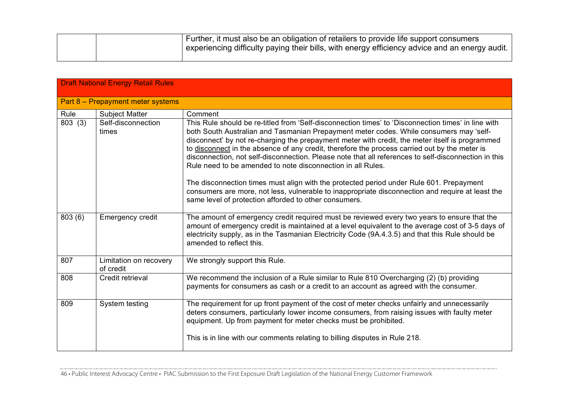|  | Further, it must also be an obligation of retailers to provide life support consumers          |
|--|------------------------------------------------------------------------------------------------|
|  | experiencing difficulty paying their bills, with energy efficiency advice and an energy audit. |
|  |                                                                                                |

| <b>Draft National Energy Retail Rules</b> |                                     |                                                                                                                                                                                                                                                                                                                                                                                                                                                                                                                                                                          |
|-------------------------------------------|-------------------------------------|--------------------------------------------------------------------------------------------------------------------------------------------------------------------------------------------------------------------------------------------------------------------------------------------------------------------------------------------------------------------------------------------------------------------------------------------------------------------------------------------------------------------------------------------------------------------------|
|                                           | Part 8 - Prepayment meter systems   |                                                                                                                                                                                                                                                                                                                                                                                                                                                                                                                                                                          |
| Rule                                      | <b>Subject Matter</b>               | Comment                                                                                                                                                                                                                                                                                                                                                                                                                                                                                                                                                                  |
| 803(3)                                    | Self-disconnection<br>times         | This Rule should be re-titled from 'Self-disconnection times' to 'Disconnection times' in line with<br>both South Australian and Tasmanian Prepayment meter codes. While consumers may 'self-<br>disconnect' by not re-charging the prepayment meter with credit, the meter itself is programmed<br>to disconnect in the absence of any credit, therefore the process carried out by the meter is<br>disconnection, not self-disconnection. Please note that all references to self-disconnection in this<br>Rule need to be amended to note disconnection in all Rules. |
|                                           |                                     | The disconnection times must align with the protected period under Rule 601. Prepayment<br>consumers are more, not less, vulnerable to inappropriate disconnection and require at least the<br>same level of protection afforded to other consumers.                                                                                                                                                                                                                                                                                                                     |
| 803(6)                                    | <b>Emergency credit</b>             | The amount of emergency credit required must be reviewed every two years to ensure that the<br>amount of emergency credit is maintained at a level equivalent to the average cost of 3-5 days of<br>electricity supply, as in the Tasmanian Electricity Code (9A.4.3.5) and that this Rule should be<br>amended to reflect this.                                                                                                                                                                                                                                         |
| 807                                       | Limitation on recovery<br>of credit | We strongly support this Rule.                                                                                                                                                                                                                                                                                                                                                                                                                                                                                                                                           |
| 808                                       | Credit retrieval                    | We recommend the inclusion of a Rule similar to Rule 810 Overcharging (2) (b) providing<br>payments for consumers as cash or a credit to an account as agreed with the consumer.                                                                                                                                                                                                                                                                                                                                                                                         |
| 809                                       | System testing                      | The requirement for up front payment of the cost of meter checks unfairly and unnecessarily<br>deters consumers, particularly lower income consumers, from raising issues with faulty meter<br>equipment. Up from payment for meter checks must be prohibited.<br>This is in line with our comments relating to billing disputes in Rule 218.                                                                                                                                                                                                                            |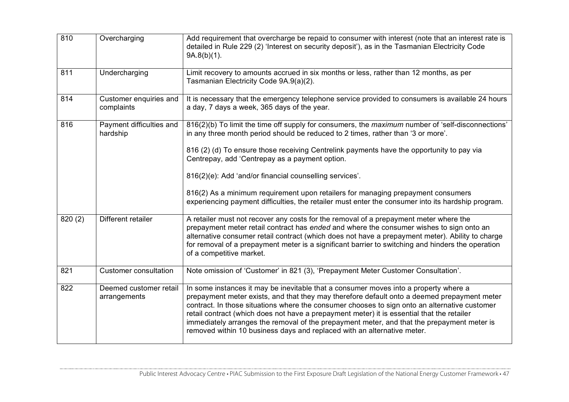| 810     | Overcharging                           | Add requirement that overcharge be repaid to consumer with interest (note that an interest rate is<br>detailed in Rule 229 (2) 'Interest on security deposit'), as in the Tasmanian Electricity Code<br>$9A.8(b)(1)$ .                                                                                                                                                                                                                                                                                                                                      |
|---------|----------------------------------------|-------------------------------------------------------------------------------------------------------------------------------------------------------------------------------------------------------------------------------------------------------------------------------------------------------------------------------------------------------------------------------------------------------------------------------------------------------------------------------------------------------------------------------------------------------------|
| 811     | Undercharging                          | Limit recovery to amounts accrued in six months or less, rather than 12 months, as per<br>Tasmanian Electricity Code 9A.9(a)(2).                                                                                                                                                                                                                                                                                                                                                                                                                            |
| 814     | Customer enquiries and<br>complaints   | It is necessary that the emergency telephone service provided to consumers is available 24 hours<br>a day, 7 days a week, 365 days of the year.                                                                                                                                                                                                                                                                                                                                                                                                             |
| 816     | Payment difficulties and<br>hardship   | 816(2)(b) To limit the time off supply for consumers, the <i>maximum</i> number of 'self-disconnections'<br>in any three month period should be reduced to 2 times, rather than '3 or more'.                                                                                                                                                                                                                                                                                                                                                                |
|         |                                        | 816 (2) (d) To ensure those receiving Centrelink payments have the opportunity to pay via<br>Centrepay, add 'Centrepay as a payment option.                                                                                                                                                                                                                                                                                                                                                                                                                 |
|         |                                        | 816(2)(e): Add 'and/or financial counselling services'.                                                                                                                                                                                                                                                                                                                                                                                                                                                                                                     |
|         |                                        | 816(2) As a minimum requirement upon retailers for managing prepayment consumers<br>experiencing payment difficulties, the retailer must enter the consumer into its hardship program.                                                                                                                                                                                                                                                                                                                                                                      |
| 820 (2) | Different retailer                     | A retailer must not recover any costs for the removal of a prepayment meter where the<br>prepayment meter retail contract has ended and where the consumer wishes to sign onto an<br>alternative consumer retail contract (which does not have a prepayment meter). Ability to charge<br>for removal of a prepayment meter is a significant barrier to switching and hinders the operation<br>of a competitive market.                                                                                                                                      |
| 821     | <b>Customer consultation</b>           | Note omission of 'Customer' in 821 (3), 'Prepayment Meter Customer Consultation'.                                                                                                                                                                                                                                                                                                                                                                                                                                                                           |
| 822     | Deemed customer retail<br>arrangements | In some instances it may be inevitable that a consumer moves into a property where a<br>prepayment meter exists, and that they may therefore default onto a deemed prepayment meter<br>contract. In those situations where the consumer chooses to sign onto an alternative customer<br>retail contract (which does not have a prepayment meter) it is essential that the retailer<br>immediately arranges the removal of the prepayment meter, and that the prepayment meter is<br>removed within 10 business days and replaced with an alternative meter. |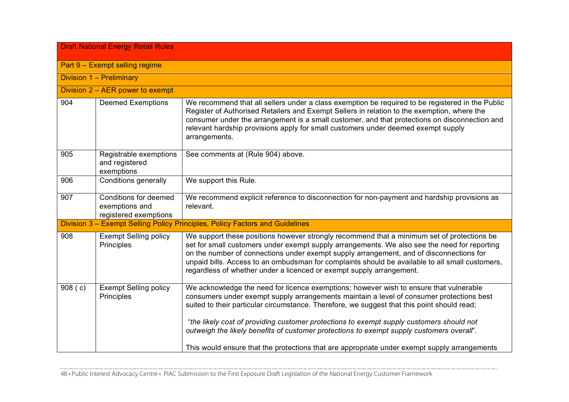| <b>Draft National Energy Retail Rules</b> |                                                                  |                                                                                                                                                                                                                                                                                                                                                                                                                                                                            |  |  |
|-------------------------------------------|------------------------------------------------------------------|----------------------------------------------------------------------------------------------------------------------------------------------------------------------------------------------------------------------------------------------------------------------------------------------------------------------------------------------------------------------------------------------------------------------------------------------------------------------------|--|--|
|                                           | Part 9 - Exempt selling regime                                   |                                                                                                                                                                                                                                                                                                                                                                                                                                                                            |  |  |
|                                           | Division 1 - Preliminary                                         |                                                                                                                                                                                                                                                                                                                                                                                                                                                                            |  |  |
|                                           | Division $2 - AER$ power to exempt                               |                                                                                                                                                                                                                                                                                                                                                                                                                                                                            |  |  |
| 904                                       | <b>Deemed Exemptions</b>                                         | We recommend that all sellers under a class exemption be required to be registered in the Public<br>Register of Authorised Retailers and Exempt Sellers in relation to the exemption, where the<br>consumer under the arrangement is a small customer, and that protections on disconnection and<br>relevant hardship provisions apply for small customers under deemed exempt supply<br>arrangements.                                                                     |  |  |
| 905                                       | Registrable exemptions<br>and registered<br>exemptions           | See comments at (Rule 904) above.                                                                                                                                                                                                                                                                                                                                                                                                                                          |  |  |
| 906                                       | Conditions generally                                             | We support this Rule.                                                                                                                                                                                                                                                                                                                                                                                                                                                      |  |  |
| 907                                       | Conditions for deemed<br>exemptions and<br>registered exemptions | We recommend explicit reference to disconnection for non-payment and hardship provisions as<br>relevant.                                                                                                                                                                                                                                                                                                                                                                   |  |  |
|                                           |                                                                  | Division 3 - Exempt Selling Policy Principles, Policy Factors and Guidelines                                                                                                                                                                                                                                                                                                                                                                                               |  |  |
| 908                                       | <b>Exempt Selling policy</b><br>Principles                       | We support these positions however strongly recommend that a minimum set of protections be<br>set for small customers under exempt supply arrangements. We also see the need for reporting<br>on the number of connections under exempt supply arrangement, and of disconnections for<br>unpaid bills. Access to an ombudsman for complaints should be available to all small customers,<br>regardless of whether under a licenced or exempt supply arrangement.           |  |  |
| 908(c)                                    | <b>Exempt Selling policy</b><br>Principles                       | We acknowledge the need for licence exemptions; however wish to ensure that vulnerable<br>consumers under exempt supply arrangements maintain a level of consumer protections best<br>suited to their particular circumstance. Therefore, we suggest that this point should read;<br>"the likely cost of providing customer protections to exempt supply customers should not<br>outweigh the likely benefits of customer protections to exempt supply customers overall". |  |  |
|                                           |                                                                  | This would ensure that the protections that are appropriate under exempt supply arrangements                                                                                                                                                                                                                                                                                                                                                                               |  |  |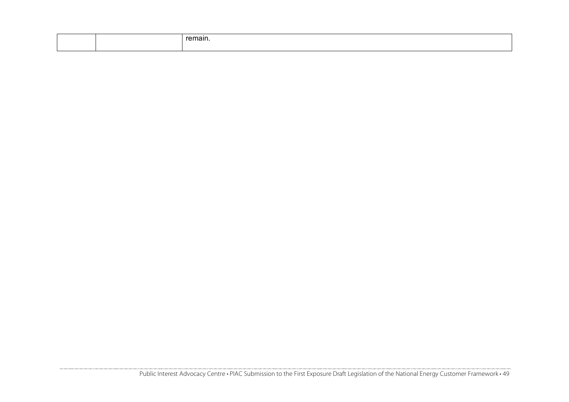|  | $  -$<br>наш |
|--|--------------|
|  |              |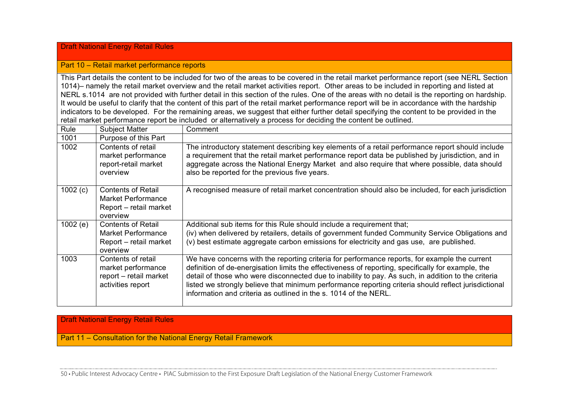# Draft National Energy Retail Rules

## Part 10 – Retail market performance reports

This Part details the content to be included for two of the areas to be covered in the retail market performance report (see NERL Section 1014)– namely the retail market overview and the retail market activities report. Other areas to be included in reporting and listed at NERL s.1014 are not provided with further detail in this section of the rules. One of the areas with no detail is the reporting on hardship. It would be useful to clarify that the content of this part of the retail market performance report will be in accordance with the hardship indicators to be developed. For the remaining areas, we suggest that either further detail specifying the content to be provided in the retail market performance report be included or alternatively a process for deciding the content be outlined.

| Rule    | <b>Subject Matter</b>                                                                        | Comment                                                                                                                                                                                                                                                                                                                                                                                                                                                                                |
|---------|----------------------------------------------------------------------------------------------|----------------------------------------------------------------------------------------------------------------------------------------------------------------------------------------------------------------------------------------------------------------------------------------------------------------------------------------------------------------------------------------------------------------------------------------------------------------------------------------|
| 1001    | Purpose of this Part                                                                         |                                                                                                                                                                                                                                                                                                                                                                                                                                                                                        |
| 1002    | Contents of retail<br>market performance<br>report-retail market<br>overview                 | The introductory statement describing key elements of a retail performance report should include<br>a requirement that the retail market performance report data be published by jurisdiction, and in<br>aggregate across the National Energy Market and also require that where possible, data should<br>also be reported for the previous five years.                                                                                                                                |
| 1002(c) | <b>Contents of Retail</b><br><b>Market Performance</b><br>Report – retail market<br>overview | A recognised measure of retail market concentration should also be included, for each jurisdiction                                                                                                                                                                                                                                                                                                                                                                                     |
| 1002(e) | <b>Contents of Retail</b><br>Market Performance<br>Report – retail market<br>overview        | Additional sub items for this Rule should include a requirement that;<br>(iv) when delivered by retailers, details of government funded Community Service Obligations and<br>(v) best estimate aggregate carbon emissions for electricity and gas use, are published.                                                                                                                                                                                                                  |
| 1003    | Contents of retail<br>market performance<br>report - retail market<br>activities report      | We have concerns with the reporting criteria for performance reports, for example the current<br>definition of de-energisation limits the effectiveness of reporting, specifically for example, the<br>detail of those who were disconnected due to inability to pay. As such, in addition to the criteria<br>listed we strongly believe that minimum performance reporting criteria should reflect jurisdictional<br>information and criteria as outlined in the s. 1014 of the NERL. |

# Draft National Energy Retail Rules

Part 11 – Consultation for the National Energy Retail Framework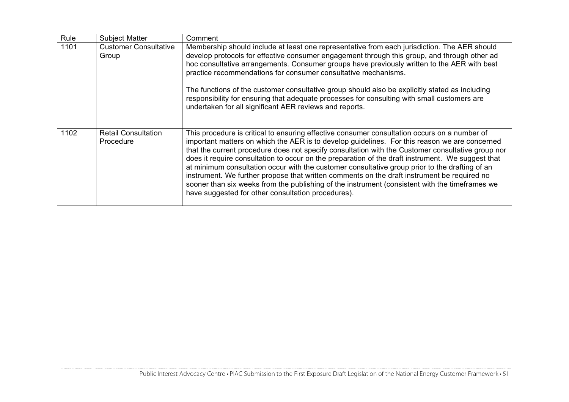| Rule | <b>Subject Matter</b>                   | Comment                                                                                                                                                                                                                                                                                                                                                                                                                                                                                                                                                                                                                                                                                                                                                          |
|------|-----------------------------------------|------------------------------------------------------------------------------------------------------------------------------------------------------------------------------------------------------------------------------------------------------------------------------------------------------------------------------------------------------------------------------------------------------------------------------------------------------------------------------------------------------------------------------------------------------------------------------------------------------------------------------------------------------------------------------------------------------------------------------------------------------------------|
| 1101 | <b>Customer Consultative</b><br>Group   | Membership should include at least one representative from each jurisdiction. The AER should<br>develop protocols for effective consumer engagement through this group, and through other ad<br>hoc consultative arrangements. Consumer groups have previously written to the AER with best<br>practice recommendations for consumer consultative mechanisms.<br>The functions of the customer consultative group should also be explicitly stated as including<br>responsibility for ensuring that adequate processes for consulting with small customers are<br>undertaken for all significant AER reviews and reports.                                                                                                                                        |
| 1102 | <b>Retail Consultation</b><br>Procedure | This procedure is critical to ensuring effective consumer consultation occurs on a number of<br>important matters on which the AER is to develop guidelines. For this reason we are concerned<br>that the current procedure does not specify consultation with the Customer consultative group nor<br>does it require consultation to occur on the preparation of the draft instrument. We suggest that<br>at minimum consultation occur with the customer consultative group prior to the drafting of an<br>instrument. We further propose that written comments on the draft instrument be required no<br>sooner than six weeks from the publishing of the instrument (consistent with the timeframes we<br>have suggested for other consultation procedures). |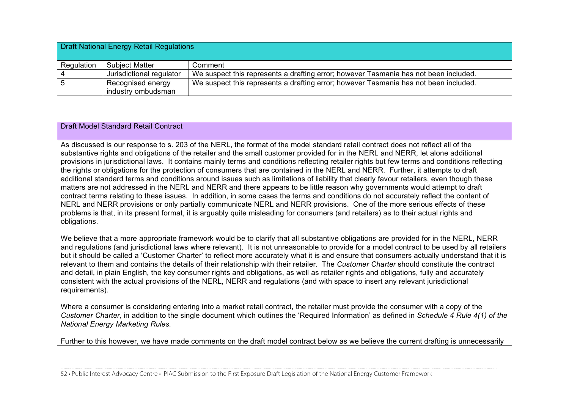| <b>Draft National Energy Retail Regulations</b> |                                         |                                                                                      |
|-------------------------------------------------|-----------------------------------------|--------------------------------------------------------------------------------------|
| Regulation                                      | <b>Subject Matter</b>                   | Comment                                                                              |
| 4                                               | Jurisdictional regulator                | We suspect this represents a drafting error; however Tasmania has not been included. |
| 5                                               | Recognised energy<br>industry ombudsman | We suspect this represents a drafting error; however Tasmania has not been included. |

## Draft Model Standard Retail Contract

As discussed is our response to s. 203 of the NERL, the format of the model standard retail contract does not reflect all of the substantive rights and obligations of the retailer and the small customer provided for in the NERL and NERR, let alone additional provisions in jurisdictional laws. It contains mainly terms and conditions reflecting retailer rights but few terms and conditions reflecting the rights or obligations for the protection of consumers that are contained in the NERL and NERR. Further, it attempts to draft additional standard terms and conditions around issues such as limitations of liability that clearly favour retailers, even though these matters are not addressed in the NERL and NERR and there appears to be little reason why governments would attempt to draft contract terms relating to these issues. In addition, in some cases the terms and conditions do not accurately reflect the content of NERL and NERR provisions or only partially communicate NERL and NERR provisions. One of the more serious effects of these problems is that, in its present format, it is arguably quite misleading for consumers (and retailers) as to their actual rights and obligations.

We believe that a more appropriate framework would be to clarify that all substantive obligations are provided for in the NERL, NERR and regulations (and jurisdictional laws where relevant). It is not unreasonable to provide for a model contract to be used by all retailers but it should be called a 'Customer Charter' to reflect more accurately what it is and ensure that consumers actually understand that it is relevant to them and contains the details of their relationship with their retailer. The *Customer Charter* should constitute the contract and detail, in plain English, the key consumer rights and obligations, as well as retailer rights and obligations, fully and accurately consistent with the actual provisions of the NERL, NERR and regulations (and with space to insert any relevant jurisdictional requirements).

Where a consumer is considering entering into a market retail contract, the retailer must provide the consumer with a copy of the *Customer Charter,* in addition to the single document which outlines the 'Required Information' as defined in *Schedule 4 Rule 4(1) of the National Energy Marketing Rules.*

Further to this however, we have made comments on the draft model contract below as we believe the current drafting is unnecessarily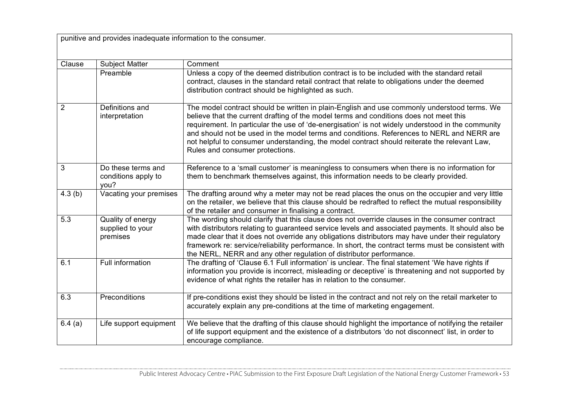punitive and provides inadequate information to the consumer.

| Clause         | <b>Subject Matter</b>                             | Comment                                                                                                                                                                                                                                                                                                                                                                                                                                                                                                                    |
|----------------|---------------------------------------------------|----------------------------------------------------------------------------------------------------------------------------------------------------------------------------------------------------------------------------------------------------------------------------------------------------------------------------------------------------------------------------------------------------------------------------------------------------------------------------------------------------------------------------|
|                | Preamble                                          | Unless a copy of the deemed distribution contract is to be included with the standard retail<br>contract, clauses in the standard retail contract that relate to obligations under the deemed<br>distribution contract should be highlighted as such.                                                                                                                                                                                                                                                                      |
| $\overline{2}$ | Definitions and<br>interpretation                 | The model contract should be written in plain-English and use commonly understood terms. We<br>believe that the current drafting of the model terms and conditions does not meet this<br>requirement. In particular the use of 'de-energisation' is not widely understood in the community<br>and should not be used in the model terms and conditions. References to NERL and NERR are<br>not helpful to consumer understanding, the model contract should reiterate the relevant Law,<br>Rules and consumer protections. |
| 3              | Do these terms and<br>conditions apply to<br>you? | Reference to a 'small customer' is meaningless to consumers when there is no information for<br>them to benchmark themselves against, this information needs to be clearly provided.                                                                                                                                                                                                                                                                                                                                       |
| 4.3(b)         | Vacating your premises                            | The drafting around why a meter may not be read places the onus on the occupier and very little<br>on the retailer, we believe that this clause should be redrafted to reflect the mutual responsibility<br>of the retailer and consumer in finalising a contract.                                                                                                                                                                                                                                                         |
| 5.3            | Quality of energy<br>supplied to your<br>premises | The wording should clarify that this clause does not override clauses in the consumer contract<br>with distributors relating to guaranteed service levels and associated payments. It should also be<br>made clear that it does not override any obligations distributors may have under their regulatory<br>framework re: service/reliability performance. In short, the contract terms must be consistent with<br>the NERL, NERR and any other regulation of distributor performance.                                    |
| 6.1            | Full information                                  | The drafting of 'Clause 6.1 Full information' is unclear. The final statement 'We have rights if<br>information you provide is incorrect, misleading or deceptive' is threatening and not supported by<br>evidence of what rights the retailer has in relation to the consumer.                                                                                                                                                                                                                                            |
| 6.3            | Preconditions                                     | If pre-conditions exist they should be listed in the contract and not rely on the retail marketer to<br>accurately explain any pre-conditions at the time of marketing engagement.                                                                                                                                                                                                                                                                                                                                         |
| 6.4(a)         | Life support equipment                            | We believe that the drafting of this clause should highlight the importance of notifying the retailer<br>of life support equipment and the existence of a distributors 'do not disconnect' list, in order to<br>encourage compliance.                                                                                                                                                                                                                                                                                      |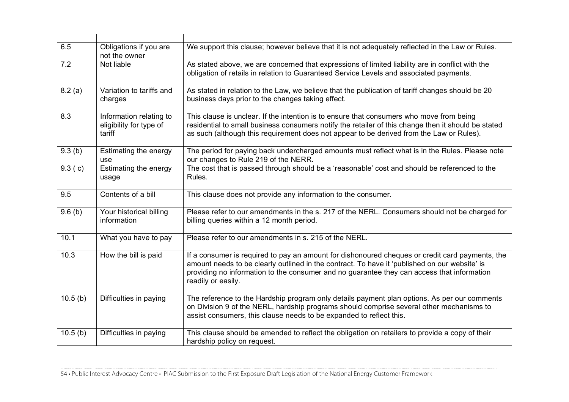| 6.5     | Obligations if you are<br>not the owner                      | We support this clause; however believe that it is not adequately reflected in the Law or Rules.                                                                                                                                                                                                                     |
|---------|--------------------------------------------------------------|----------------------------------------------------------------------------------------------------------------------------------------------------------------------------------------------------------------------------------------------------------------------------------------------------------------------|
| 7.2     | Not liable                                                   | As stated above, we are concerned that expressions of limited liability are in conflict with the<br>obligation of retails in relation to Guaranteed Service Levels and associated payments.                                                                                                                          |
| 8.2(a)  | Variation to tariffs and<br>charges                          | As stated in relation to the Law, we believe that the publication of tariff changes should be 20<br>business days prior to the changes taking effect.                                                                                                                                                                |
| 8.3     | Information relating to<br>eligibility for type of<br>tariff | This clause is unclear. If the intention is to ensure that consumers who move from being<br>residential to small business consumers notify the retailer of this change then it should be stated<br>as such (although this requirement does not appear to be derived from the Law or Rules).                          |
| 9.3(b)  | Estimating the energy<br>use                                 | The period for paying back undercharged amounts must reflect what is in the Rules. Please note<br>our changes to Rule 219 of the NERR.                                                                                                                                                                               |
| 9.3(c)  | Estimating the energy<br>usage                               | The cost that is passed through should be a 'reasonable' cost and should be referenced to the<br>Rules.                                                                                                                                                                                                              |
| 9.5     | Contents of a bill                                           | This clause does not provide any information to the consumer.                                                                                                                                                                                                                                                        |
| 9.6(b)  | Your historical billing<br>information                       | Please refer to our amendments in the s. 217 of the NERL. Consumers should not be charged for<br>billing queries within a 12 month period.                                                                                                                                                                           |
| 10.1    | What you have to pay                                         | Please refer to our amendments in s. 215 of the NERL.                                                                                                                                                                                                                                                                |
| 10.3    | How the bill is paid                                         | If a consumer is required to pay an amount for dishonoured cheques or credit card payments, the<br>amount needs to be clearly outlined in the contract. To have it 'published on our website' is<br>providing no information to the consumer and no guarantee they can access that information<br>readily or easily. |
| 10.5(b) | Difficulties in paying                                       | The reference to the Hardship program only details payment plan options. As per our comments<br>on Division 9 of the NERL, hardship programs should comprise several other mechanisms to<br>assist consumers, this clause needs to be expanded to reflect this.                                                      |
| 10.5(b) | Difficulties in paying                                       | This clause should be amended to reflect the obligation on retailers to provide a copy of their<br>hardship policy on request.                                                                                                                                                                                       |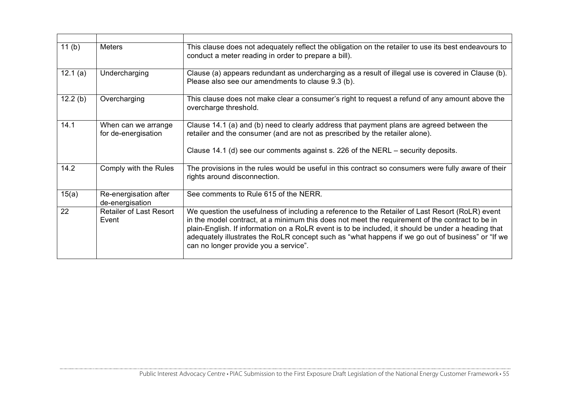| 11(b)   | <b>Meters</b>                              | This clause does not adequately reflect the obligation on the retailer to use its best endeavours to<br>conduct a meter reading in order to prepare a bill).                                                                                                                                                                                                                                                                                           |
|---------|--------------------------------------------|--------------------------------------------------------------------------------------------------------------------------------------------------------------------------------------------------------------------------------------------------------------------------------------------------------------------------------------------------------------------------------------------------------------------------------------------------------|
| 12.1(a) | Undercharging                              | Clause (a) appears redundant as undercharging as a result of illegal use is covered in Clause (b).<br>Please also see our amendments to clause 9.3 (b).                                                                                                                                                                                                                                                                                                |
| 12.2(b) | Overcharging                               | This clause does not make clear a consumer's right to request a refund of any amount above the<br>overcharge threshold.                                                                                                                                                                                                                                                                                                                                |
| 14.1    | When can we arrange<br>for de-energisation | Clause 14.1 (a) and (b) need to clearly address that payment plans are agreed between the<br>retailer and the consumer (and are not as prescribed by the retailer alone).<br>Clause 14.1 (d) see our comments against s. 226 of the NERL – security deposits.                                                                                                                                                                                          |
| 14.2    | Comply with the Rules                      | The provisions in the rules would be useful in this contract so consumers were fully aware of their<br>rights around disconnection.                                                                                                                                                                                                                                                                                                                    |
| 15(a)   | Re-energisation after<br>de-energisation   | See comments to Rule 615 of the NERR.                                                                                                                                                                                                                                                                                                                                                                                                                  |
| 22      | <b>Retailer of Last Resort</b><br>Event    | We question the usefulness of including a reference to the Retailer of Last Resort (RoLR) event<br>in the model contract, at a minimum this does not meet the requirement of the contract to be in<br>plain-English. If information on a RoLR event is to be included, it should be under a heading that<br>adequately illustrates the RoLR concept such as "what happens if we go out of business" or "If we<br>can no longer provide you a service". |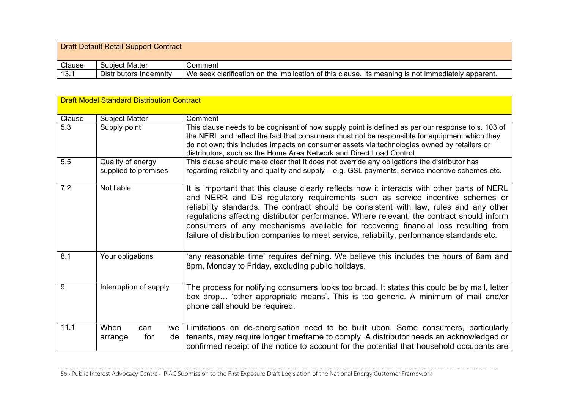Draft Default Retail Support Contract

| Clause        | Matter<br>Subiect      | Comment                                                                                                             |
|---------------|------------------------|---------------------------------------------------------------------------------------------------------------------|
| - 1 2<br>ا .ט | Distributors Indemnity | We<br>clarification on the implication of this clause.<br>lts<br>meaning is<br>not immediately<br>apparent.<br>seek |

| <b>Draft Model Standard Distribution Contract</b> |                                           |                                                                                                                                                                                                                                                                                                                                                                                                                                                                                                                                                        |
|---------------------------------------------------|-------------------------------------------|--------------------------------------------------------------------------------------------------------------------------------------------------------------------------------------------------------------------------------------------------------------------------------------------------------------------------------------------------------------------------------------------------------------------------------------------------------------------------------------------------------------------------------------------------------|
| Clause                                            | <b>Subject Matter</b>                     | Comment                                                                                                                                                                                                                                                                                                                                                                                                                                                                                                                                                |
| 5.3                                               | Supply point                              | This clause needs to be cognisant of how supply point is defined as per our response to s. 103 of<br>the NERL and reflect the fact that consumers must not be responsible for equipment which they<br>do not own; this includes impacts on consumer assets via technologies owned by retailers or<br>distributors, such as the Home Area Network and Direct Load Control.                                                                                                                                                                              |
| 5.5                                               | Quality of energy<br>supplied to premises | This clause should make clear that it does not override any obligations the distributor has<br>regarding reliability and quality and supply – e.g. GSL payments, service incentive schemes etc.                                                                                                                                                                                                                                                                                                                                                        |
| 7.2                                               | Not liable                                | It is important that this clause clearly reflects how it interacts with other parts of NERL<br>and NERR and DB regulatory requirements such as service incentive schemes or<br>reliability standards. The contract should be consistent with law, rules and any other<br>regulations affecting distributor performance. Where relevant, the contract should inform<br>consumers of any mechanisms available for recovering financial loss resulting from<br>failure of distribution companies to meet service, reliability, performance standards etc. |
| 8.1                                               | Your obligations                          | 'any reasonable time' requires defining. We believe this includes the hours of 8am and<br>8pm, Monday to Friday, excluding public holidays.                                                                                                                                                                                                                                                                                                                                                                                                            |
| 9                                                 | Interruption of supply                    | The process for notifying consumers looks too broad. It states this could be by mail, letter<br>box drop 'other appropriate means'. This is too generic. A minimum of mail and/or<br>phone call should be required.                                                                                                                                                                                                                                                                                                                                    |
| 11.1                                              | When<br>can<br>for<br>de l<br>arrange     | we   Limitations on de-energisation need to be built upon. Some consumers, particularly<br>tenants, may require longer timeframe to comply. A distributor needs an acknowledged or<br>confirmed receipt of the notice to account for the potential that household occupants are                                                                                                                                                                                                                                                                        |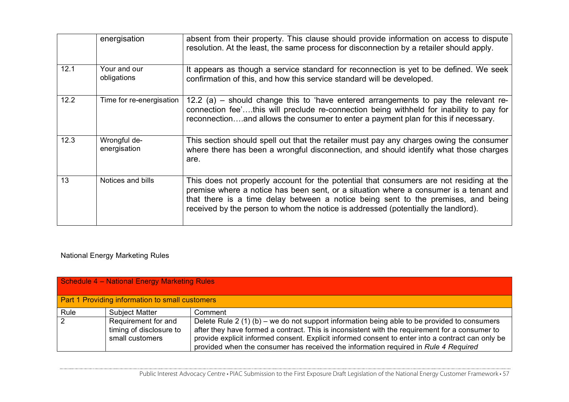|      | energisation                 | absent from their property. This clause should provide information on access to dispute<br>resolution. At the least, the same process for disconnection by a retailer should apply.                                                                                                                                                                         |
|------|------------------------------|-------------------------------------------------------------------------------------------------------------------------------------------------------------------------------------------------------------------------------------------------------------------------------------------------------------------------------------------------------------|
| 12.1 | Your and our<br>obligations  | It appears as though a service standard for reconnection is yet to be defined. We seek<br>confirmation of this, and how this service standard will be developed.                                                                                                                                                                                            |
| 12.2 | Time for re-energisation     | 12.2 (a) – should change this to 'have entered arrangements to pay the relevant re-<br>connection fee'this will preclude re-connection being withheld for inability to pay for<br>reconnectionand allows the consumer to enter a payment plan for this if necessary.                                                                                        |
| 12.3 | Wrongful de-<br>energisation | This section should spell out that the retailer must pay any charges owing the consumer<br>where there has been a wrongful disconnection, and should identify what those charges<br>are.                                                                                                                                                                    |
| 13   | Notices and bills            | This does not properly account for the potential that consumers are not residing at the<br>premise where a notice has been sent, or a situation where a consumer is a tenant and<br>that there is a time delay between a notice being sent to the premises, and being<br>received by the person to whom the notice is addressed (potentially the landlord). |

# National Energy Marketing Rules

| Schedule 4 - National Energy Marketing Rules    |                                                                   |                                                                                                                                                                                                                                                                                                                                                                                            |
|-------------------------------------------------|-------------------------------------------------------------------|--------------------------------------------------------------------------------------------------------------------------------------------------------------------------------------------------------------------------------------------------------------------------------------------------------------------------------------------------------------------------------------------|
| Part 1 Providing information to small customers |                                                                   |                                                                                                                                                                                                                                                                                                                                                                                            |
| Rule                                            | <b>Subject Matter</b>                                             | Comment                                                                                                                                                                                                                                                                                                                                                                                    |
| 2                                               | Requirement for and<br>timing of disclosure to<br>small customers | Delete Rule 2 (1) (b) – we do not support information being able to be provided to consumers<br>after they have formed a contract. This is inconsistent with the requirement for a consumer to<br>provide explicit informed consent. Explicit informed consent to enter into a contract can only be<br>provided when the consumer has received the information required in Rule 4 Required |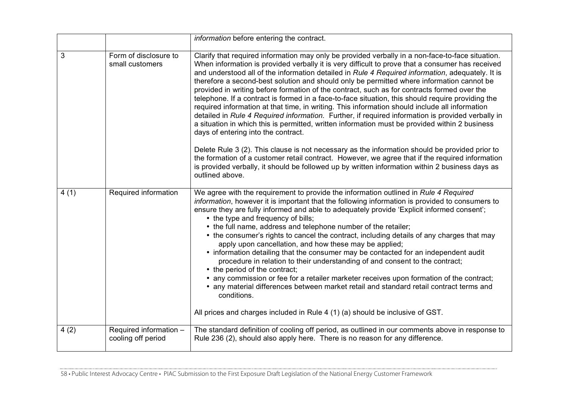|      |                                              | information before entering the contract.                                                                                                                                                                                                                                                                                                                                                                                                                                                                                                                                                                                                                                                                                                                                                                                                                                                                                                                                                                                                                                                                                                                                                                                                                                            |
|------|----------------------------------------------|--------------------------------------------------------------------------------------------------------------------------------------------------------------------------------------------------------------------------------------------------------------------------------------------------------------------------------------------------------------------------------------------------------------------------------------------------------------------------------------------------------------------------------------------------------------------------------------------------------------------------------------------------------------------------------------------------------------------------------------------------------------------------------------------------------------------------------------------------------------------------------------------------------------------------------------------------------------------------------------------------------------------------------------------------------------------------------------------------------------------------------------------------------------------------------------------------------------------------------------------------------------------------------------|
| 3    | Form of disclosure to<br>small customers     | Clarify that required information may only be provided verbally in a non-face-to-face situation.<br>When information is provided verbally it is very difficult to prove that a consumer has received<br>and understood all of the information detailed in Rule 4 Required information, adequately. It is<br>therefore a second-best solution and should only be permitted where information cannot be<br>provided in writing before formation of the contract, such as for contracts formed over the<br>telephone. If a contract is formed in a face-to-face situation, this should require providing the<br>required information at that time, in writing. This information should include all information<br>detailed in Rule 4 Required information. Further, if required information is provided verbally in<br>a situation in which this is permitted, written information must be provided within 2 business<br>days of entering into the contract.<br>Delete Rule 3 (2). This clause is not necessary as the information should be provided prior to<br>the formation of a customer retail contract. However, we agree that if the required information<br>is provided verbally, it should be followed up by written information within 2 business days as<br>outlined above. |
| 4(1) | Required information                         | We agree with the requirement to provide the information outlined in Rule 4 Required<br>information, however it is important that the following information is provided to consumers to<br>ensure they are fully informed and able to adequately provide 'Explicit informed consent';<br>• the type and frequency of bills;<br>• the full name, address and telephone number of the retailer;<br>• the consumer's rights to cancel the contract, including details of any charges that may<br>apply upon cancellation, and how these may be applied;<br>• information detailing that the consumer may be contacted for an independent audit<br>procedure in relation to their understanding of and consent to the contract;<br>• the period of the contract;<br>• any commission or fee for a retailer marketer receives upon formation of the contract;<br>• any material differences between market retail and standard retail contract terms and<br>conditions.<br>All prices and charges included in Rule 4 (1) (a) should be inclusive of GST.                                                                                                                                                                                                                                  |
| 4(2) | Required information -<br>cooling off period | The standard definition of cooling off period, as outlined in our comments above in response to<br>Rule 236 (2), should also apply here. There is no reason for any difference.                                                                                                                                                                                                                                                                                                                                                                                                                                                                                                                                                                                                                                                                                                                                                                                                                                                                                                                                                                                                                                                                                                      |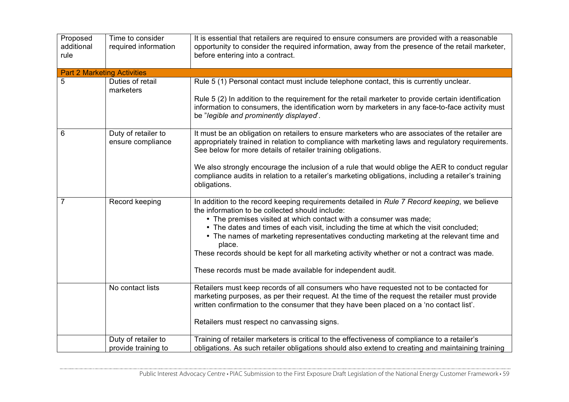| Proposed<br>additional<br>rule | Time to consider<br>required information   | It is essential that retailers are required to ensure consumers are provided with a reasonable<br>opportunity to consider the required information, away from the presence of the retail marketer,<br>before entering into a contract.                                                                                                                                                                                                                                                                                                                                          |
|--------------------------------|--------------------------------------------|---------------------------------------------------------------------------------------------------------------------------------------------------------------------------------------------------------------------------------------------------------------------------------------------------------------------------------------------------------------------------------------------------------------------------------------------------------------------------------------------------------------------------------------------------------------------------------|
|                                | <b>Part 2 Marketing Activities</b>         |                                                                                                                                                                                                                                                                                                                                                                                                                                                                                                                                                                                 |
| 5                              | Duties of retail<br>marketers              | Rule 5 (1) Personal contact must include telephone contact, this is currently unclear.                                                                                                                                                                                                                                                                                                                                                                                                                                                                                          |
|                                |                                            | Rule 5 (2) In addition to the requirement for the retail marketer to provide certain identification<br>information to consumers, the identification worn by marketers in any face-to-face activity must<br>be "legible and prominently displayed".                                                                                                                                                                                                                                                                                                                              |
| 6                              | Duty of retailer to<br>ensure compliance   | It must be an obligation on retailers to ensure marketers who are associates of the retailer are<br>appropriately trained in relation to compliance with marketing laws and regulatory requirements.<br>See below for more details of retailer training obligations.                                                                                                                                                                                                                                                                                                            |
|                                |                                            | We also strongly encourage the inclusion of a rule that would oblige the AER to conduct regular<br>compliance audits in relation to a retailer's marketing obligations, including a retailer's training<br>obligations.                                                                                                                                                                                                                                                                                                                                                         |
| 7                              | Record keeping                             | In addition to the record keeping requirements detailed in Rule 7 Record keeping, we believe<br>the information to be collected should include:<br>• The premises visited at which contact with a consumer was made;<br>• The dates and times of each visit, including the time at which the visit concluded;<br>• The names of marketing representatives conducting marketing at the relevant time and<br>place.<br>These records should be kept for all marketing activity whether or not a contract was made.<br>These records must be made available for independent audit. |
|                                | No contact lists                           | Retailers must keep records of all consumers who have requested not to be contacted for                                                                                                                                                                                                                                                                                                                                                                                                                                                                                         |
|                                |                                            | marketing purposes, as per their request. At the time of the request the retailer must provide<br>written confirmation to the consumer that they have been placed on a 'no contact list'.                                                                                                                                                                                                                                                                                                                                                                                       |
|                                |                                            | Retailers must respect no canvassing signs.                                                                                                                                                                                                                                                                                                                                                                                                                                                                                                                                     |
|                                | Duty of retailer to<br>provide training to | Training of retailer marketers is critical to the effectiveness of compliance to a retailer's<br>obligations. As such retailer obligations should also extend to creating and maintaining training                                                                                                                                                                                                                                                                                                                                                                              |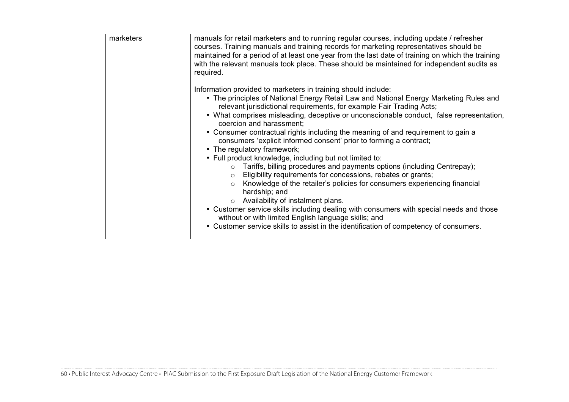| marketers | manuals for retail marketers and to running regular courses, including update / refresher<br>courses. Training manuals and training records for marketing representatives should be<br>maintained for a period of at least one year from the last date of training on which the training<br>with the relevant manuals took place. These should be maintained for independent audits as<br>required.                                                                                                                                                                                                                                                                                                                                                                                                                                                                                                                                                                                                                                                                                                                                                                              |
|-----------|----------------------------------------------------------------------------------------------------------------------------------------------------------------------------------------------------------------------------------------------------------------------------------------------------------------------------------------------------------------------------------------------------------------------------------------------------------------------------------------------------------------------------------------------------------------------------------------------------------------------------------------------------------------------------------------------------------------------------------------------------------------------------------------------------------------------------------------------------------------------------------------------------------------------------------------------------------------------------------------------------------------------------------------------------------------------------------------------------------------------------------------------------------------------------------|
|           | Information provided to marketers in training should include:<br>• The principles of National Energy Retail Law and National Energy Marketing Rules and<br>relevant jurisdictional requirements, for example Fair Trading Acts;<br>• What comprises misleading, deceptive or unconscionable conduct, false representation,<br>coercion and harassment;<br>• Consumer contractual rights including the meaning of and requirement to gain a<br>consumers 'explicit informed consent' prior to forming a contract;<br>• The regulatory framework;<br>• Full product knowledge, including but not limited to:<br>Tariffs, billing procedures and payments options (including Centrepay);<br>$\circ$<br>Eligibility requirements for concessions, rebates or grants;<br>$\circ$<br>Knowledge of the retailer's policies for consumers experiencing financial<br>$\circ$<br>hardship; and<br>Availability of instalment plans.<br>$\circ$<br>• Customer service skills including dealing with consumers with special needs and those<br>without or with limited English language skills; and<br>• Customer service skills to assist in the identification of competency of consumers. |
|           |                                                                                                                                                                                                                                                                                                                                                                                                                                                                                                                                                                                                                                                                                                                                                                                                                                                                                                                                                                                                                                                                                                                                                                                  |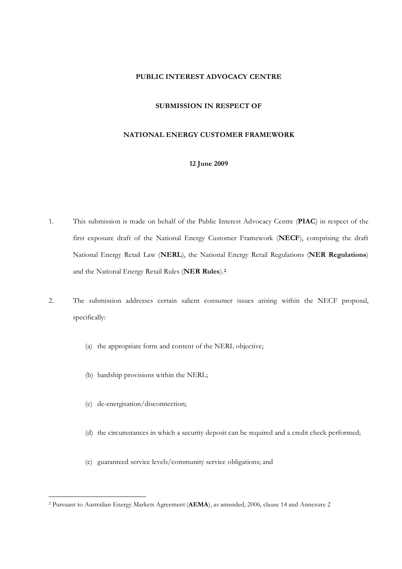## **PUBLIC INTEREST ADVOCACY CENTRE**

#### **SUBMISSION IN RESPECT OF**

#### **NATIONAL ENERGY CUSTOMER FRAMEWORK**

### **12 June 2009**

- 1. This submission is made on behalf of the Public Interest Advocacy Centre (**PIAC**) in respect of the first exposure draft of the National Energy Customer Framework (**NECF**), comprising the draft National Energy Retail Law (**NERL**), the National Energy Retail Regulations (**NER Regulations**) and the National Energy Retail Rules (**NER Rules**).**2**
- 2. The submission addresses certain salient consumer issues arising within the NECF proposal, specifically:
	- (a) the appropriate form and content of the NERL objective;
	- (b) hardship provisions within the NERL;
	- (c) de-energisation/disconnection;

 $\overline{a}$ 

- (d) the circumstances in which a security deposit can be required and a credit check performed;
- (e) guaranteed service levels/community service obligations; and

<sup>2</sup> Pursuant to Australian Energy Markets Agreement (**AEMA**), as amended, 2006, clause 14 and Annexure 2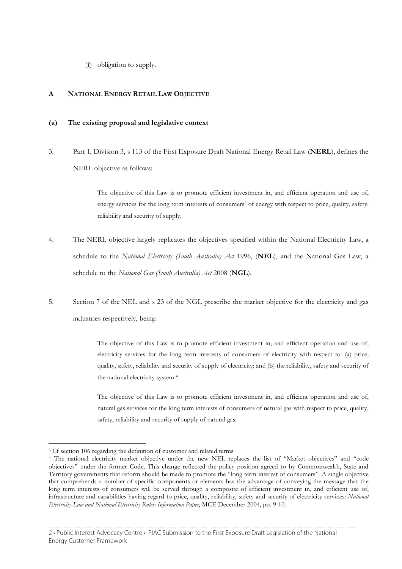(f) obligation to supply.

## **A NATIONAL ENERGY RETAIL LAW OBJECTIVE**

#### **(a) The existing proposal and legislative context**

3. Part 1, Division 3, s 113 of the First Exposure Draft National Energy Retail Law (**NERL**), defines the NERL objective as follows:

> The objective of this Law is to promote efficient investment in, and efficient operation and use of, energy services for the long term interests of consumers<sup>3</sup> of energy with respect to price, quality, safety, reliability and security of supply.

- 4. The NERL objective largely replicates the objectives specified within the National Electricity Law, a schedule to the *National Electricity (South Australia) Act* 1996, (**NEL**), and the National Gas Law, a schedule to the *National Gas (South Australia) Act* 2008 (**NGL**).
- 5. Section 7 of the NEL and s 23 of the NGL prescribe the market objective for the electricity and gas industries respectively, being:

The objective of this Law is to promote efficient investment in, and efficient operation and use of, electricity services for the long term interests of consumers of electricity with respect to: (a) price, quality, safety, reliability and security of supply of electricity; and (b) the reliability, safety and security of the national electricity system.4

The objective of this Law is to promote efficient investment in, and efficient operation and use of, natural gas services for the long term interests of consumers of natural gas with respect to price, quality, safety, reliability and security of supply of natural gas.

 $\overline{a}$ 

<sup>&</sup>lt;sup>3</sup> Cf section 106 regarding the definition of customer and related terms

<sup>4</sup> The national electricity market objective under the new NEL replaces the list of "Market objectives" and "code objectives" under the former Code. This change reflected the policy position agreed to by Commonwealth, State and Territory governments that reform should be made to promote the "long term interest of consumers". A single objective that comprehends a number of specific components or elements has the advantage of conveying the message that the long term interests of consumers will be served through a composite of efficient investment in, and efficient use of, infrastructure and capabilities having regard to price, quality, reliability, safety and security of electricity services: *National Electricity Law and National Electricity Rules: Information Paper*, MCE December 2004, pp. 9-10.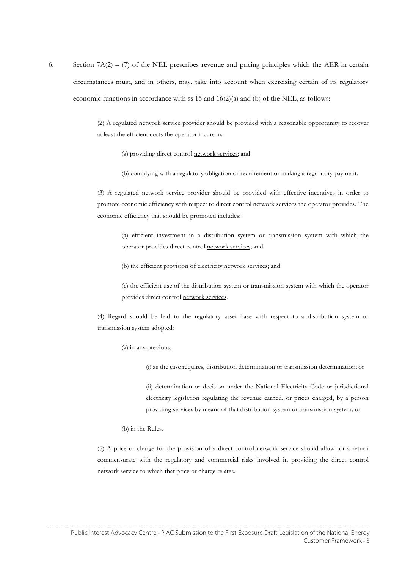6. Section  $7A(2) - (7)$  of the NEL prescribes revenue and pricing principles which the AER in certain circumstances must, and in others, may, take into account when exercising certain of its regulatory economic functions in accordance with ss 15 and  $16(2)(a)$  and (b) of the NEL, as follows:

> (2) A regulated network service provider should be provided with a reasonable opportunity to recover at least the efficient costs the operator incurs in:

- (a) providing direct control network services; and
- (b) complying with a regulatory obligation or requirement or making a regulatory payment.

(3) A regulated network service provider should be provided with effective incentives in order to promote economic efficiency with respect to direct control network services the operator provides. The economic efficiency that should be promoted includes:

(a) efficient investment in a distribution system or transmission system with which the operator provides direct control network services; and

(b) the efficient provision of electricity network services; and

(c) the efficient use of the distribution system or transmission system with which the operator provides direct control network services.

(4) Regard should be had to the regulatory asset base with respect to a distribution system or transmission system adopted:

(a) in any previous:

(i) as the case requires, distribution determination or transmission determination; or

(ii) determination or decision under the National Electricity Code or jurisdictional electricity legislation regulating the revenue earned, or prices charged, by a person providing services by means of that distribution system or transmission system; or

(b) in the Rules.

(5) A price or charge for the provision of a direct control network service should allow for a return commensurate with the regulatory and commercial risks involved in providing the direct control network service to which that price or charge relates.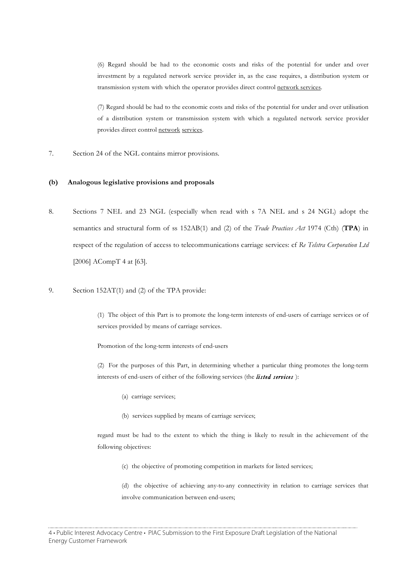(6) Regard should be had to the economic costs and risks of the potential for under and over investment by a regulated network service provider in, as the case requires, a distribution system or transmission system with which the operator provides direct control network services.

(7) Regard should be had to the economic costs and risks of the potential for under and over utilisation of a distribution system or transmission system with which a regulated network service provider provides direct control network services.

7. Section 24 of the NGL contains mirror provisions.

#### **(b) Analogous legislative provisions and proposals**

- 8. Sections 7 NEL and 23 NGL (especially when read with s 7A NEL and s 24 NGL) adopt the semantics and structural form of ss 152AB(1) and (2) of the *Trade Practices Act* 1974 (Cth) (**TPA**) in respect of the regulation of access to telecommunications carriage services: cf *Re Telstra Corporation Ltd* [2006] ACompT 4 at [63].
- 9. Section 152AT(1) and (2) of the TPA provide:

(1) The object of this Part is to promote the long-term interests of end-users of carriage services or of services provided by means of carriage services.

Promotion of the long-term interests of end-users

(2) For the purposes of this Part, in determining whether a particular thing promotes the long-term interests of end-users of either of the following services (the *listed services* ):

- (a) carriage services;
- (b) services supplied by means of carriage services;

regard must be had to the extent to which the thing is likely to result in the achievement of the following objectives:

(c) the objective of promoting competition in markets for listed services;

(d) the objective of achieving any-to-any connectivity in relation to carriage services that involve communication between end-users;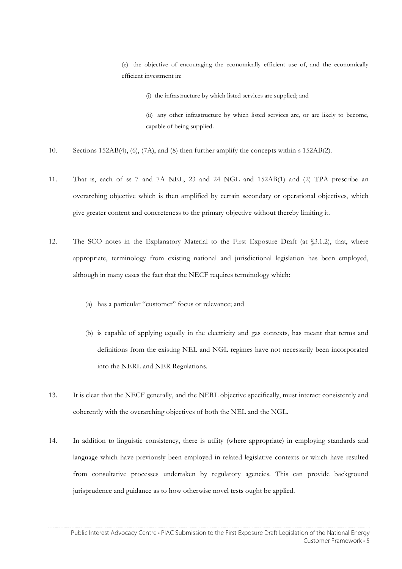(e) the objective of encouraging the economically efficient use of, and the economically efficient investment in:

(i) the infrastructure by which listed services are supplied; and

(ii) any other infrastructure by which listed services are, or are likely to become, capable of being supplied.

- 10. Sections 152AB(4), (6), (7A), and (8) then further amplify the concepts within s 152AB(2).
- 11. That is, each of ss 7 and 7A NEL, 23 and 24 NGL and 152AB(1) and (2) TPA prescribe an overarching objective which is then amplified by certain secondary or operational objectives, which give greater content and concreteness to the primary objective without thereby limiting it.
- 12. The SCO notes in the Explanatory Material to the First Exposure Draft (at §3.1.2), that, where appropriate, terminology from existing national and jurisdictional legislation has been employed, although in many cases the fact that the NECF requires terminology which:
	- (a) has a particular "customer" focus or relevance; and
	- (b) is capable of applying equally in the electricity and gas contexts, has meant that terms and definitions from the existing NEL and NGL regimes have not necessarily been incorporated into the NERL and NER Regulations.
- 13. It is clear that the NECF generally, and the NERL objective specifically, must interact consistently and coherently with the overarching objectives of both the NEL and the NGL.
- 14. In addition to linguistic consistency, there is utility (where appropriate) in employing standards and language which have previously been employed in related legislative contexts or which have resulted from consultative processes undertaken by regulatory agencies. This can provide background jurisprudence and guidance as to how otherwise novel tests ought be applied.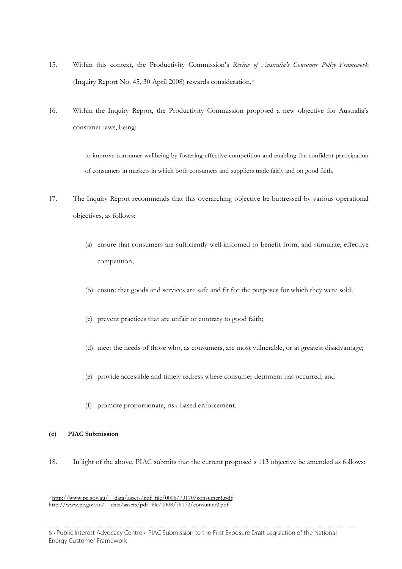- 15. Within this context, the Productivity Commission's *Review of Australia's Consumer Policy Framework* (Inquiry Report No. 45, 30 April 2008) rewards consideration.5
- 16. Within the Inquiry Report, the Productivity Commission proposed a new objective for Australia's consumer laws, being:

to improve consumer wellbeing by fostering effective competition and enabling the confident participation of consumers in markets in which both consumers and suppliers trade fairly and on good faith.

- 17. The Inquiry Report recommends that this overarching objective be buttressed by various operational objectives, as follows:
	- (a) ensure that consumers are sufficiently well-informed to benefit from, and stimulate, effective competition;
	- (b) ensure that goods and services are safe and fit for the purposes for which they were sold;
	- (c) prevent practices that are unfair or contrary to good faith;
	- (d) meet the needs of those who, as consumers, are most vulnerable, or at greatest disadvantage;
	- (e) provide accessible and timely redress where consumer detriment has occurred; and
	- (f) promote proportionate, risk-based enforcement.

## **(c) PIAC Submission**

 $\overline{a}$ 

18. In light of the above, PIAC submits that the current proposed s 113 objective be amended as follows:

<sup>&</sup>lt;sup>5</sup> http://www.pc.gov.au/\_\_data/assets/pdf\_file/0006/79170/consumer1.pdf; http://www.pc.gov.au/\_\_data/assets/pdf\_file/0008/79172/consumer2.pdf

<sup>6 •</sup> Public Interest Advocacy Centre • PIAC Submission to the First Exposure Draft Legislation of the National Energy Customer Framework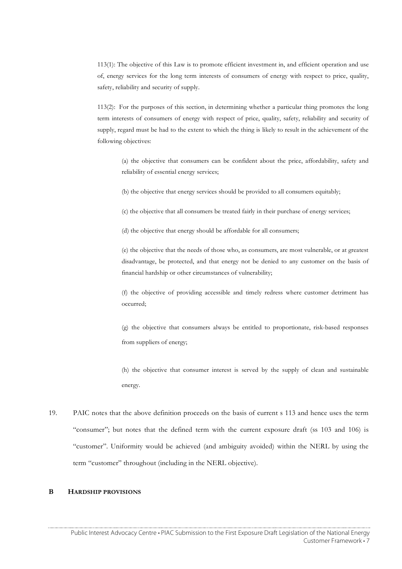113(1): The objective of this Law is to promote efficient investment in, and efficient operation and use of, energy services for the long term interests of consumers of energy with respect to price, quality, safety, reliability and security of supply.

113(2): For the purposes of this section, in determining whether a particular thing promotes the long term interests of consumers of energy with respect of price, quality, safety, reliability and security of supply, regard must be had to the extent to which the thing is likely to result in the achievement of the following objectives:

(a) the objective that consumers can be confident about the price, affordability, safety and reliability of essential energy services;

(b) the objective that energy services should be provided to all consumers equitably;

(c) the objective that all consumers be treated fairly in their purchase of energy services;

(d) the objective that energy should be affordable for all consumers;

(e) the objective that the needs of those who, as consumers, are most vulnerable, or at greatest disadvantage, be protected, and that energy not be denied to any customer on the basis of financial hardship or other circumstances of vulnerability;

(f) the objective of providing accessible and timely redress where customer detriment has occurred;

(g) the objective that consumers always be entitled to proportionate, risk-based responses from suppliers of energy;

(h) the objective that consumer interest is served by the supply of clean and sustainable energy.

19. PAIC notes that the above definition proceeds on the basis of current s 113 and hence uses the term "consumer"; but notes that the defined term with the current exposure draft (ss 103 and 106) is "customer". Uniformity would be achieved (and ambiguity avoided) within the NERL by using the term "customer" throughout (including in the NERL objective).

# **B HARDSHIP PROVISIONS**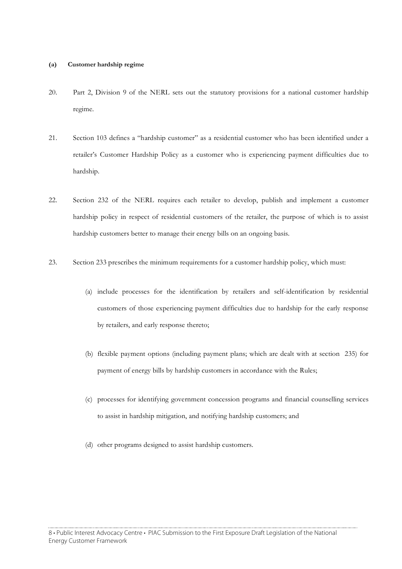#### **(a) Customer hardship regime**

- 20. Part 2, Division 9 of the NERL sets out the statutory provisions for a national customer hardship regime.
- 21. Section 103 defines a "hardship customer" as a residential customer who has been identified under a retailer's Customer Hardship Policy as a customer who is experiencing payment difficulties due to hardship.
- 22. Section 232 of the NERL requires each retailer to develop, publish and implement a customer hardship policy in respect of residential customers of the retailer, the purpose of which is to assist hardship customers better to manage their energy bills on an ongoing basis.
- 23. Section 233 prescribes the minimum requirements for a customer hardship policy, which must:
	- (a) include processes for the identification by retailers and self-identification by residential customers of those experiencing payment difficulties due to hardship for the early response by retailers, and early response thereto;
	- (b) flexible payment options (including payment plans; which are dealt with at section 235) for payment of energy bills by hardship customers in accordance with the Rules;
	- (c) processes for identifying government concession programs and financial counselling services to assist in hardship mitigation, and notifying hardship customers; and
	- (d) other programs designed to assist hardship customers.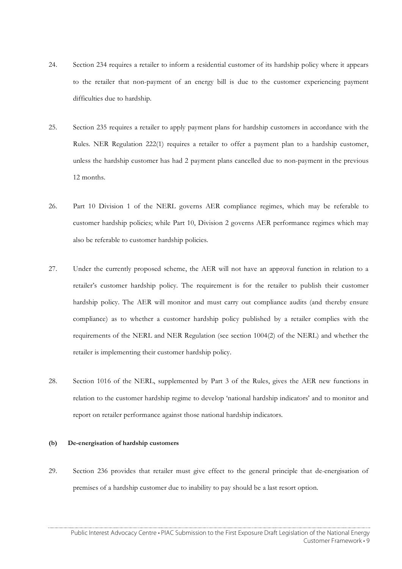- 24. Section 234 requires a retailer to inform a residential customer of its hardship policy where it appears to the retailer that non-payment of an energy bill is due to the customer experiencing payment difficulties due to hardship.
- 25. Section 235 requires a retailer to apply payment plans for hardship customers in accordance with the Rules. NER Regulation 222(1) requires a retailer to offer a payment plan to a hardship customer, unless the hardship customer has had 2 payment plans cancelled due to non-payment in the previous 12 months.
- 26. Part 10 Division 1 of the NERL governs AER compliance regimes, which may be referable to customer hardship policies; while Part 10, Division 2 governs AER performance regimes which may also be referable to customer hardship policies.
- 27. Under the currently proposed scheme, the AER will not have an approval function in relation to a retailer's customer hardship policy. The requirement is for the retailer to publish their customer hardship policy. The AER will monitor and must carry out compliance audits (and thereby ensure compliance) as to whether a customer hardship policy published by a retailer complies with the requirements of the NERL and NER Regulation (see section 1004(2) of the NERL) and whether the retailer is implementing their customer hardship policy.
- 28. Section 1016 of the NERL, supplemented by Part 3 of the Rules, gives the AER new functions in relation to the customer hardship regime to develop 'national hardship indicators' and to monitor and report on retailer performance against those national hardship indicators.

#### **(b) De-energisation of hardship customers**

29. Section 236 provides that retailer must give effect to the general principle that de-energisation of premises of a hardship customer due to inability to pay should be a last resort option.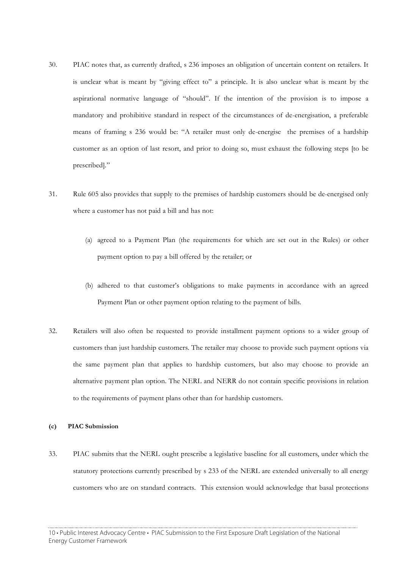- 30. PIAC notes that, as currently drafted, s 236 imposes an obligation of uncertain content on retailers. It is unclear what is meant by "giving effect to" a principle. It is also unclear what is meant by the aspirational normative language of "should". If the intention of the provision is to impose a mandatory and prohibitive standard in respect of the circumstances of de-energisation, a preferable means of framing s 236 would be: "A retailer must only de-energise the premises of a hardship customer as an option of last resort, and prior to doing so, must exhaust the following steps [to be prescribed]."
- 31. Rule 605 also provides that supply to the premises of hardship customers should be de-energised only where a customer has not paid a bill and has not:
	- (a) agreed to a Payment Plan (the requirements for which are set out in the Rules) or other payment option to pay a bill offered by the retailer; or
	- (b) adhered to that customer's obligations to make payments in accordance with an agreed Payment Plan or other payment option relating to the payment of bills.
- 32. Retailers will also often be requested to provide installment payment options to a wider group of customers than just hardship customers. The retailer may choose to provide such payment options via the same payment plan that applies to hardship customers, but also may choose to provide an alternative payment plan option. The NERL and NERR do not contain specific provisions in relation to the requirements of payment plans other than for hardship customers.

## **(c) PIAC Submission**

33. PIAC submits that the NERL ought prescribe a legislative baseline for all customers, under which the statutory protections currently prescribed by s 233 of the NERL are extended universally to all energy customers who are on standard contracts. This extension would acknowledge that basal protections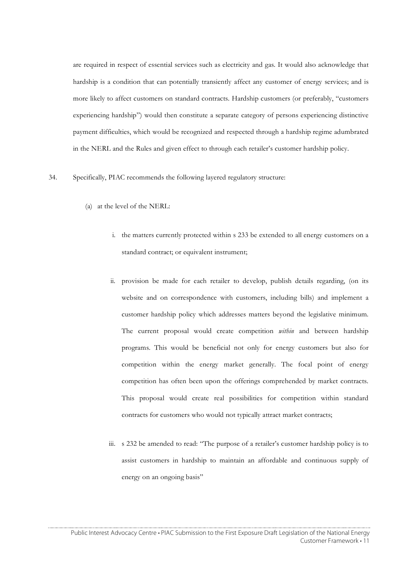are required in respect of essential services such as electricity and gas. It would also acknowledge that hardship is a condition that can potentially transiently affect any customer of energy services; and is more likely to affect customers on standard contracts. Hardship customers (or preferably, "customers experiencing hardship") would then constitute a separate category of persons experiencing distinctive payment difficulties, which would be recognized and respected through a hardship regime adumbrated in the NERL and the Rules and given effect to through each retailer's customer hardship policy.

#### 34. Specifically, PIAC recommends the following layered regulatory structure:

- (a) at the level of the NERL:
	- i. the matters currently protected within s 233 be extended to all energy customers on a standard contract; or equivalent instrument;
	- ii. provision be made for each retailer to develop, publish details regarding, (on its website and on correspondence with customers, including bills) and implement a customer hardship policy which addresses matters beyond the legislative minimum. The current proposal would create competition *within* and between hardship programs. This would be beneficial not only for energy customers but also for competition within the energy market generally. The focal point of energy competition has often been upon the offerings comprehended by market contracts. This proposal would create real possibilities for competition within standard contracts for customers who would not typically attract market contracts;
	- iii. s 232 be amended to read: "The purpose of a retailer's customer hardship policy is to assist customers in hardship to maintain an affordable and continuous supply of energy on an ongoing basis"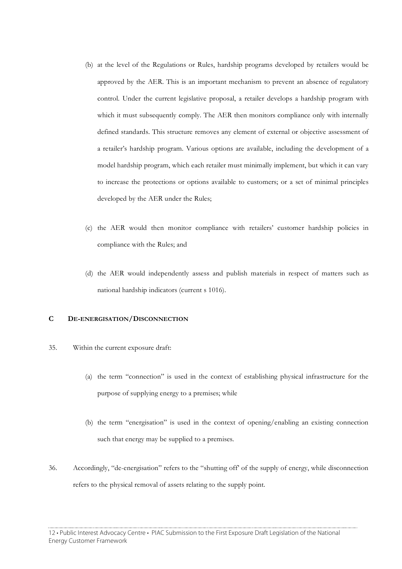- (b) at the level of the Regulations or Rules, hardship programs developed by retailers would be approved by the AER. This is an important mechanism to prevent an absence of regulatory control. Under the current legislative proposal, a retailer develops a hardship program with which it must subsequently comply. The AER then monitors compliance only with internally defined standards. This structure removes any element of external or objective assessment of a retailer's hardship program. Various options are available, including the development of a model hardship program, which each retailer must minimally implement, but which it can vary to increase the protections or options available to customers; or a set of minimal principles developed by the AER under the Rules;
- (c) the AER would then monitor compliance with retailers' customer hardship policies in compliance with the Rules; and
- (d) the AER would independently assess and publish materials in respect of matters such as national hardship indicators (current s 1016).

## **C DE-ENERGISATION/DISCONNECTION**

- 35. Within the current exposure draft:
	- (a) the term "connection" is used in the context of establishing physical infrastructure for the purpose of supplying energy to a premises; while
	- (b) the term "energisation" is used in the context of opening/enabling an existing connection such that energy may be supplied to a premises.
- 36. Accordingly, "de-energisation" refers to the "shutting off' of the supply of energy, while disconnection refers to the physical removal of assets relating to the supply point.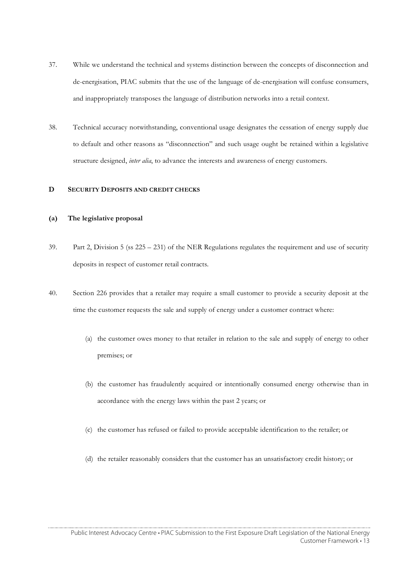- 37. While we understand the technical and systems distinction between the concepts of disconnection and de-energisation, PIAC submits that the use of the language of de-energisation will confuse consumers, and inappropriately transposes the language of distribution networks into a retail context.
- 38. Technical accuracy notwithstanding, conventional usage designates the cessation of energy supply due to default and other reasons as "disconnection" and such usage ought be retained within a legislative structure designed, *inter alia*, to advance the interests and awareness of energy customers.

# **D SECURITY DEPOSITS AND CREDIT CHECKS**

## **(a) The legislative proposal**

- 39. Part 2, Division 5 (ss 225 231) of the NER Regulations regulates the requirement and use of security deposits in respect of customer retail contracts.
- 40. Section 226 provides that a retailer may require a small customer to provide a security deposit at the time the customer requests the sale and supply of energy under a customer contract where:
	- (a) the customer owes money to that retailer in relation to the sale and supply of energy to other premises; or
	- (b) the customer has fraudulently acquired or intentionally consumed energy otherwise than in accordance with the energy laws within the past 2 years; or
	- (c) the customer has refused or failed to provide acceptable identification to the retailer; or
	- (d) the retailer reasonably considers that the customer has an unsatisfactory credit history; or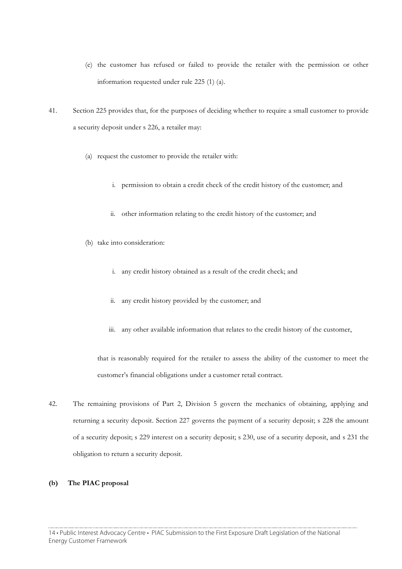- (e) the customer has refused or failed to provide the retailer with the permission or other information requested under rule 225 (1) (a).
- 41. Section 225 provides that, for the purposes of deciding whether to require a small customer to provide a security deposit under s 226, a retailer may:
	- (a) request the customer to provide the retailer with:
		- i. permission to obtain a credit check of the credit history of the customer; and
		- ii. other information relating to the credit history of the customer; and
	- (b) take into consideration:
		- i. any credit history obtained as a result of the credit check; and
		- ii. any credit history provided by the customer; and
		- iii. any other available information that relates to the credit history of the customer,

that is reasonably required for the retailer to assess the ability of the customer to meet the customer's financial obligations under a customer retail contract.

42. The remaining provisions of Part 2, Division 5 govern the mechanics of obtaining, applying and returning a security deposit. Section 227 governs the payment of a security deposit; s 228 the amount of a security deposit; s 229 interest on a security deposit; s 230, use of a security deposit, and s 231 the obligation to return a security deposit.

#### **(b) The PIAC proposal**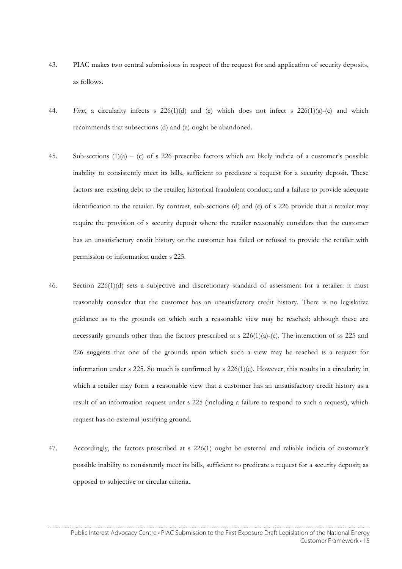- 43. PIAC makes two central submissions in respect of the request for and application of security deposits, as follows.
- 44. *First*, a circularity infects s 226(1)(d) and (e) which does not infect s 226(1)(a)-(c) and which recommends that subsections (d) and (e) ought be abandoned.
- 45. Sub-sections (1)(a) (c) of s 226 prescribe factors which are likely indicia of a customer's possible inability to consistently meet its bills, sufficient to predicate a request for a security deposit. These factors are: existing debt to the retailer; historical fraudulent conduct; and a failure to provide adequate identification to the retailer. By contrast, sub-sections (d) and (e) of s 226 provide that a retailer may require the provision of s security deposit where the retailer reasonably considers that the customer has an unsatisfactory credit history or the customer has failed or refused to provide the retailer with permission or information under s 225.
- 46. Section 226(1)(d) sets a subjective and discretionary standard of assessment for a retailer: it must reasonably consider that the customer has an unsatisfactory credit history. There is no legislative guidance as to the grounds on which such a reasonable view may be reached; although these are necessarily grounds other than the factors prescribed at s  $226(1)(a)-(c)$ . The interaction of ss 225 and 226 suggests that one of the grounds upon which such a view may be reached is a request for information under s 225. So much is confirmed by s 226(1)(e). However, this results in a circularity in which a retailer may form a reasonable view that a customer has an unsatisfactory credit history as a result of an information request under s 225 (including a failure to respond to such a request), which request has no external justifying ground.
- 47. Accordingly, the factors prescribed at s 226(1) ought be external and reliable indicia of customer's possible inability to consistently meet its bills, sufficient to predicate a request for a security deposit; as opposed to subjective or circular criteria.